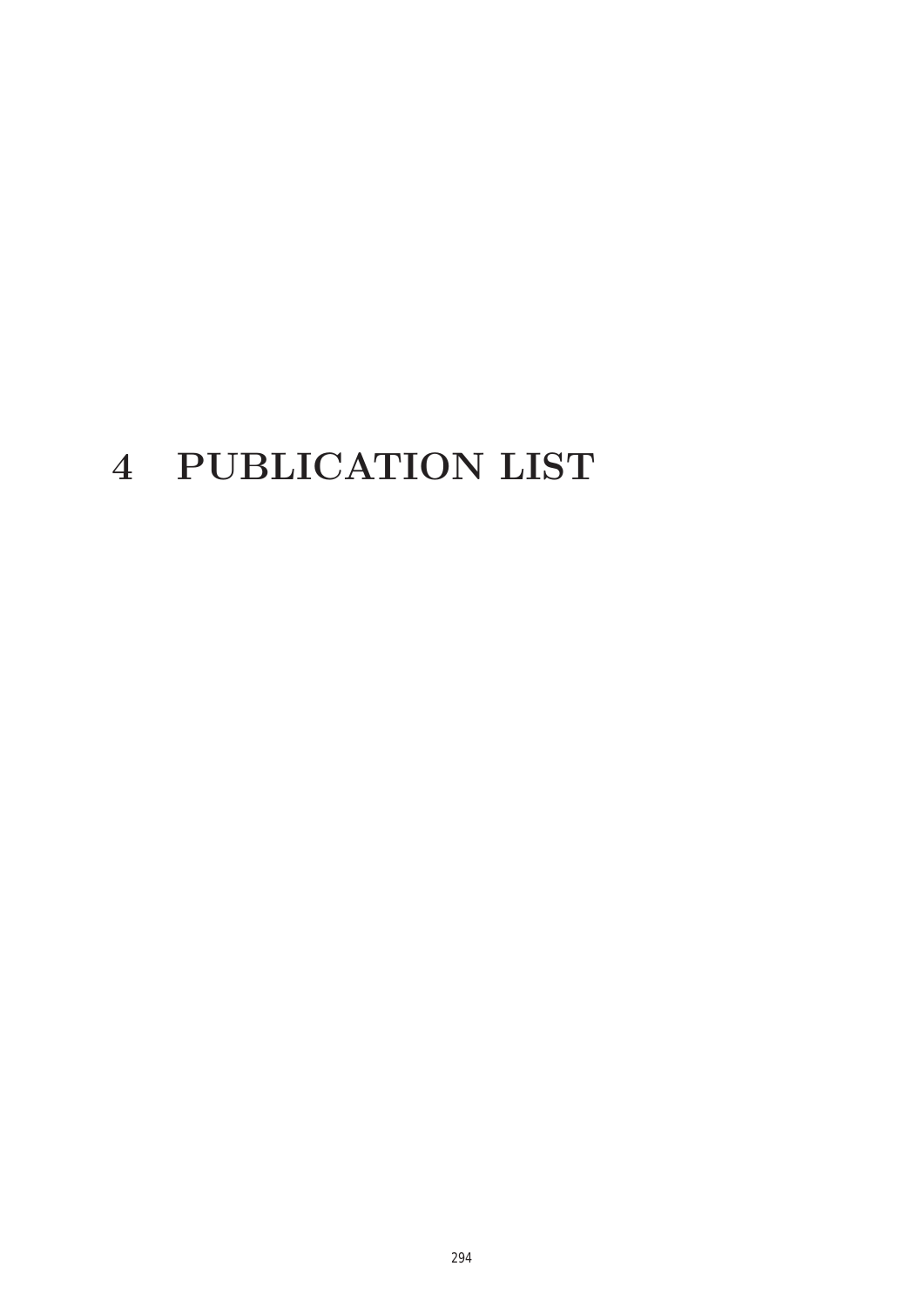# **4 PUBLICATION LIST**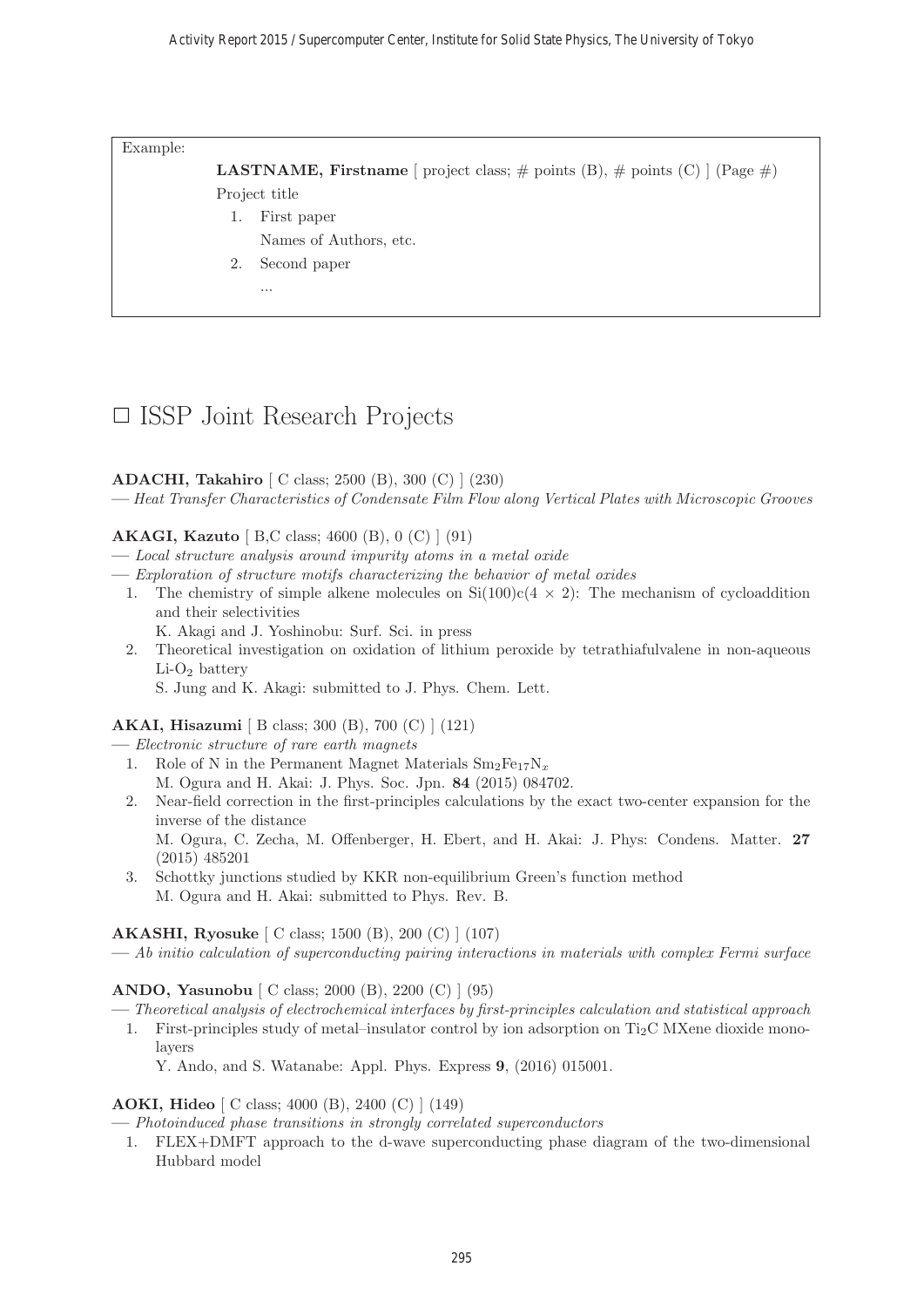Example:

**LASTNAME, Firstname** [ project class;  $\#$  points (B),  $\#$  points (C) ] (Page  $\#$ ) Project title

- 1. First paper
	- Names of Authors, etc.
- 2. Second paper
	- ...

# □ ISSP Joint Research Projects

#### **ADACHI, Takahiro** [ C class; 2500 (B), 300 (C) ] (230)

**—** Heat Transfer Characteristics of Condensate Film Flow along Vertical Plates with Microscopic Grooves

#### **AKAGI, Kazuto** [ B,C class; 4600 (B), 0 (C) ] (91)

- **—** Local structure analysis around impurity atoms in a metal oxide
- **—** Exploration of structure motifs characterizing the behavior of metal oxides
	- 1. The chemistry of simple alkene molecules on  $Si(100)c(4 \times 2)$ : The mechanism of cycloaddition and their selectivities
		- K. Akagi and J. Yoshinobu: Surf. Sci. in press
	- 2. Theoretical investigation on oxidation of lithium peroxide by tetrathiafulvalene in non-aqueous  $Li-O<sub>2</sub> battery$ 
		- S. Jung and K. Akagi: submitted to J. Phys. Chem. Lett.

#### **AKAI, Hisazumi** [ B class; 300 (B), 700 (C) ] (121)

- **—** Electronic structure of rare earth magnets
- 1. Role of N in the Permanent Magnet Materials  $Sm_2Fe_{17}N_x$ M. Ogura and H. Akai: J. Phys. Soc. Jpn. **84** (2015) 084702.
- 2. Near-field correction in the first-principles calculations by the exact two-center expansion for the inverse of the distance

M. Ogura, C. Zecha, M. Offenberger, H. Ebert, and H. Akai: J. Phys: Condens. Matter. **27** (2015) 485201

3. Schottky junctions studied by KKR non-equilibrium Green's function method M. Ogura and H. Akai: submitted to Phys. Rev. B.

**AKASHI, Ryosuke** [ C class; 1500 (B), 200 (C) ] (107)

**—** Ab initio calculation of superconducting pairing interactions in materials with complex Fermi surface

**ANDO, Yasunobu** [ C class; 2000 (B), 2200 (C) ] (95)

**—** Theoretical analysis of electrochemical interfaces by first-principles calculation and statistical approach

1. First-principles study of metal–insulator control by ion adsorption on  $Ti<sub>2</sub>C$  MXene dioxide monolayers

Y. Ando, and S. Watanabe: Appl. Phys. Express **9**, (2016) 015001.

#### **AOKI, Hideo** [ C class; 4000 (B), 2400 (C) ] (149)

**—** Photoinduced phase transitions in strongly correlated superconductors

1. FLEX+DMFT approach to the d-wave superconducting phase diagram of the two-dimensional Hubbard model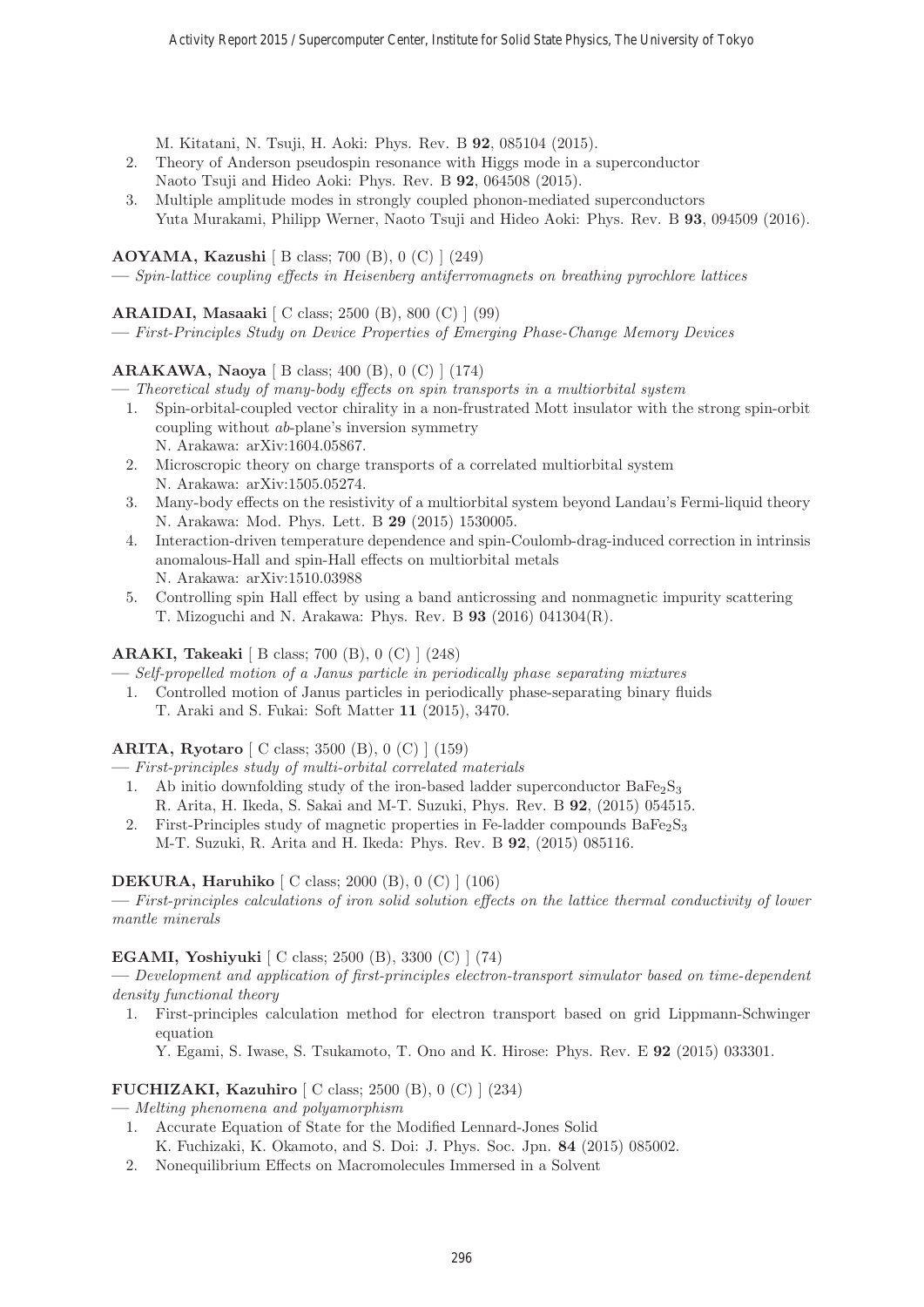M. Kitatani, N. Tsuji, H. Aoki: Phys. Rev. B **92**, 085104 (2015).

- 2. Theory of Anderson pseudospin resonance with Higgs mode in a superconductor Naoto Tsuji and Hideo Aoki: Phys. Rev. B **92**, 064508 (2015).
- 3. Multiple amplitude modes in strongly coupled phonon-mediated superconductors Yuta Murakami, Philipp Werner, Naoto Tsuji and Hideo Aoki: Phys. Rev. B **93**, 094509 (2016).

# **AOYAMA, Kazushi** [ B class; 700 (B), 0 (C) ] (249)

**—** Spin-lattice coupling effects in Heisenberg antiferromagnets on breathing pyrochlore lattices

# **ARAIDAI, Masaaki** [ C class; 2500 (B), 800 (C) ] (99)

**—** First-Principles Study on Device Properties of Emerging Phase-Change Memory Devices

# **ARAKAWA, Naoya** [ B class; 400 (B), 0 (C) ] (174)

- **—** Theoretical study of many-body effects on spin transports in a multiorbital system
	- 1. Spin-orbital-coupled vector chirality in a non-frustrated Mott insulator with the strong spin-orbit coupling without ab-plane's inversion symmetry N. Arakawa: arXiv:1604.05867.
	- 2. Microscropic theory on charge transports of a correlated multiorbital system N. Arakawa: arXiv:1505.05274.
	- 3. Many-body effects on the resistivity of a multiorbital system beyond Landau's Fermi-liquid theory N. Arakawa: Mod. Phys. Lett. B **29** (2015) 1530005.
	- 4. Interaction-driven temperature dependence and spin-Coulomb-drag-induced correction in intrinsis anomalous-Hall and spin-Hall effects on multiorbital metals N. Arakawa: arXiv:1510.03988
	- 5. Controlling spin Hall effect by using a band anticrossing and nonmagnetic impurity scattering T. Mizoguchi and N. Arakawa: Phys. Rev. B **93** (2016) 041304(R).

# **ARAKI, Takeaki** [ B class; 700 (B), 0 (C) ] (248)

**—** Self-propelled motion of a Janus particle in periodically phase separating mixtures

1. Controlled motion of Janus particles in periodically phase-separating binary fluids T. Araki and S. Fukai: Soft Matter **11** (2015), 3470.

# **ARITA, Ryotaro** [ C class; 3500 (B), 0 (C) ] (159)

**—** First-principles study of multi-orbital correlated materials

- 1. Ab initio downfolding study of the iron-based ladder superconductor  $BaFe<sub>2</sub>S<sub>3</sub>$ R. Arita, H. Ikeda, S. Sakai and M-T. Suzuki, Phys. Rev. B **92**, (2015) 054515.
- 2. First-Principles study of magnetic properties in Fe-ladder compounds  $BaFe<sub>2</sub>S<sub>3</sub>$ M-T. Suzuki, R. Arita and H. Ikeda: Phys. Rev. B **92**, (2015) 085116.

# **DEKURA, Haruhiko** [ C class; 2000 (B), 0 (C) ] (106)

**—** First-principles calculations of iron solid solution effects on the lattice thermal conductivity of lower mantle minerals

# **EGAMI, Yoshiyuki** [ C class; 2500 (B), 3300 (C) ] (74)

**—** Development and application of first-principles electron-transport simulator based on time-dependent density functional theory

1. First-principles calculation method for electron transport based on grid Lippmann-Schwinger equation

Y. Egami, S. Iwase, S. Tsukamoto, T. Ono and K. Hirose: Phys. Rev. E **92** (2015) 033301.

# **FUCHIZAKI, Kazuhiro** [ C class; 2500 (B), 0 (C) ] (234)

**—** Melting phenomena and polyamorphism

- 1. Accurate Equation of State for the Modified Lennard-Jones Solid K. Fuchizaki, K. Okamoto, and S. Doi: J. Phys. Soc. Jpn. **84** (2015) 085002.
- 2. Nonequilibrium Effects on Macromolecules Immersed in a Solvent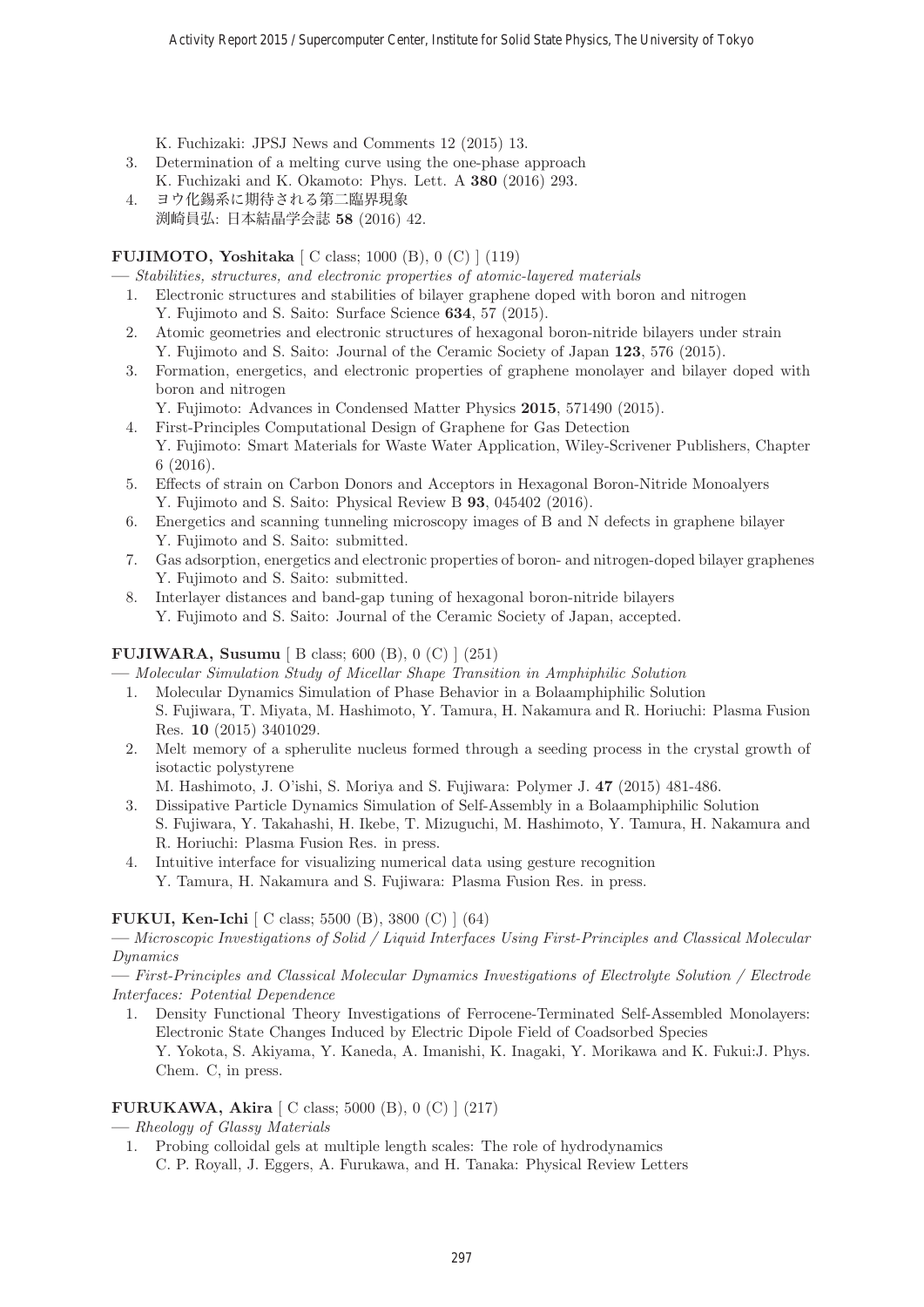K. Fuchizaki: JPSJ News and Comments 12 (2015) 13.

- 3. Determination of a melting curve using the one-phase approach K. Fuchizaki and K. Okamoto: Phys. Lett. A **380** (2016) 293.
- 4. ヨウ化錫系に期待される第二臨界現象 渕崎員弘: 日本結晶学会誌 **58** (2016) 42.

# **FUJIMOTO, Yoshitaka** [ C class; 1000 (B), 0 (C) ] (119)

- **—** Stabilities, structures, and electronic properties of atomic-layered materials
- 1. Electronic structures and stabilities of bilayer graphene doped with boron and nitrogen
- Y. Fujimoto and S. Saito: Surface Science **634**, 57 (2015).
- 2. Atomic geometries and electronic structures of hexagonal boron-nitride bilayers under strain Y. Fujimoto and S. Saito: Journal of the Ceramic Society of Japan **123**, 576 (2015).
- 3. Formation, energetics, and electronic properties of graphene monolayer and bilayer doped with boron and nitrogen
	- Y. Fujimoto: Advances in Condensed Matter Physics **2015**, 571490 (2015).
- 4. First-Principles Computational Design of Graphene for Gas Detection Y. Fujimoto: Smart Materials for Waste Water Application, Wiley-Scrivener Publishers, Chapter 6 (2016).
- 5. Effects of strain on Carbon Donors and Acceptors in Hexagonal Boron-Nitride Monoalyers Y. Fujimoto and S. Saito: Physical Review B **93**, 045402 (2016).
- 6. Energetics and scanning tunneling microscopy images of B and N defects in graphene bilayer Y. Fujimoto and S. Saito: submitted.
- 7. Gas adsorption, energetics and electronic properties of boron- and nitrogen-doped bilayer graphenes Y. Fujimoto and S. Saito: submitted.
- 8. Interlayer distances and band-gap tuning of hexagonal boron-nitride bilayers Y. Fujimoto and S. Saito: Journal of the Ceramic Society of Japan, accepted.

# **FUJIWARA, Susumu** [ B class; 600 (B), 0 (C) ] (251)

**—** Molecular Simulation Study of Micellar Shape Transition in Amphiphilic Solution

- 1. Molecular Dynamics Simulation of Phase Behavior in a Bolaamphiphilic Solution S. Fujiwara, T. Miyata, M. Hashimoto, Y. Tamura, H. Nakamura and R. Horiuchi: Plasma Fusion Res. **10** (2015) 3401029.
- 2. Melt memory of a spherulite nucleus formed through a seeding process in the crystal growth of isotactic polystyrene

M. Hashimoto, J. O'ishi, S. Moriya and S. Fujiwara: Polymer J. **47** (2015) 481-486.

- 3. Dissipative Particle Dynamics Simulation of Self-Assembly in a Bolaamphiphilic Solution S. Fujiwara, Y. Takahashi, H. Ikebe, T. Mizuguchi, M. Hashimoto, Y. Tamura, H. Nakamura and R. Horiuchi: Plasma Fusion Res. in press.
- 4. Intuitive interface for visualizing numerical data using gesture recognition
	- Y. Tamura, H. Nakamura and S. Fujiwara: Plasma Fusion Res. in press.

# **FUKUI, Ken-Ichi** [ C class; 5500 (B), 3800 (C) ] (64)

**—** Microscopic Investigations of Solid / Liquid Interfaces Using First-Principles and Classical Molecular Dynamics

**—** First-Principles and Classical Molecular Dynamics Investigations of Electrolyte Solution / Electrode Interfaces: Potential Dependence

1. Density Functional Theory Investigations of Ferrocene-Terminated Self-Assembled Monolayers: Electronic State Changes Induced by Electric Dipole Field of Coadsorbed Species Y. Yokota, S. Akiyama, Y. Kaneda, A. Imanishi, K. Inagaki, Y. Morikawa and K. Fukui:J. Phys.

# **FURUKAWA, Akira** [ C class; 5000 (B), 0 (C) ] (217)

**—** Rheology of Glassy Materials

Chem. C, in press.

1. Probing colloidal gels at multiple length scales: The role of hydrodynamics C. P. Royall, J. Eggers, A. Furukawa, and H. Tanaka: Physical Review Letters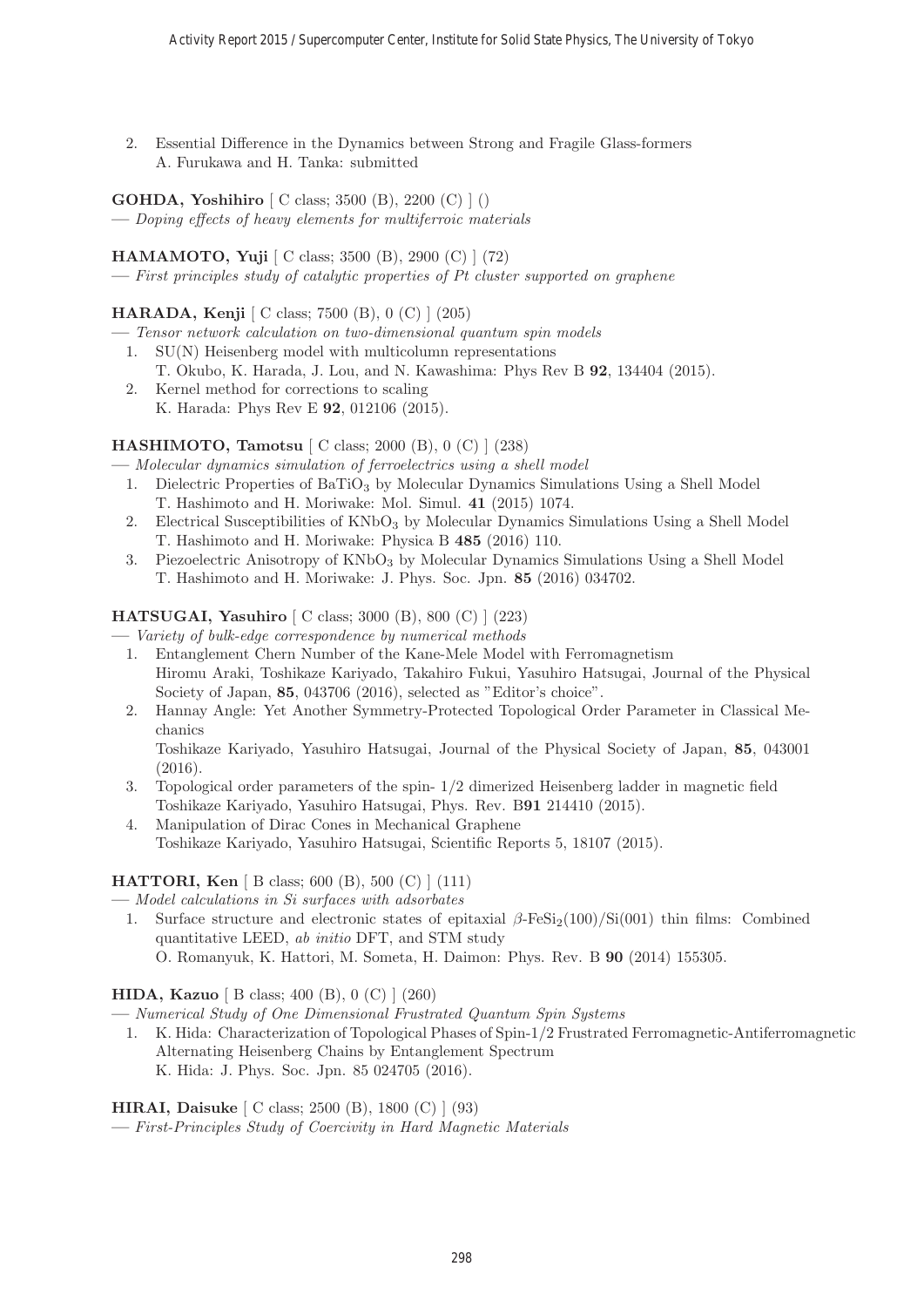2. Essential Difference in the Dynamics between Strong and Fragile Glass-formers A. Furukawa and H. Tanka: submitted

**GOHDA, Yoshihiro** [ C class; 3500 (B), 2200 (C) ] ()

**—** Doping effects of heavy elements for multiferroic materials

# **HAMAMOTO, Yuji** [ C class; 3500 (B), 2900 (C) ] (72)

**—** First principles study of catalytic properties of Pt cluster supported on graphene

# **HARADA, Kenji** [ C class; 7500 (B), 0 (C) ] (205)

- **—** Tensor network calculation on two-dimensional quantum spin models
	- 1. SU(N) Heisenberg model with multicolumn representations
		- T. Okubo, K. Harada, J. Lou, and N. Kawashima: Phys Rev B **92**, 134404 (2015).
	- 2. Kernel method for corrections to scaling K. Harada: Phys Rev E **92**, 012106 (2015).

# **HASHIMOTO, Tamotsu** [ C class; 2000 (B), 0 (C) ] (238)

**—** Molecular dynamics simulation of ferroelectrics using a shell model

- 1. Dielectric Properties of BaTiO<sub>3</sub> by Molecular Dynamics Simulations Using a Shell Model T. Hashimoto and H. Moriwake: Mol. Simul. **41** (2015) 1074.
- 2. Electrical Susceptibilities of  $KNbO_3$  by Molecular Dynamics Simulations Using a Shell Model T. Hashimoto and H. Moriwake: Physica B **485** (2016) 110.
- 3. Piezoelectric Anisotropy of  $KNbO<sub>3</sub>$  by Molecular Dynamics Simulations Using a Shell Model T. Hashimoto and H. Moriwake: J. Phys. Soc. Jpn. **85** (2016) 034702.

# **HATSUGAI, Yasuhiro** [ C class; 3000 (B), 800 (C) ] (223)

**—** Variety of bulk-edge correspondence by numerical methods

- 1. Entanglement Chern Number of the Kane-Mele Model with Ferromagnetism Hiromu Araki, Toshikaze Kariyado, Takahiro Fukui, Yasuhiro Hatsugai, Journal of the Physical Society of Japan, **85**, 043706 (2016), selected as "Editor's choice".
- 2. Hannay Angle: Yet Another Symmetry-Protected Topological Order Parameter in Classical Mechanics

Toshikaze Kariyado, Yasuhiro Hatsugai, Journal of the Physical Society of Japan, **85**, 043001 (2016).

- 3. Topological order parameters of the spin- 1/2 dimerized Heisenberg ladder in magnetic field Toshikaze Kariyado, Yasuhiro Hatsugai, Phys. Rev. B**91** 214410 (2015).
- 4. Manipulation of Dirac Cones in Mechanical Graphene Toshikaze Kariyado, Yasuhiro Hatsugai, Scientific Reports 5, 18107 (2015).

# **HATTORI, Ken** [ B class; 600 (B), 500 (C) ] (111)

**—** Model calculations in Si surfaces with adsorbates

1. Surface structure and electronic states of epitaxial  $\beta$ -FeSi<sub>2</sub>(100)/Si(001) thin films: Combined quantitative LEED, ab initio DFT, and STM study O. Romanyuk, K. Hattori, M. Someta, H. Daimon: Phys. Rev. B **90** (2014) 155305.

**HIDA, Kazuo** [ B class; 400 (B), 0 (C) ] (260)

**—** Numerical Study of One Dimensional Frustrated Quantum Spin Systems

1. K. Hida: Characterization of Topological Phases of Spin-1/2 Frustrated Ferromagnetic-Antiferromagnetic Alternating Heisenberg Chains by Entanglement Spectrum K. Hida: J. Phys. Soc. Jpn. 85 024705 (2016).

**HIRAI, Daisuke** [ C class; 2500 (B), 1800 (C) ] (93)

**—** First-Principles Study of Coercivity in Hard Magnetic Materials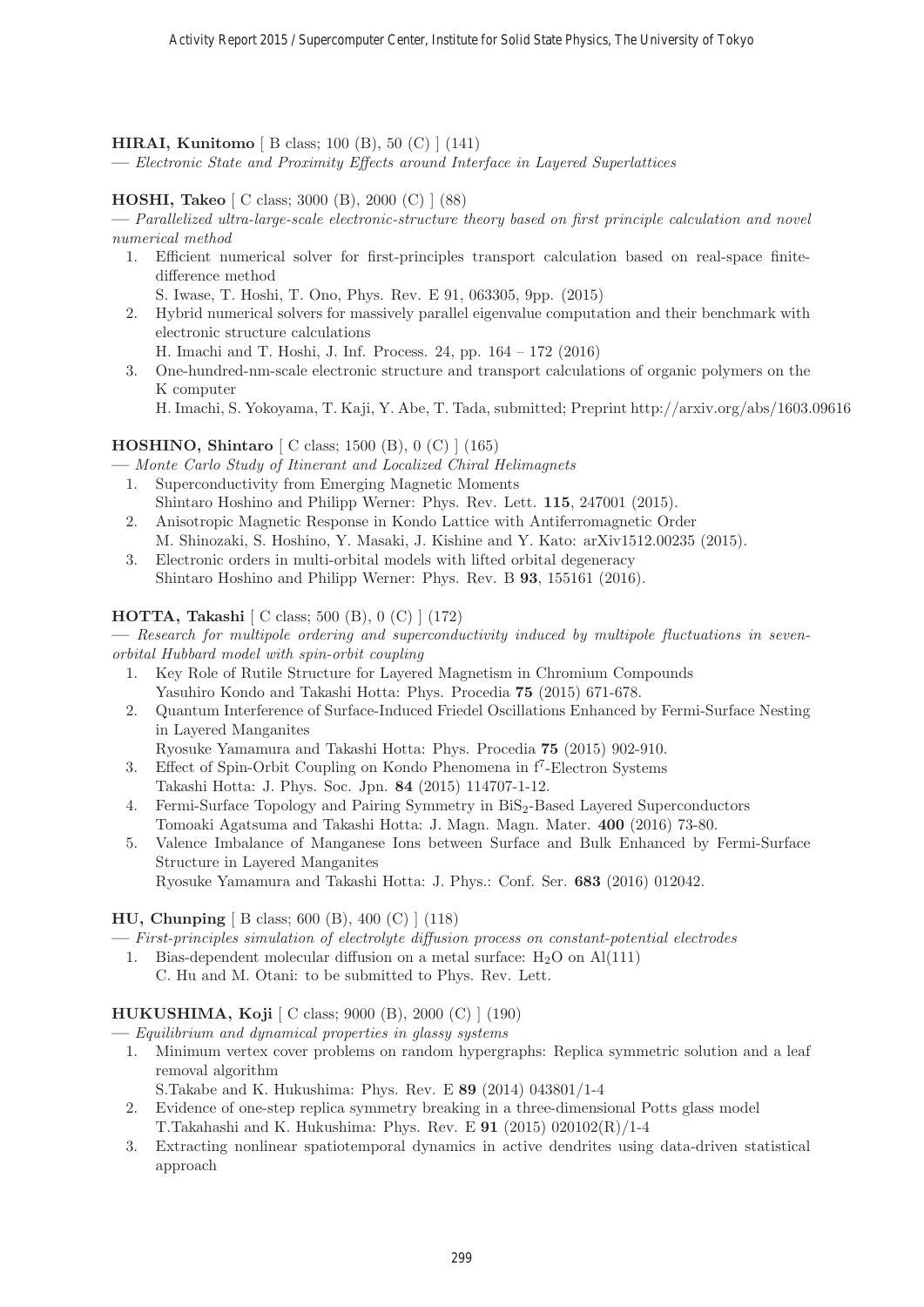#### **HIRAI, Kunitomo** [ B class; 100 (B), 50 (C) ] (141)

**—** Electronic State and Proximity Effects around Interface in Layered Superlattices

#### **HOSHI, Takeo** [ C class; 3000 (B), 2000 (C) ] (88)

**—** Parallelized ultra-large-scale electronic-structure theory based on first principle calculation and novel numerical method

1. Efficient numerical solver for first-principles transport calculation based on real-space finitedifference method

S. Iwase, T. Hoshi, T. Ono, Phys. Rev. E 91, 063305, 9pp. (2015)

- 2. Hybrid numerical solvers for massively parallel eigenvalue computation and their benchmark with electronic structure calculations
	- H. Imachi and T. Hoshi, J. Inf. Process. 24, pp. 164 172 (2016)
- 3. One-hundred-nm-scale electronic structure and transport calculations of organic polymers on the K computer
	- H. Imachi, S. Yokoyama, T. Kaji, Y. Abe, T. Tada, submitted; Preprint http://arxiv.org/abs/1603.09616

# **HOSHINO, Shintaro** [ C class; 1500 (B), 0 (C) ] (165)

**—** Monte Carlo Study of Itinerant and Localized Chiral Helimagnets

- 1. Superconductivity from Emerging Magnetic Moments Shintaro Hoshino and Philipp Werner: Phys. Rev. Lett. **115**, 247001 (2015).
- 2. Anisotropic Magnetic Response in Kondo Lattice with Antiferromagnetic Order M. Shinozaki, S. Hoshino, Y. Masaki, J. Kishine and Y. Kato: arXiv1512.00235 (2015).
- 3. Electronic orders in multi-orbital models with lifted orbital degeneracy Shintaro Hoshino and Philipp Werner: Phys. Rev. B **93**, 155161 (2016).

#### **HOTTA, Takashi** [ C class; 500 (B), 0 (C) ] (172)

**—** Research for multipole ordering and superconductivity induced by multipole fluctuations in sevenorbital Hubbard model with spin-orbit coupling

- 1. Key Role of Rutile Structure for Layered Magnetism in Chromium Compounds Yasuhiro Kondo and Takashi Hotta: Phys. Procedia **75** (2015) 671-678.
- 2. Quantum Interference of Surface-Induced Friedel Oscillations Enhanced by Fermi-Surface Nesting in Layered Manganites

Ryosuke Yamamura and Takashi Hotta: Phys. Procedia **75** (2015) 902-910.

- 3. Effect of Spin-Orbit Coupling on Kondo Phenomena in f7-Electron Systems Takashi Hotta: J. Phys. Soc. Jpn. **84** (2015) 114707-1-12.
- 4. Fermi-Surface Topology and Pairing Symmetry in BiS2-Based Layered Superconductors Tomoaki Agatsuma and Takashi Hotta: J. Magn. Magn. Mater. **400** (2016) 73-80.
- 5. Valence Imbalance of Manganese Ions between Surface and Bulk Enhanced by Fermi-Surface Structure in Layered Manganites

Ryosuke Yamamura and Takashi Hotta: J. Phys.: Conf. Ser. **683** (2016) 012042.

# **HU, Chunping** [ B class; 600 (B), 400 (C) ] (118)

**—** First-principles simulation of electrolyte diffusion process on constant-potential electrodes

- 1. Bias-dependent molecular diffusion on a metal surface:  $H_2O$  on  $Al(111)$ 
	- C. Hu and M. Otani: to be submitted to Phys. Rev. Lett.

#### **HUKUSHIMA, Koji** [ C class; 9000 (B), 2000 (C) ] (190)

**—** Equilibrium and dynamical properties in glassy systems

1. Minimum vertex cover problems on random hypergraphs: Replica symmetric solution and a leaf removal algorithm

S.Takabe and K. Hukushima: Phys. Rev. E **89** (2014) 043801/1-4

- 2. Evidence of one-step replica symmetry breaking in a three-dimensional Potts glass model T.Takahashi and K. Hukushima: Phys. Rev. E **91** (2015) 020102(R)/1-4
- 3. Extracting nonlinear spatiotemporal dynamics in active dendrites using data-driven statistical approach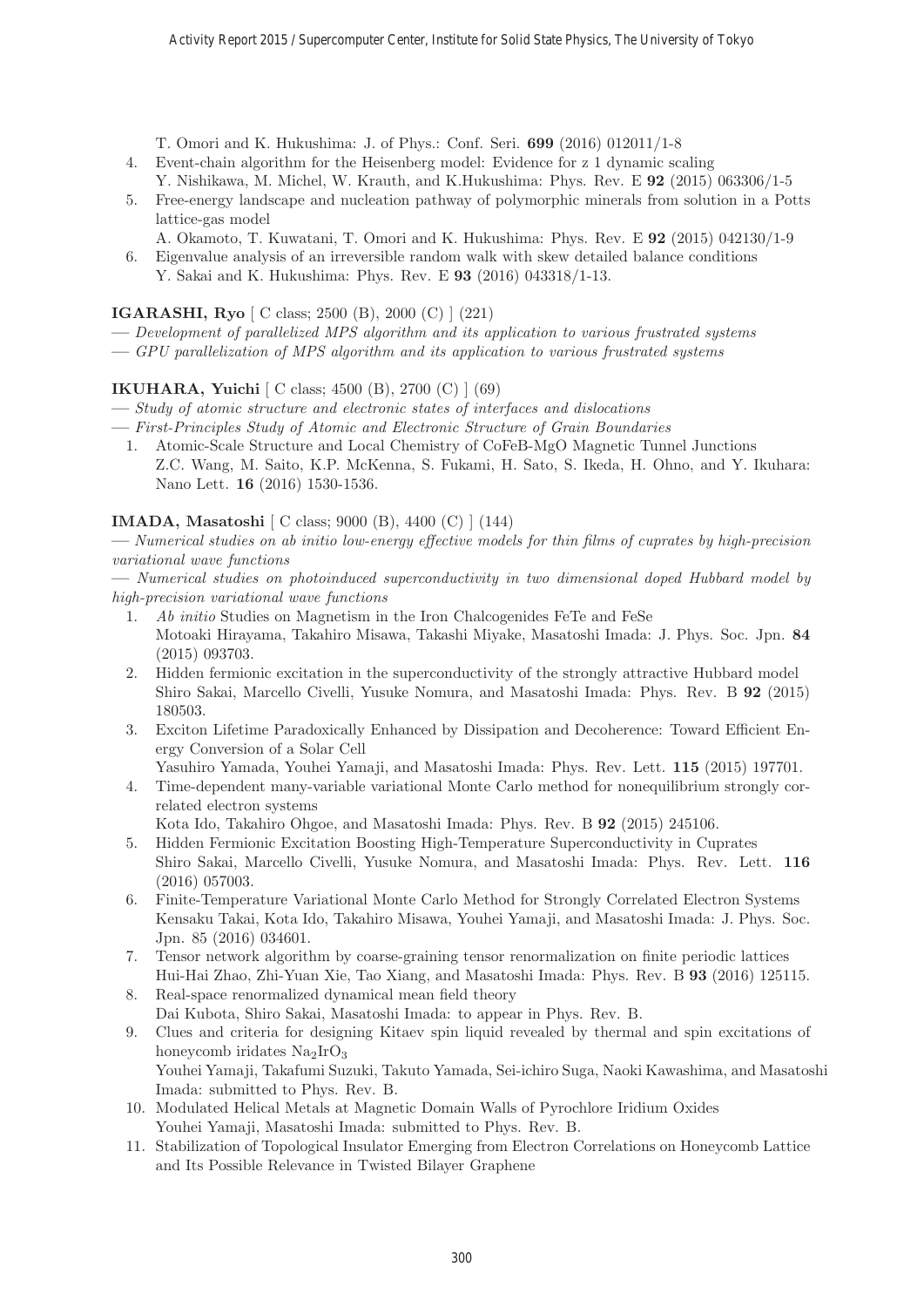T. Omori and K. Hukushima: J. of Phys.: Conf. Seri. **699** (2016) 012011/1-8

- 4. Event-chain algorithm for the Heisenberg model: Evidence for z 1 dynamic scaling Y. Nishikawa, M. Michel, W. Krauth, and K.Hukushima: Phys. Rev. E **92** (2015) 063306/1-5
- 5. Free-energy landscape and nucleation pathway of polymorphic minerals from solution in a Potts lattice-gas model
	- A. Okamoto, T. Kuwatani, T. Omori and K. Hukushima: Phys. Rev. E **92** (2015) 042130/1-9
- 6. Eigenvalue analysis of an irreversible random walk with skew detailed balance conditions Y. Sakai and K. Hukushima: Phys. Rev. E **93** (2016) 043318/1-13.

**IGARASHI, Ryo** [ C class; 2500 (B), 2000 (C) ] (221)

- **—** Development of parallelized MPS algorithm and its application to various frustrated systems
- **—** GPU parallelization of MPS algorithm and its application to various frustrated systems

# **IKUHARA, Yuichi** [ C class; 4500 (B), 2700 (C) ] (69)

- **—** Study of atomic structure and electronic states of interfaces and dislocations
- **—** First-Principles Study of Atomic and Electronic Structure of Grain Boundaries
	- 1. Atomic-Scale Structure and Local Chemistry of CoFeB-MgO Magnetic Tunnel Junctions Z.C. Wang, M. Saito, K.P. McKenna, S. Fukami, H. Sato, S. Ikeda, H. Ohno, and Y. Ikuhara: Nano Lett. **16** (2016) 1530-1536.

# **IMADA, Masatoshi** [ C class; 9000 (B), 4400 (C) ] (144)

**—** Numerical studies on ab initio low-energy effective models for thin films of cuprates by high-precision variational wave functions

**—** Numerical studies on photoinduced superconductivity in two dimensional doped Hubbard model by high-precision variational wave functions

- 1. Ab initio Studies on Magnetism in the Iron Chalcogenides FeTe and FeSe Motoaki Hirayama, Takahiro Misawa, Takashi Miyake, Masatoshi Imada: J. Phys. Soc. Jpn. **84** (2015) 093703.
- 2. Hidden fermionic excitation in the superconductivity of the strongly attractive Hubbard model Shiro Sakai, Marcello Civelli, Yusuke Nomura, and Masatoshi Imada: Phys. Rev. B **92** (2015) 180503.
- 3. Exciton Lifetime Paradoxically Enhanced by Dissipation and Decoherence: Toward Efficient Energy Conversion of a Solar Cell
	- Yasuhiro Yamada, Youhei Yamaji, and Masatoshi Imada: Phys. Rev. Lett. **115** (2015) 197701.
- 4. Time-dependent many-variable variational Monte Carlo method for nonequilibrium strongly correlated electron systems
	- Kota Ido, Takahiro Ohgoe, and Masatoshi Imada: Phys. Rev. B **92** (2015) 245106.
- 5. Hidden Fermionic Excitation Boosting High-Temperature Superconductivity in Cuprates Shiro Sakai, Marcello Civelli, Yusuke Nomura, and Masatoshi Imada: Phys. Rev. Lett. **116** (2016) 057003.
- 6. Finite-Temperature Variational Monte Carlo Method for Strongly Correlated Electron Systems Kensaku Takai, Kota Ido, Takahiro Misawa, Youhei Yamaji, and Masatoshi Imada: J. Phys. Soc. Jpn. 85 (2016) 034601.
- 7. Tensor network algorithm by coarse-graining tensor renormalization on finite periodic lattices Hui-Hai Zhao, Zhi-Yuan Xie, Tao Xiang, and Masatoshi Imada: Phys. Rev. B **93** (2016) 125115.
- 8. Real-space renormalized dynamical mean field theory Dai Kubota, Shiro Sakai, Masatoshi Imada: to appear in Phys. Rev. B.
- 9. Clues and criteria for designing Kitaev spin liquid revealed by thermal and spin excitations of honeycomb iridates  $Na<sub>2</sub>IrO<sub>3</sub>$ Youhei Yamaji, Takafumi Suzuki, Takuto Yamada, Sei-ichiro Suga, Naoki Kawashima, and Masatoshi Imada: submitted to Phys. Rev. B.
- 10. Modulated Helical Metals at Magnetic Domain Walls of Pyrochlore Iridium Oxides Youhei Yamaji, Masatoshi Imada: submitted to Phys. Rev. B.
- 11. Stabilization of Topological Insulator Emerging from Electron Correlations on Honeycomb Lattice and Its Possible Relevance in Twisted Bilayer Graphene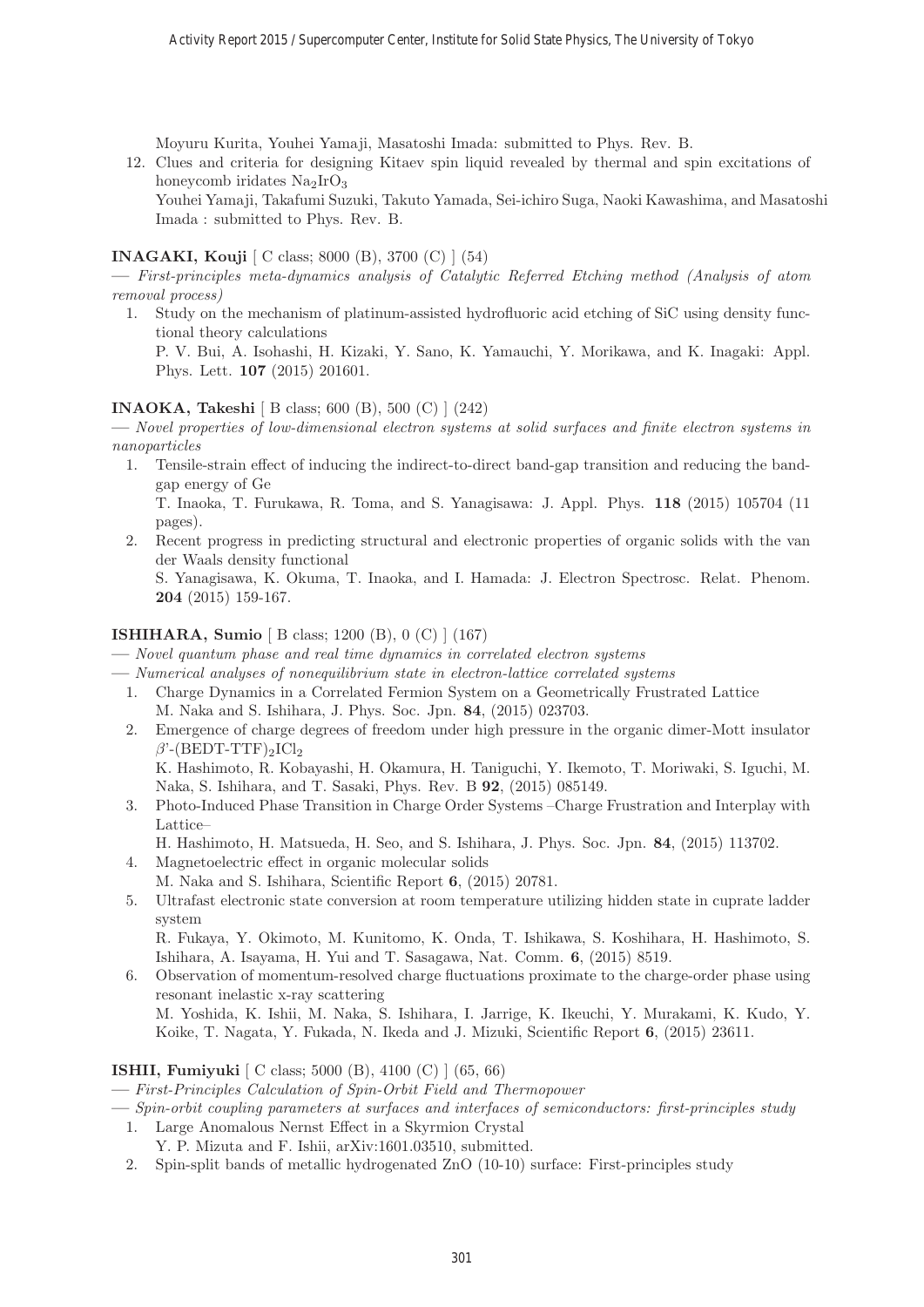Moyuru Kurita, Youhei Yamaji, Masatoshi Imada: submitted to Phys. Rev. B.

12. Clues and criteria for designing Kitaev spin liquid revealed by thermal and spin excitations of honeycomb iridates  $Na<sub>2</sub>IrO<sub>3</sub>$ 

Youhei Yamaji, Takafumi Suzuki, Takuto Yamada, Sei-ichiro Suga, Naoki Kawashima, and Masatoshi Imada : submitted to Phys. Rev. B.

#### **INAGAKI, Kouji** [ C class; 8000 (B), 3700 (C) ] (54)

- **—** First-principles meta-dynamics analysis of Catalytic Referred Etching method (Analysis of atom removal process)
	- 1. Study on the mechanism of platinum-assisted hydrofluoric acid etching of SiC using density functional theory calculations P. V. Bui, A. Isohashi, H. Kizaki, Y. Sano, K. Yamauchi, Y. Morikawa, and K. Inagaki: Appl. Phys. Lett. **107** (2015) 201601.

#### **INAOKA, Takeshi** [ B class; 600 (B), 500 (C) ] (242)

**—** Novel properties of low-dimensional electron systems at solid surfaces and finite electron systems in nanoparticles

1. Tensile-strain effect of inducing the indirect-to-direct band-gap transition and reducing the bandgap energy of Ge

T. Inaoka, T. Furukawa, R. Toma, and S. Yanagisawa: J. Appl. Phys. **118** (2015) 105704 (11 pages).

2. Recent progress in predicting structural and electronic properties of organic solids with the van der Waals density functional

S. Yanagisawa, K. Okuma, T. Inaoka, and I. Hamada: J. Electron Spectrosc. Relat. Phenom. **204** (2015) 159-167.

#### **ISHIHARA, Sumio** [ B class; 1200 (B), 0 (C) ] (167)

- **—** Novel quantum phase and real time dynamics in correlated electron systems
- **—** Numerical analyses of nonequilibrium state in electron-lattice correlated systems
	- 1. Charge Dynamics in a Correlated Fermion System on a Geometrically Frustrated Lattice M. Naka and S. Ishihara, J. Phys. Soc. Jpn. **84**, (2015) 023703.
	- 2. Emergence of charge degrees of freedom under high pressure in the organic dimer-Mott insulator  $\beta'$ -(BEDT-TTF)<sub>2</sub>ICl<sub>2</sub> K. Hashimoto, R. Kobayashi, H. Okamura, H. Taniguchi, Y. Ikemoto, T. Moriwaki, S. Iguchi, M.
	- Naka, S. Ishihara, and T. Sasaki, Phys. Rev. B **92**, (2015) 085149. 3. Photo-Induced Phase Transition in Charge Order Systems –Charge Frustration and Interplay with Lattice–
	- H. Hashimoto, H. Matsueda, H. Seo, and S. Ishihara, J. Phys. Soc. Jpn. **84**, (2015) 113702.
	- 4. Magnetoelectric effect in organic molecular solids
	- M. Naka and S. Ishihara, Scientific Report **6**, (2015) 20781.
	- 5. Ultrafast electronic state conversion at room temperature utilizing hidden state in cuprate ladder system

R. Fukaya, Y. Okimoto, M. Kunitomo, K. Onda, T. Ishikawa, S. Koshihara, H. Hashimoto, S. Ishihara, A. Isayama, H. Yui and T. Sasagawa, Nat. Comm. **6**, (2015) 8519.

6. Observation of momentum-resolved charge fluctuations proximate to the charge-order phase using resonant inelastic x-ray scattering

M. Yoshida, K. Ishii, M. Naka, S. Ishihara, I. Jarrige, K. Ikeuchi, Y. Murakami, K. Kudo, Y. Koike, T. Nagata, Y. Fukada, N. Ikeda and J. Mizuki, Scientific Report **6**, (2015) 23611.

#### **ISHII, Fumiyuki** [ C class; 5000 (B), 4100 (C) ] (65, 66)

**—** First-Principles Calculation of Spin-Orbit Field and Thermopower

**—** Spin-orbit coupling parameters at surfaces and interfaces of semiconductors: first-principles study

- 1. Large Anomalous Nernst Effect in a Skyrmion Crystal Y. P. Mizuta and F. Ishii, arXiv:1601.03510, submitted.
- 2. Spin-split bands of metallic hydrogenated ZnO (10-10) surface: First-principles study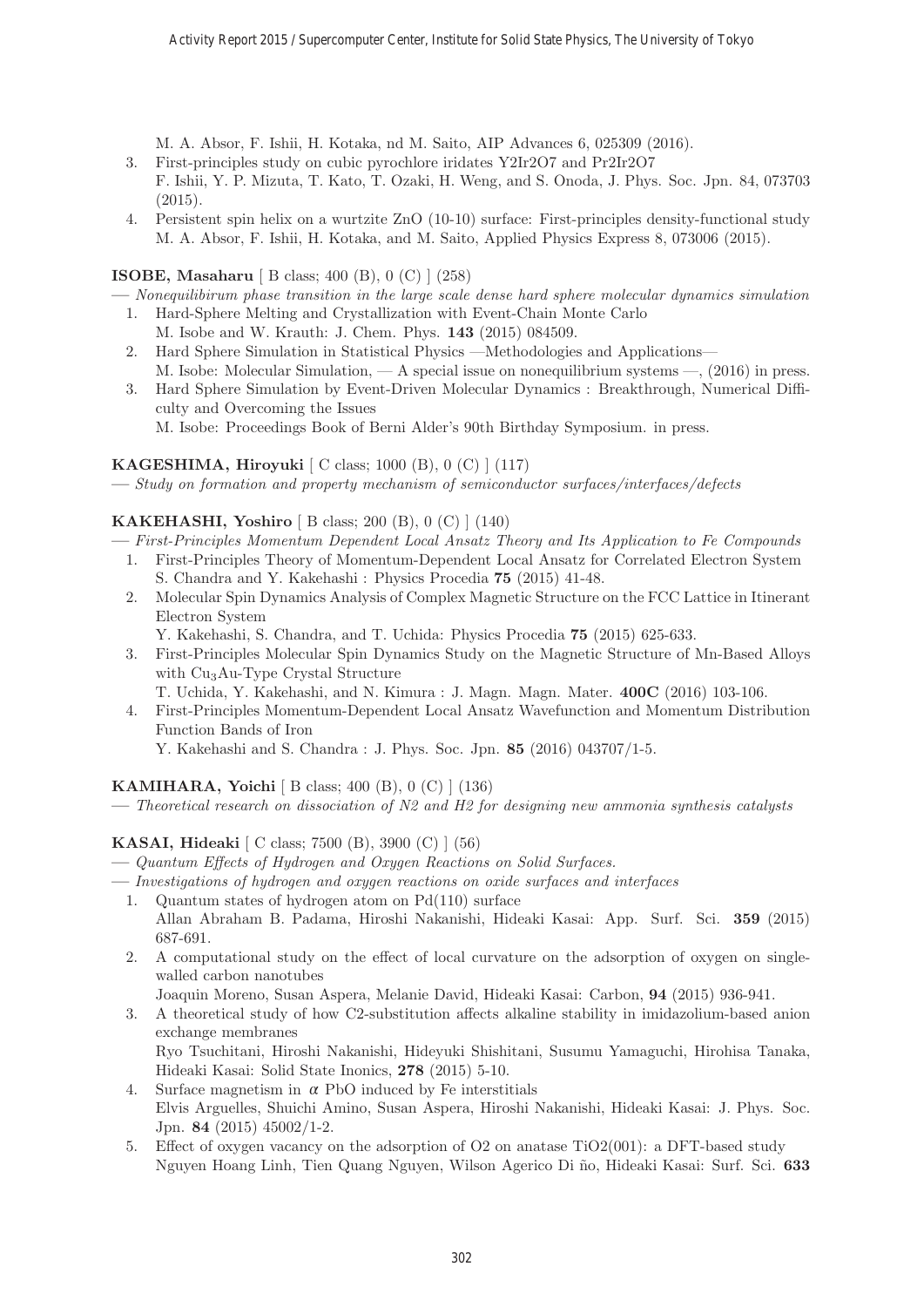M. A. Absor, F. Ishii, H. Kotaka, nd M. Saito, AIP Advances 6, 025309 (2016).

- 3. First-principles study on cubic pyrochlore iridates Y2Ir2O7 and Pr2Ir2O7 F. Ishii, Y. P. Mizuta, T. Kato, T. Ozaki, H. Weng, and S. Onoda, J. Phys. Soc. Jpn. 84, 073703 (2015).
- 4. Persistent spin helix on a wurtzite ZnO (10-10) surface: First-principles density-functional study M. A. Absor, F. Ishii, H. Kotaka, and M. Saito, Applied Physics Express 8, 073006 (2015).

# **ISOBE, Masaharu** [ B class; 400 (B), 0 (C) ] (258)

- **—** Nonequilibirum phase transition in the large scale dense hard sphere molecular dynamics simulation 1. Hard-Sphere Melting and Crystallization with Event-Chain Monte Carlo
	- M. Isobe and W. Krauth: J. Chem. Phys. **143** (2015) 084509.
- 2. Hard Sphere Simulation in Statistical Physics —Methodologies and Applications— M. Isobe: Molecular Simulation, — A special issue on nonequilibrium systems —, (2016) in press.
- 3. Hard Sphere Simulation by Event-Driven Molecular Dynamics : Breakthrough, Numerical Difficulty and Overcoming the Issues
	- M. Isobe: Proceedings Book of Berni Alder's 90th Birthday Symposium. in press.

# **KAGESHIMA, Hiroyuki** [ C class; 1000 (B), 0 (C) ] (117)

**—** Study on formation and property mechanism of semiconductor surfaces/interfaces/defects

# **KAKEHASHI, Yoshiro** [ B class; 200 (B), 0 (C) ] (140)

- **—** First-Principles Momentum Dependent Local Ansatz Theory and Its Application to Fe Compounds
- 1. First-Principles Theory of Momentum-Dependent Local Ansatz for Correlated Electron System S. Chandra and Y. Kakehashi : Physics Procedia **75** (2015) 41-48.
- 2. Molecular Spin Dynamics Analysis of Complex Magnetic Structure on the FCC Lattice in Itinerant Electron System
	- Y. Kakehashi, S. Chandra, and T. Uchida: Physics Procedia **75** (2015) 625-633.
- 3. First-Principles Molecular Spin Dynamics Study on the Magnetic Structure of Mn-Based Alloys with Cu<sub>3</sub>Au-Type Crystal Structure
	- T. Uchida, Y. Kakehashi, and N. Kimura : J. Magn. Magn. Mater. **400C** (2016) 103-106.
- 4. First-Principles Momentum-Dependent Local Ansatz Wavefunction and Momentum Distribution Function Bands of Iron

Y. Kakehashi and S. Chandra : J. Phys. Soc. Jpn. **85** (2016) 043707/1-5.

# **KAMIHARA, Yoichi** [ B class; 400 (B), 0 (C) ] (136)

**—** Theoretical research on dissociation of N2 and H2 for designing new ammonia synthesis catalysts

# **KASAI, Hideaki** [ C class; 7500 (B), 3900 (C) ] (56)

- **—** Quantum Effects of Hydrogen and Oxygen Reactions on Solid Surfaces.
- **—** Investigations of hydrogen and oxygen reactions on oxide surfaces and interfaces
	- 1. Quantum states of hydrogen atom on Pd(110) surface Allan Abraham B. Padama, Hiroshi Nakanishi, Hideaki Kasai: App. Surf. Sci. **359** (2015) 687-691.
	- 2. A computational study on the effect of local curvature on the adsorption of oxygen on singlewalled carbon nanotubes
		- Joaquin Moreno, Susan Aspera, Melanie David, Hideaki Kasai: Carbon, **94** (2015) 936-941.
	- 3. A theoretical study of how C2-substitution affects alkaline stability in imidazolium-based anion exchange membranes

Ryo Tsuchitani, Hiroshi Nakanishi, Hideyuki Shishitani, Susumu Yamaguchi, Hirohisa Tanaka, Hideaki Kasai: Solid State Inonics, **278** (2015) 5-10.

- 4. Surface magnetism in  $\alpha$  PbO induced by Fe interstitials Elvis Arguelles, Shuichi Amino, Susan Aspera, Hiroshi Nakanishi, Hideaki Kasai: J. Phys. Soc. Jpn. **84** (2015) 45002/1-2.
- 5. Effect of oxygen vacancy on the adsorption of O2 on anatase TiO2(001): a DFT-based study Nguyen Hoang Linh, Tien Quang Nguyen, Wilson Agerico Di ˜no, Hideaki Kasai: Surf. Sci. **633**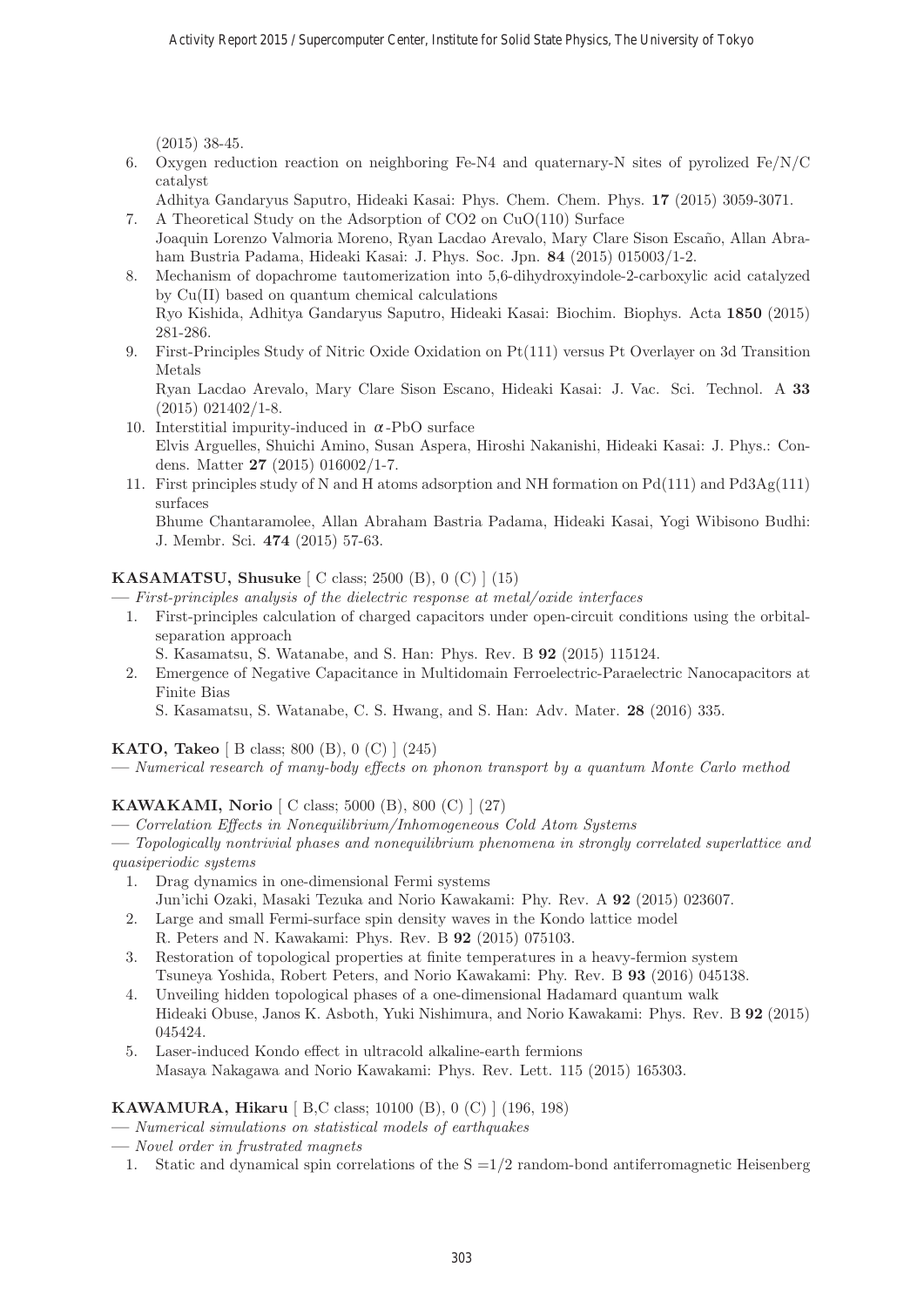(2015) 38-45.

6. Oxygen reduction reaction on neighboring Fe-N4 and quaternary-N sites of pyrolized Fe/N/C catalyst

Adhitya Gandaryus Saputro, Hideaki Kasai: Phys. Chem. Chem. Phys. **17** (2015) 3059-3071.

7. A Theoretical Study on the Adsorption of CO2 on CuO(110) Surface

- Joaquin Lorenzo Valmoria Moreno, Ryan Lacdao Arevalo, Mary Clare Sison Escaño, Allan Abraham Bustria Padama, Hideaki Kasai: J. Phys. Soc. Jpn. **84** (2015) 015003/1-2.
- 8. Mechanism of dopachrome tautomerization into 5,6-dihydroxyindole-2-carboxylic acid catalyzed by Cu(II) based on quantum chemical calculations Ryo Kishida, Adhitya Gandaryus Saputro, Hideaki Kasai: Biochim. Biophys. Acta **1850** (2015) 281-286.
- 9. First-Principles Study of Nitric Oxide Oxidation on Pt(111) versus Pt Overlayer on 3d Transition Metals

Ryan Lacdao Arevalo, Mary Clare Sison Escano, Hideaki Kasai: J. Vac. Sci. Technol. A **33**  $(2015)$  021402/1-8.

- 10. Interstitial impurity-induced in  $\alpha$ -PbO surface Elvis Arguelles, Shuichi Amino, Susan Aspera, Hiroshi Nakanishi, Hideaki Kasai: J. Phys.: Condens. Matter **27** (2015) 016002/1-7.
- 11. First principles study of N and H atoms adsorption and NH formation on Pd(111) and Pd3Ag(111) surfaces

Bhume Chantaramolee, Allan Abraham Bastria Padama, Hideaki Kasai, Yogi Wibisono Budhi: J. Membr. Sci. **474** (2015) 57-63.

# **KASAMATSU, Shusuke** [ C class; 2500 (B), 0 (C) ] (15)

**—** First-principles analysis of the dielectric response at metal/oxide interfaces

- 1. First-principles calculation of charged capacitors under open-circuit conditions using the orbitalseparation approach
	- S. Kasamatsu, S. Watanabe, and S. Han: Phys. Rev. B **92** (2015) 115124.
- 2. Emergence of Negative Capacitance in Multidomain Ferroelectric-Paraelectric Nanocapacitors at Finite Bias
	- S. Kasamatsu, S. Watanabe, C. S. Hwang, and S. Han: Adv. Mater. **28** (2016) 335.

# **KATO, Takeo** [ B class; 800 (B), 0 (C) ] (245)

**—** Numerical research of many-body effects on phonon transport by a quantum Monte Carlo method

# **KAWAKAMI, Norio** [ C class; 5000 (B), 800 (C) ] (27)

**—** Correlation Effects in Nonequilibrium/Inhomogeneous Cold Atom Systems

**—** Topologically nontrivial phases and nonequilibrium phenomena in strongly correlated superlattice and quasiperiodic systems

- 1. Drag dynamics in one-dimensional Fermi systems Jun'ichi Ozaki, Masaki Tezuka and Norio Kawakami: Phy. Rev. A **92** (2015) 023607.
- 2. Large and small Fermi-surface spin density waves in the Kondo lattice model R. Peters and N. Kawakami: Phys. Rev. B **92** (2015) 075103.
- 3. Restoration of topological properties at finite temperatures in a heavy-fermion system Tsuneya Yoshida, Robert Peters, and Norio Kawakami: Phy. Rev. B **93** (2016) 045138.
- 4. Unveiling hidden topological phases of a one-dimensional Hadamard quantum walk Hideaki Obuse, Janos K. Asboth, Yuki Nishimura, and Norio Kawakami: Phys. Rev. B **92** (2015) 045424.
- 5. Laser-induced Kondo effect in ultracold alkaline-earth fermions Masaya Nakagawa and Norio Kawakami: Phys. Rev. Lett. 115 (2015) 165303.

# **KAWAMURA, Hikaru** [ B,C class; 10100 (B), 0 (C) ] (196, 198)

- **—** Numerical simulations on statistical models of earthquakes
- **—** Novel order in frustrated magnets
- 1. Static and dynamical spin correlations of the  $S = 1/2$  random-bond antiferromagnetic Heisenberg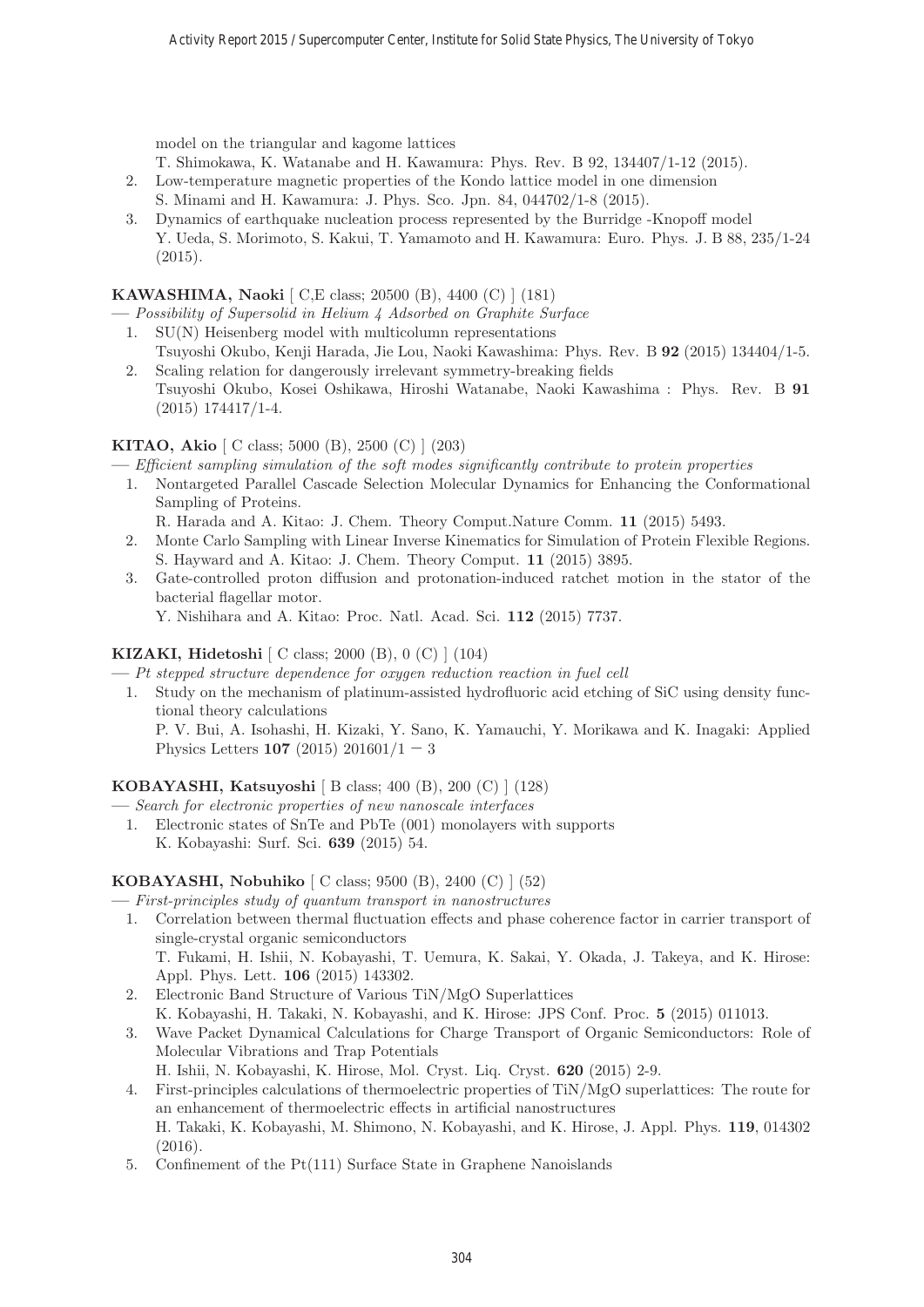model on the triangular and kagome lattices

- T. Shimokawa, K. Watanabe and H. Kawamura: Phys. Rev. B 92, 134407/1-12 (2015).
- 2. Low-temperature magnetic properties of the Kondo lattice model in one dimension S. Minami and H. Kawamura: J. Phys. Sco. Jpn. 84, 044702/1-8 (2015).
- 3. Dynamics of earthquake nucleation process represented by the Burridge -Knopoff model Y. Ueda, S. Morimoto, S. Kakui, T. Yamamoto and H. Kawamura: Euro. Phys. J. B 88, 235/1-24 (2015).

# **KAWASHIMA, Naoki** [ C,E class; 20500 (B), 4400 (C) ] (181)

**—** Possibility of Supersolid in Helium 4 Adsorbed on Graphite Surface

- 1. SU(N) Heisenberg model with multicolumn representations Tsuyoshi Okubo, Kenji Harada, Jie Lou, Naoki Kawashima: Phys. Rev. B **92** (2015) 134404/1-5.
- 2. Scaling relation for dangerously irrelevant symmetry-breaking fields Tsuyoshi Okubo, Kosei Oshikawa, Hiroshi Watanabe, Naoki Kawashima : Phys. Rev. B **91** (2015) 174417/1-4.

# **KITAO, Akio** [ C class; 5000 (B), 2500 (C) ] (203)

**—** Efficient sampling simulation of the soft modes significantly contribute to protein properties

- 1. Nontargeted Parallel Cascade Selection Molecular Dynamics for Enhancing the Conformational Sampling of Proteins.
	- R. Harada and A. Kitao: J. Chem. Theory Comput.Nature Comm. **11** (2015) 5493.
- 2. Monte Carlo Sampling with Linear Inverse Kinematics for Simulation of Protein Flexible Regions. S. Hayward and A. Kitao: J. Chem. Theory Comput. **11** (2015) 3895.
- 3. Gate-controlled proton diffusion and protonation-induced ratchet motion in the stator of the bacterial flagellar motor.

Y. Nishihara and A. Kitao: Proc. Natl. Acad. Sci. **112** (2015) 7737.

#### **KIZAKI, Hidetoshi** [ C class; 2000 (B), 0 (C) ] (104)

- **—** Pt stepped structure dependence for oxygen reduction reaction in fuel cell
	- 1. Study on the mechanism of platinum-assisted hydrofluoric acid etching of SiC using density functional theory calculations P. V. Bui, A. Isohashi, H. Kizaki, Y. Sano, K. Yamauchi, Y. Morikawa and K. Inagaki: Applied Physics Letters **107** (2015)  $201601/1 - 3$

# **KOBAYASHI, Katsuyoshi** [ B class; 400 (B), 200 (C) ] (128)

- **—** Search for electronic properties of new nanoscale interfaces
	- 1. Electronic states of SnTe and PbTe (001) monolayers with supports K. Kobayashi: Surf. Sci. **639** (2015) 54.

# **KOBAYASHI, Nobuhiko** [ C class; 9500 (B), 2400 (C) ] (52)

**—** First-principles study of quantum transport in nanostructures

- 1. Correlation between thermal fluctuation effects and phase coherence factor in carrier transport of single-crystal organic semiconductors T. Fukami, H. Ishii, N. Kobayashi, T. Uemura, K. Sakai, Y. Okada, J. Takeya, and K. Hirose: Appl. Phys. Lett. **106** (2015) 143302.
- 2. Electronic Band Structure of Various TiN/MgO Superlattices
	- K. Kobayashi, H. Takaki, N. Kobayashi, and K. Hirose: JPS Conf. Proc. **5** (2015) 011013.
- 3. Wave Packet Dynamical Calculations for Charge Transport of Organic Semiconductors: Role of Molecular Vibrations and Trap Potentials H. Ishii, N. Kobayashi, K. Hirose, Mol. Cryst. Liq. Cryst. **620** (2015) 2-9.
- 4. First-principles calculations of thermoelectric properties of TiN/MgO superlattices: The route for an enhancement of thermoelectric effects in artificial nanostructures H. Takaki, K. Kobayashi, M. Shimono, N. Kobayashi, and K. Hirose, J. Appl. Phys. **119**, 014302 (2016).
- 5. Confinement of the Pt(111) Surface State in Graphene Nanoislands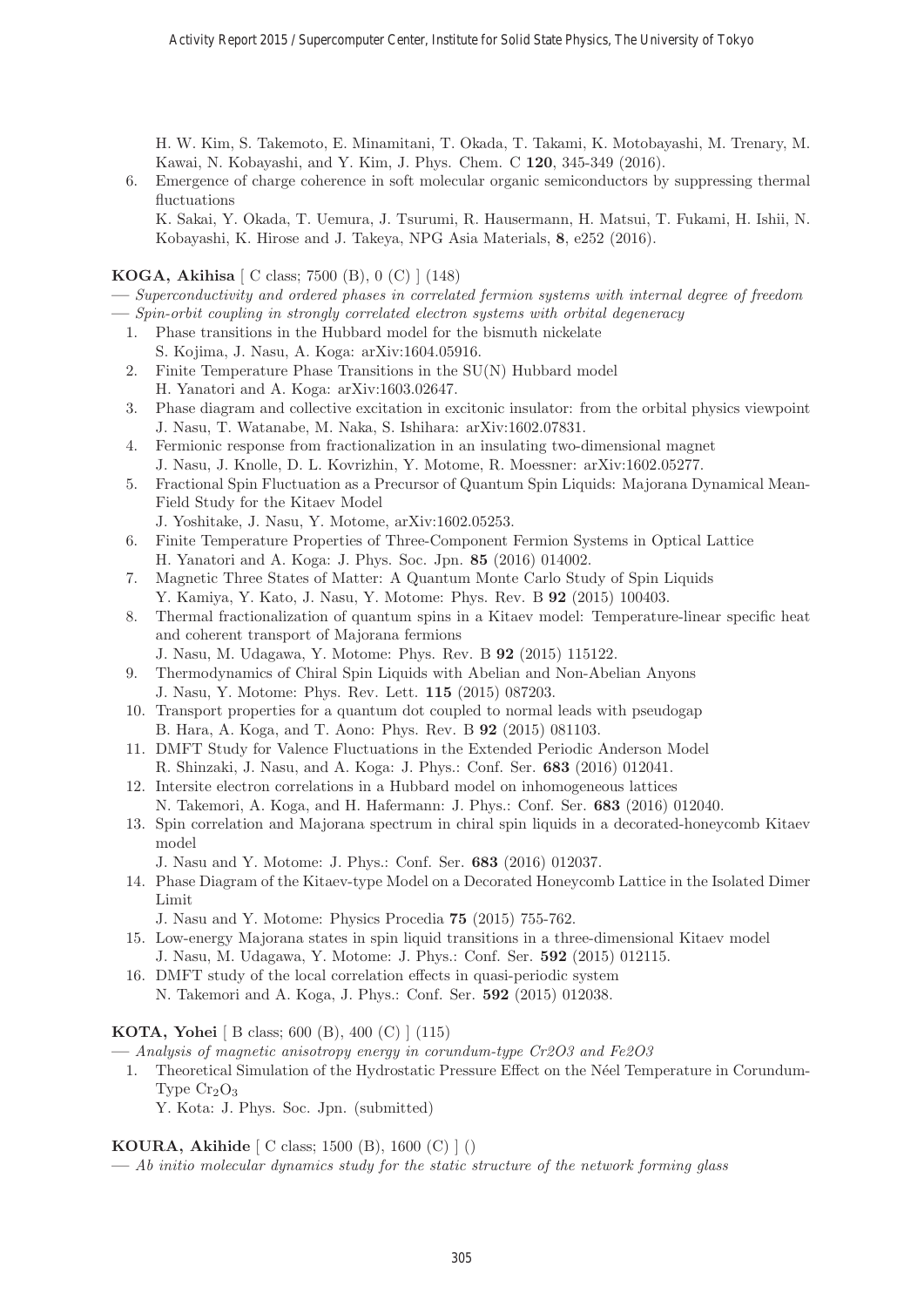H. W. Kim, S. Takemoto, E. Minamitani, T. Okada, T. Takami, K. Motobayashi, M. Trenary, M. Kawai, N. Kobayashi, and Y. Kim, J. Phys. Chem. C **120**, 345-349 (2016).

6. Emergence of charge coherence in soft molecular organic semiconductors by suppressing thermal fluctuations

K. Sakai, Y. Okada, T. Uemura, J. Tsurumi, R. Hausermann, H. Matsui, T. Fukami, H. Ishii, N. Kobayashi, K. Hirose and J. Takeya, NPG Asia Materials, **8**, e252 (2016).

**KOGA, Akihisa** [ C class; 7500 (B), 0 (C) ] (148)

- **—** Superconductivity and ordered phases in correlated fermion systems with internal degree of freedom
- **—** Spin-orbit coupling in strongly correlated electron systems with orbital degeneracy
	- 1. Phase transitions in the Hubbard model for the bismuth nickelate S. Kojima, J. Nasu, A. Koga: arXiv:1604.05916.
	- 2. Finite Temperature Phase Transitions in the SU(N) Hubbard model H. Yanatori and A. Koga: arXiv:1603.02647.
	- 3. Phase diagram and collective excitation in excitonic insulator: from the orbital physics viewpoint J. Nasu, T. Watanabe, M. Naka, S. Ishihara: arXiv:1602.07831.
	- 4. Fermionic response from fractionalization in an insulating two-dimensional magnet J. Nasu, J. Knolle, D. L. Kovrizhin, Y. Motome, R. Moessner: arXiv:1602.05277.
	- 5. Fractional Spin Fluctuation as a Precursor of Quantum Spin Liquids: Majorana Dynamical Mean-Field Study for the Kitaev Model
		- J. Yoshitake, J. Nasu, Y. Motome, arXiv:1602.05253.
	- 6. Finite Temperature Properties of Three-Component Fermion Systems in Optical Lattice H. Yanatori and A. Koga: J. Phys. Soc. Jpn. **85** (2016) 014002.
	- 7. Magnetic Three States of Matter: A Quantum Monte Carlo Study of Spin Liquids Y. Kamiya, Y. Kato, J. Nasu, Y. Motome: Phys. Rev. B **92** (2015) 100403.
	- 8. Thermal fractionalization of quantum spins in a Kitaev model: Temperature-linear specific heat and coherent transport of Majorana fermions
		- J. Nasu, M. Udagawa, Y. Motome: Phys. Rev. B **92** (2015) 115122.
	- 9. Thermodynamics of Chiral Spin Liquids with Abelian and Non-Abelian Anyons J. Nasu, Y. Motome: Phys. Rev. Lett. **115** (2015) 087203.
	- 10. Transport properties for a quantum dot coupled to normal leads with pseudogap B. Hara, A. Koga, and T. Aono: Phys. Rev. B **92** (2015) 081103.
	- 11. DMFT Study for Valence Fluctuations in the Extended Periodic Anderson Model R. Shinzaki, J. Nasu, and A. Koga: J. Phys.: Conf. Ser. **683** (2016) 012041.
	- 12. Intersite electron correlations in a Hubbard model on inhomogeneous lattices N. Takemori, A. Koga, and H. Hafermann: J. Phys.: Conf. Ser. **683** (2016) 012040.
	- 13. Spin correlation and Majorana spectrum in chiral spin liquids in a decorated-honeycomb Kitaev model
		- J. Nasu and Y. Motome: J. Phys.: Conf. Ser. **683** (2016) 012037.
	- 14. Phase Diagram of the Kitaev-type Model on a Decorated Honeycomb Lattice in the Isolated Dimer Limit

J. Nasu and Y. Motome: Physics Procedia **75** (2015) 755-762.

- 15. Low-energy Majorana states in spin liquid transitions in a three-dimensional Kitaev model J. Nasu, M. Udagawa, Y. Motome: J. Phys.: Conf. Ser. **592** (2015) 012115.
- 16. DMFT study of the local correlation effects in quasi-periodic system N. Takemori and A. Koga, J. Phys.: Conf. Ser. **592** (2015) 012038.

**KOTA, Yohei** [ B class; 600 (B), 400 (C) ] (115)

**—** Analysis of magnetic anisotropy energy in corundum-type Cr2O3 and Fe2O3

- 1. Theoretical Simulation of the Hydrostatic Pressure Effect on the N´eel Temperature in Corundum-Type  $Cr_2O_3$ 
	- Y. Kota: J. Phys. Soc. Jpn. (submitted)

**KOURA, Akihide** [ C class; 1500 (B), 1600 (C) ] ()

**—** Ab initio molecular dynamics study for the static structure of the network forming glass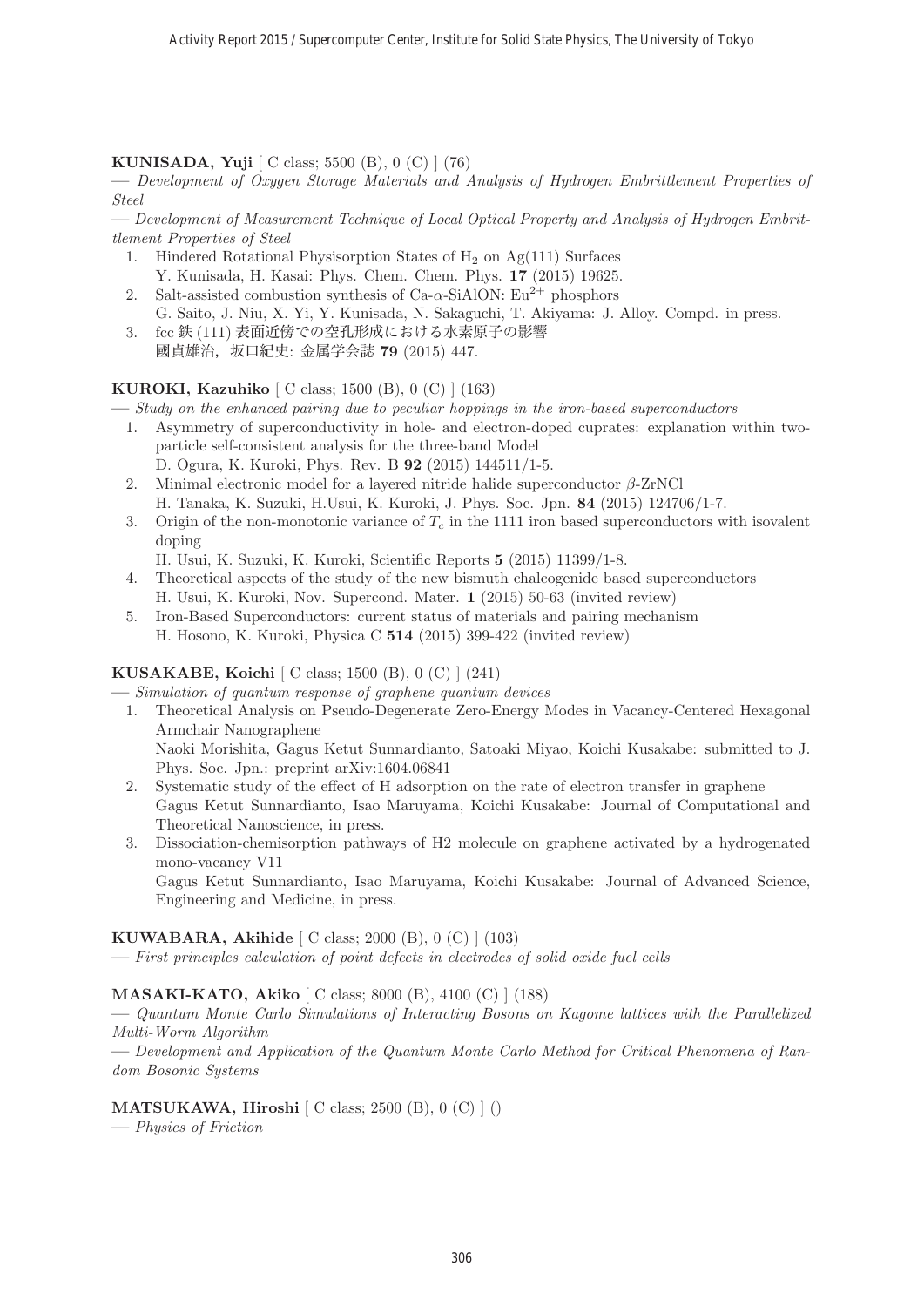**KUNISADA, Yuji** [ C class; 5500 (B), 0 (C) ] (76)

**—** Development of Oxygen Storage Materials and Analysis of Hydrogen Embrittlement Properties of Steel

**—** Development of Measurement Technique of Local Optical Property and Analysis of Hydrogen Embrittlement Properties of Steel

- 1. Hindered Rotational Physisorption States of  $H_2$  on Ag(111) Surfaces Y. Kunisada, H. Kasai: Phys. Chem. Chem. Phys. **17** (2015) 19625.
- 2. Salt-assisted combustion synthesis of Ca- $\alpha$ -SiAlON: Eu<sup>2+</sup> phosphors G. Saito, J. Niu, X. Yi, Y. Kunisada, N. Sakaguchi, T. Akiyama: J. Alloy. Compd. in press.
- 3. fcc 鉄 (111) 表面近傍での空孔形成における水素原子の影響 國貞雄治,坂口紀史: 金属学会誌 **79** (2015) 447.

**KUROKI, Kazuhiko** [ C class; 1500 (B), 0 (C) ] (163)

**—** Study on the enhanced pairing due to peculiar hoppings in the iron-based superconductors

- 1. Asymmetry of superconductivity in hole- and electron-doped cuprates: explanation within twoparticle self-consistent analysis for the three-band Model D. Ogura, K. Kuroki, Phys. Rev. B **92** (2015) 144511/1-5.
- 2. Minimal electronic model for a layered nitride halide superconductor  $\beta$ -ZrNCl H. Tanaka, K. Suzuki, H.Usui, K. Kuroki, J. Phys. Soc. Jpn. **84** (2015) 124706/1-7.
- 3. Origin of the non-monotonic variance of  $T_c$  in the 1111 iron based superconductors with isovalent doping

H. Usui, K. Suzuki, K. Kuroki, Scientific Reports **5** (2015) 11399/1-8.

- 4. Theoretical aspects of the study of the new bismuth chalcogenide based superconductors H. Usui, K. Kuroki, Nov. Supercond. Mater. **1** (2015) 50-63 (invited review)
- 5. Iron-Based Superconductors: current status of materials and pairing mechanism H. Hosono, K. Kuroki, Physica C **514** (2015) 399-422 (invited review)

# **KUSAKABE, Koichi** [ C class; 1500 (B), 0 (C) ] (241)

**—** Simulation of quantum response of graphene quantum devices

- 1. Theoretical Analysis on Pseudo-Degenerate Zero-Energy Modes in Vacancy-Centered Hexagonal Armchair Nanographene Naoki Morishita, Gagus Ketut Sunnardianto, Satoaki Miyao, Koichi Kusakabe: submitted to J. Phys. Soc. Jpn.: preprint arXiv:1604.06841
- 2. Systematic study of the effect of H adsorption on the rate of electron transfer in graphene Gagus Ketut Sunnardianto, Isao Maruyama, Koichi Kusakabe: Journal of Computational and Theoretical Nanoscience, in press.
- 3. Dissociation-chemisorption pathways of H2 molecule on graphene activated by a hydrogenated mono-vacancy V11

Gagus Ketut Sunnardianto, Isao Maruyama, Koichi Kusakabe: Journal of Advanced Science, Engineering and Medicine, in press.

# **KUWABARA, Akihide** [ C class; 2000 (B), 0 (C) ] (103)

**—** First principles calculation of point defects in electrodes of solid oxide fuel cells

# **MASAKI-KATO, Akiko** [ C class; 8000 (B), 4100 (C) ] (188)

**—** Quantum Monte Carlo Simulations of Interacting Bosons on Kagome lattices with the Parallelized Multi-Worm Algorithm

**—** Development and Application of the Quantum Monte Carlo Method for Critical Phenomena of Random Bosonic Systems

# **MATSUKAWA, Hiroshi** [ C class; 2500 (B), 0 (C) ] ()

**—** Physics of Friction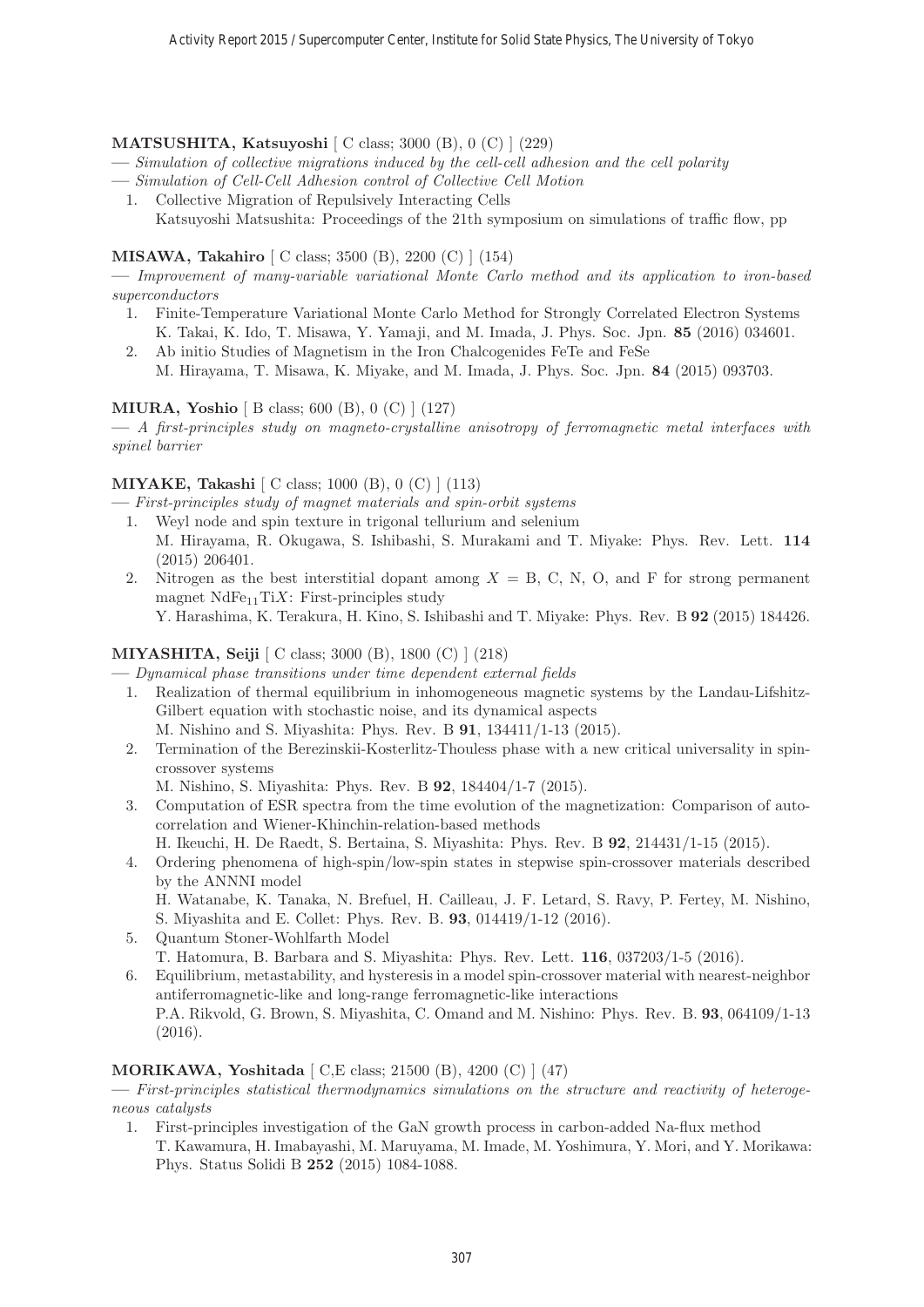# **MATSUSHITA, Katsuyoshi** [ C class; 3000 (B), 0 (C) ] (229)

- **—** Simulation of collective migrations induced by the cell-cell adhesion and the cell polarity
- **—** Simulation of Cell-Cell Adhesion control of Collective Cell Motion
- 1. Collective Migration of Repulsively Interacting Cells Katsuyoshi Matsushita: Proceedings of the 21th symposium on simulations of traffic flow, pp

# **MISAWA, Takahiro** [ C class; 3500 (B), 2200 (C) ] (154)

**—** Improvement of many-variable variational Monte Carlo method and its application to iron-based superconductors

- 1. Finite-Temperature Variational Monte Carlo Method for Strongly Correlated Electron Systems K. Takai, K. Ido, T. Misawa, Y. Yamaji, and M. Imada, J. Phys. Soc. Jpn. **85** (2016) 034601.
- 2. Ab initio Studies of Magnetism in the Iron Chalcogenides FeTe and FeSe M. Hirayama, T. Misawa, K. Miyake, and M. Imada, J. Phys. Soc. Jpn. **84** (2015) 093703.

# **MIURA, Yoshio** [ B class; 600 (B), 0 (C) ] (127)

**—** A first-principles study on magneto-crystalline anisotropy of ferromagnetic metal interfaces with spinel barrier

# **MIYAKE, Takashi** [ C class; 1000 (B), 0 (C) ] (113)

**—** First-principles study of magnet materials and spin-orbit systems

- 1. Weyl node and spin texture in trigonal tellurium and selenium M. Hirayama, R. Okugawa, S. Ishibashi, S. Murakami and T. Miyake: Phys. Rev. Lett. **114** (2015) 206401.
- 2. Nitrogen as the best interstitial dopant among  $X = B$ , C, N, O, and F for strong permanent magnet  $NdFe_{11}TiX$ : First-principles study

Y. Harashima, K. Terakura, H. Kino, S. Ishibashi and T. Miyake: Phys. Rev. B **92** (2015) 184426.

# **MIYASHITA, Seiji** [ C class; 3000 (B), 1800 (C) ] (218)

**—** Dynamical phase transitions under time dependent external fields

1. Realization of thermal equilibrium in inhomogeneous magnetic systems by the Landau-Lifshitz-Gilbert equation with stochastic noise, and its dynamical aspects

M. Nishino and S. Miyashita: Phys. Rev. B **91**, 134411/1-13 (2015).

2. Termination of the Berezinskii-Kosterlitz-Thouless phase with a new critical universality in spincrossover systems

M. Nishino, S. Miyashita: Phys. Rev. B **92**, 184404/1-7 (2015).

- 3. Computation of ESR spectra from the time evolution of the magnetization: Comparison of autocorrelation and Wiener-Khinchin-relation-based methods
	- H. Ikeuchi, H. De Raedt, S. Bertaina, S. Miyashita: Phys. Rev. B **92**, 214431/1-15 (2015).
- 4. Ordering phenomena of high-spin/low-spin states in stepwise spin-crossover materials described by the ANNNI model

H. Watanabe, K. Tanaka, N. Brefuel, H. Cailleau, J. F. Letard, S. Ravy, P. Fertey, M. Nishino, S. Miyashita and E. Collet: Phys. Rev. B. **93**, 014419/1-12 (2016).

- 5. Quantum Stoner-Wohlfarth Model
	- T. Hatomura, B. Barbara and S. Miyashita: Phys. Rev. Lett. **116**, 037203/1-5 (2016).
- 6. Equilibrium, metastability, and hysteresis in a model spin-crossover material with nearest-neighbor antiferromagnetic-like and long-range ferromagnetic-like interactions P.A. Rikvold, G. Brown, S. Miyashita, C. Omand and M. Nishino: Phys. Rev. B. **93**, 064109/1-13 (2016).

#### **MORIKAWA, Yoshitada** [ C,E class; 21500 (B), 4200 (C) ] (47)

**—** First-principles statistical thermodynamics simulations on the structure and reactivity of heterogeneous catalysts

1. First-principles investigation of the GaN growth process in carbon-added Na-flux method T. Kawamura, H. Imabayashi, M. Maruyama, M. Imade, M. Yoshimura, Y. Mori, and Y. Morikawa: Phys. Status Solidi B **252** (2015) 1084-1088.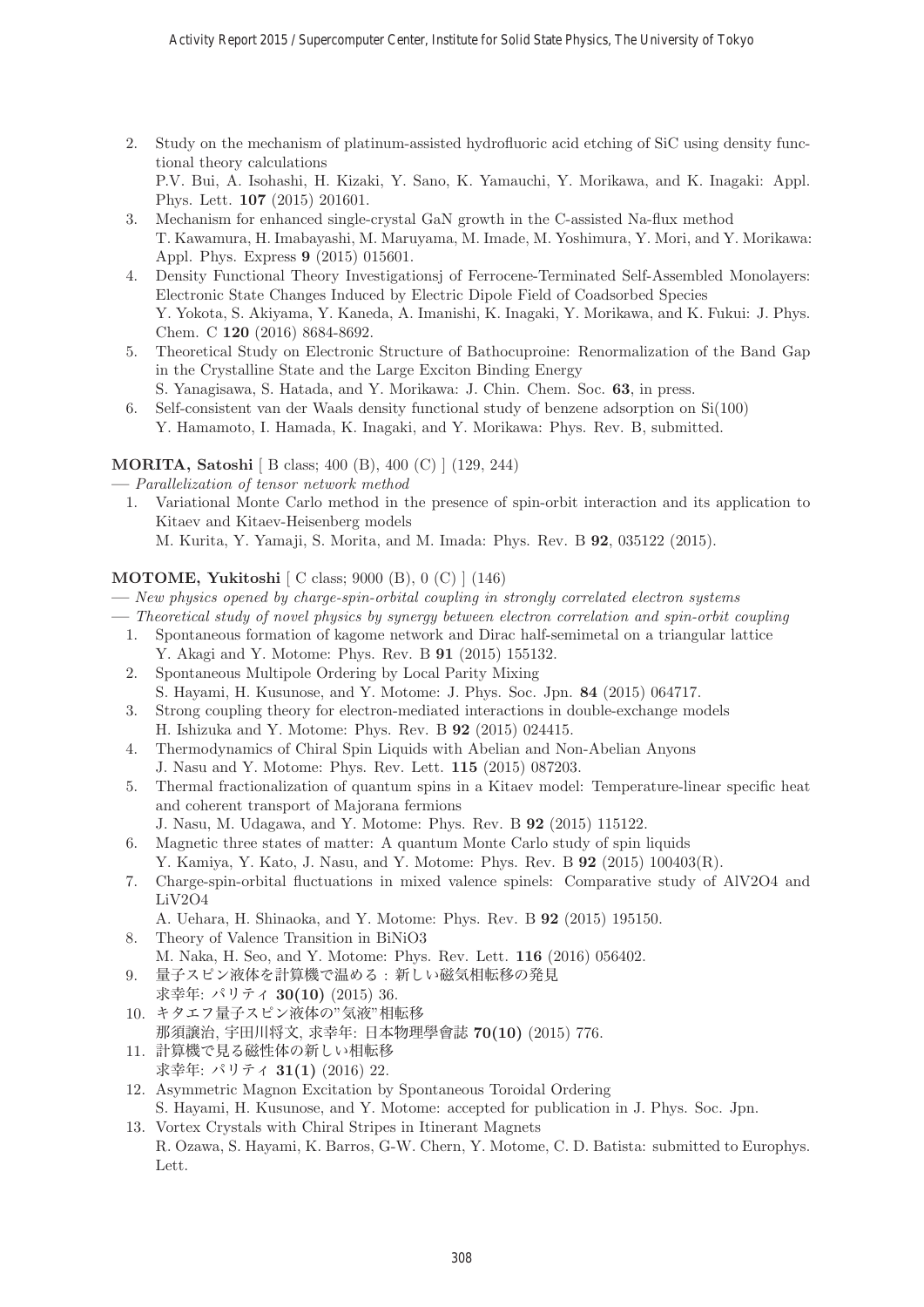- 2. Study on the mechanism of platinum-assisted hydrofluoric acid etching of SiC using density functional theory calculations P.V. Bui, A. Isohashi, H. Kizaki, Y. Sano, K. Yamauchi, Y. Morikawa, and K. Inagaki: Appl. Phys. Lett. **107** (2015) 201601.
- 3. Mechanism for enhanced single-crystal GaN growth in the C-assisted Na-flux method T. Kawamura, H. Imabayashi, M. Maruyama, M. Imade, M. Yoshimura, Y. Mori, and Y. Morikawa: Appl. Phys. Express **9** (2015) 015601.
- 4. Density Functional Theory Investigationsj of Ferrocene-Terminated Self-Assembled Monolayers: Electronic State Changes Induced by Electric Dipole Field of Coadsorbed Species Y. Yokota, S. Akiyama, Y. Kaneda, A. Imanishi, K. Inagaki, Y. Morikawa, and K. Fukui: J. Phys. Chem. C **120** (2016) 8684-8692.
- 5. Theoretical Study on Electronic Structure of Bathocuproine: Renormalization of the Band Gap in the Crystalline State and the Large Exciton Binding Energy S. Yanagisawa, S. Hatada, and Y. Morikawa: J. Chin. Chem. Soc. **63**, in press.
- 6. Self-consistent van der Waals density functional study of benzene adsorption on Si(100) Y. Hamamoto, I. Hamada, K. Inagaki, and Y. Morikawa: Phys. Rev. B, submitted.

# **MORITA, Satoshi** [ B class; 400 (B), 400 (C) ] (129, 244)

- **—** Parallelization of tensor network method
- 1. Variational Monte Carlo method in the presence of spin-orbit interaction and its application to Kitaev and Kitaev-Heisenberg models M. Kurita, Y. Yamaji, S. Morita, and M. Imada: Phys. Rev. B **92**, 035122 (2015).

# **MOTOME, Yukitoshi** [ C class; 9000 (B), 0 (C) ] (146)

- **—** New physics opened by charge-spin-orbital coupling in strongly correlated electron systems
- **—** Theoretical study of novel physics by synergy between electron correlation and spin-orbit coupling
- 1. Spontaneous formation of kagome network and Dirac half-semimetal on a triangular lattice
- Y. Akagi and Y. Motome: Phys. Rev. B **91** (2015) 155132.
- 2. Spontaneous Multipole Ordering by Local Parity Mixing S. Hayami, H. Kusunose, and Y. Motome: J. Phys. Soc. Jpn. **84** (2015) 064717.
- 3. Strong coupling theory for electron-mediated interactions in double-exchange models H. Ishizuka and Y. Motome: Phys. Rev. B **92** (2015) 024415.
- 4. Thermodynamics of Chiral Spin Liquids with Abelian and Non-Abelian Anyons J. Nasu and Y. Motome: Phys. Rev. Lett. **115** (2015) 087203.
- 5. Thermal fractionalization of quantum spins in a Kitaev model: Temperature-linear specific heat and coherent transport of Majorana fermions
	- J. Nasu, M. Udagawa, and Y. Motome: Phys. Rev. B **92** (2015) 115122.
- 6. Magnetic three states of matter: A quantum Monte Carlo study of spin liquids Y. Kamiya, Y. Kato, J. Nasu, and Y. Motome: Phys. Rev. B **92** (2015) 100403(R).
- 7. Charge-spin-orbital fluctuations in mixed valence spinels: Comparative study of AlV2O4 and LiV2O4
	- A. Uehara, H. Shinaoka, and Y. Motome: Phys. Rev. B **92** (2015) 195150.
- 8. Theory of Valence Transition in BiNiO3 M. Naka, H. Seo, and Y. Motome: Phys. Rev. Lett. **116** (2016) 056402.
- 9. 量子スピン液体を計算機で温める : 新しい磁気相転移の発見 求幸年: パリティ **30(10)** (2015) 36.
- 10. キタエフ量子スピン液体の"気液"相転移 那須譲治, 宇田川将文, 求幸年: 日本物理學會誌 **70(10)** (2015) 776.
- 11. 計算機で見る磁性体の新しい相転移 求幸年: パリティ **31(1)** (2016) 22.
- 12. Asymmetric Magnon Excitation by Spontaneous Toroidal Ordering S. Hayami, H. Kusunose, and Y. Motome: accepted for publication in J. Phys. Soc. Jpn.
- 13. Vortex Crystals with Chiral Stripes in Itinerant Magnets R. Ozawa, S. Hayami, K. Barros, G-W. Chern, Y. Motome, C. D. Batista: submitted to Europhys. Lett.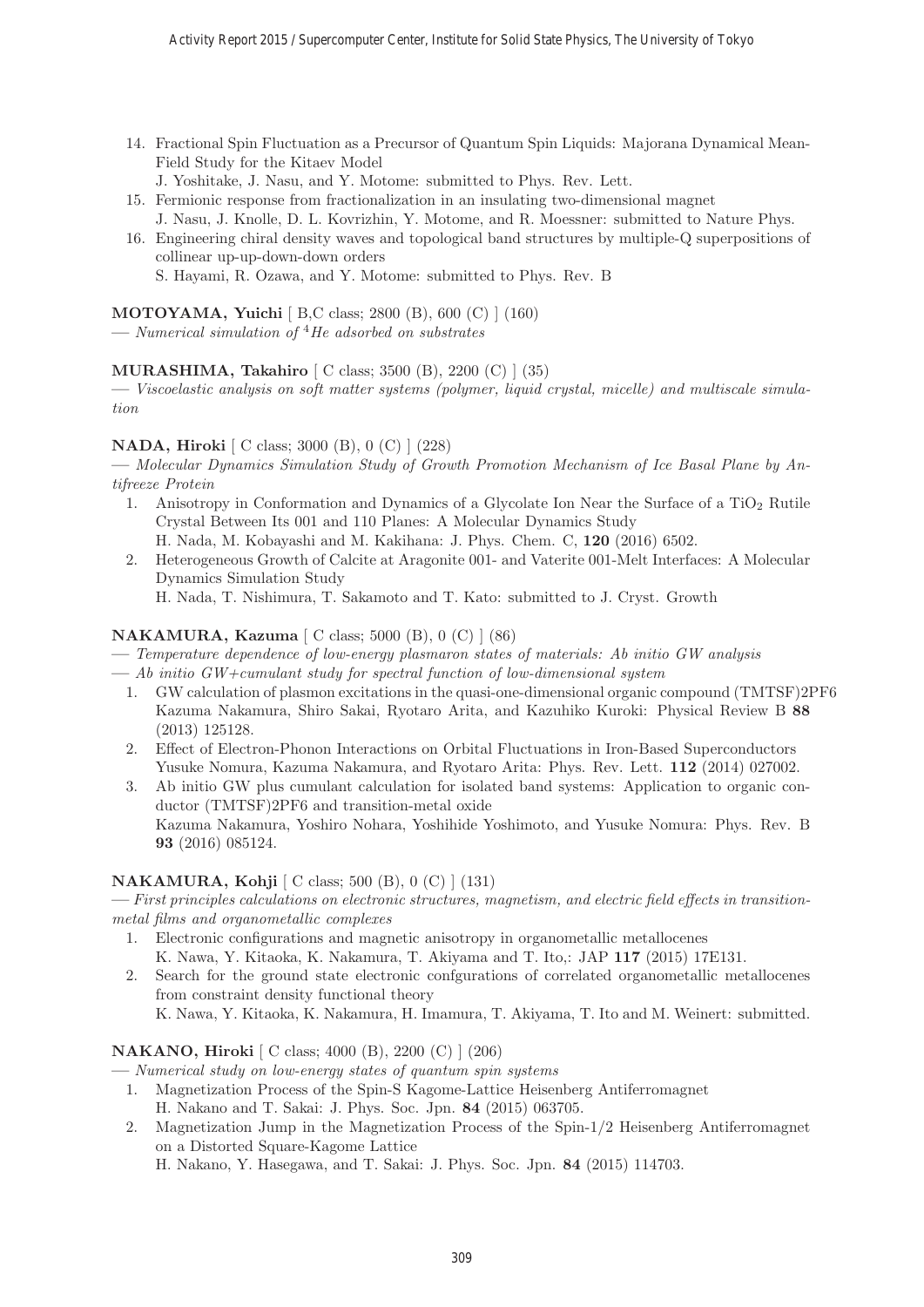- 14. Fractional Spin Fluctuation as a Precursor of Quantum Spin Liquids: Majorana Dynamical Mean-Field Study for the Kitaev Model
	- J. Yoshitake, J. Nasu, and Y. Motome: submitted to Phys. Rev. Lett.
- 15. Fermionic response from fractionalization in an insulating two-dimensional magnet
- J. Nasu, J. Knolle, D. L. Kovrizhin, Y. Motome, and R. Moessner: submitted to Nature Phys. 16. Engineering chiral density waves and topological band structures by multiple-Q superpositions of

collinear up-up-down-down orders S. Hayami, R. Ozawa, and Y. Motome: submitted to Phys. Rev. B

**MOTOYAMA, Yuichi** [ B,C class; 2800 (B), 600 (C) ] (160)

**—** Numerical simulation of <sup>4</sup>He adsorbed on substrates

# **MURASHIMA, Takahiro** [ C class; 3500 (B), 2200 (C) ] (35)

**—** Viscoelastic analysis on soft matter systems (polymer, liquid crystal, micelle) and multiscale simulation

# **NADA, Hiroki** [ C class; 3000 (B), 0 (C) ] (228)

**—** Molecular Dynamics Simulation Study of Growth Promotion Mechanism of Ice Basal Plane by Antifreeze Protein

- 1. Anisotropy in Conformation and Dynamics of a Glycolate Ion Near the Surface of a  $TiO<sub>2</sub>$  Rutile Crystal Between Its 001 and 110 Planes: A Molecular Dynamics Study
- H. Nada, M. Kobayashi and M. Kakihana: J. Phys. Chem. C, **120** (2016) 6502. 2. Heterogeneous Growth of Calcite at Aragonite 001- and Vaterite 001-Melt Interfaces: A Molecular Dynamics Simulation Study

H. Nada, T. Nishimura, T. Sakamoto and T. Kato: submitted to J. Cryst. Growth

# **NAKAMURA, Kazuma** [ C class; 5000 (B), 0 (C) ] (86)

- **—** Temperature dependence of low-energy plasmaron states of materials: Ab initio GW analysis
- **—** Ab initio GW+cumulant study for spectral function of low-dimensional system
	- 1. GW calculation of plasmon excitations in the quasi-one-dimensional organic compound (TMTSF)2PF6 Kazuma Nakamura, Shiro Sakai, Ryotaro Arita, and Kazuhiko Kuroki: Physical Review B **88** (2013) 125128.
	- 2. Effect of Electron-Phonon Interactions on Orbital Fluctuations in Iron-Based Superconductors Yusuke Nomura, Kazuma Nakamura, and Ryotaro Arita: Phys. Rev. Lett. **112** (2014) 027002.
	- 3. Ab initio GW plus cumulant calculation for isolated band systems: Application to organic conductor (TMTSF)2PF6 and transition-metal oxide Kazuma Nakamura, Yoshiro Nohara, Yoshihide Yoshimoto, and Yusuke Nomura: Phys. Rev. B **93** (2016) 085124.

# **NAKAMURA, Kohji** [ C class; 500 (B), 0 (C) ] (131)

**—** First principles calculations on electronic structures, magnetism, and electric field effects in transitionmetal films and organometallic complexes

- 1. Electronic configurations and magnetic anisotropy in organometallic metallocenes K. Nawa, Y. Kitaoka, K. Nakamura, T. Akiyama and T. Ito,: JAP **117** (2015) 17E131.
- 2. Search for the ground state electronic confgurations of correlated organometallic metallocenes from constraint density functional theory K. Nawa, Y. Kitaoka, K. Nakamura, H. Imamura, T. Akiyama, T. Ito and M. Weinert: submitted.

# **NAKANO, Hiroki** [ C class; 4000 (B), 2200 (C) ] (206)

**—** Numerical study on low-energy states of quantum spin systems

- 1. Magnetization Process of the Spin-S Kagome-Lattice Heisenberg Antiferromagnet H. Nakano and T. Sakai: J. Phys. Soc. Jpn. **84** (2015) 063705.
- 2. Magnetization Jump in the Magnetization Process of the Spin-1/2 Heisenberg Antiferromagnet on a Distorted Square-Kagome Lattice

H. Nakano, Y. Hasegawa, and T. Sakai: J. Phys. Soc. Jpn. **84** (2015) 114703.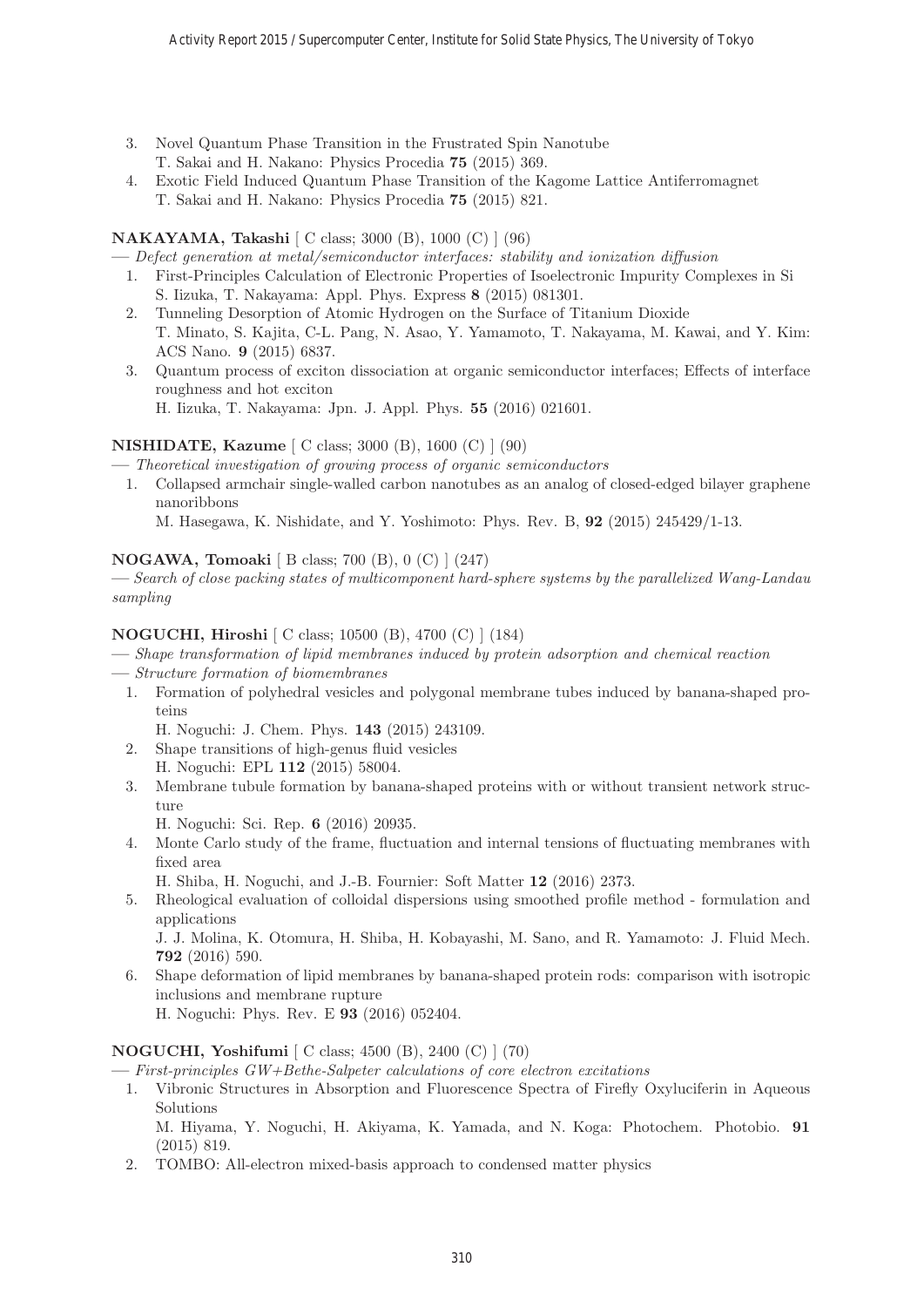- 3. Novel Quantum Phase Transition in the Frustrated Spin Nanotube T. Sakai and H. Nakano: Physics Procedia **75** (2015) 369.
- 4. Exotic Field Induced Quantum Phase Transition of the Kagome Lattice Antiferromagnet T. Sakai and H. Nakano: Physics Procedia **75** (2015) 821.

# **NAKAYAMA, Takashi** [ C class; 3000 (B), 1000 (C) ] (96)

**—** Defect generation at metal/semiconductor interfaces: stability and ionization diffusion

- 1. First-Principles Calculation of Electronic Properties of Isoelectronic Impurity Complexes in Si S. Iizuka, T. Nakayama: Appl. Phys. Express **8** (2015) 081301.
- 2. Tunneling Desorption of Atomic Hydrogen on the Surface of Titanium Dioxide T. Minato, S. Kajita, C-L. Pang, N. Asao, Y. Yamamoto, T. Nakayama, M. Kawai, and Y. Kim: ACS Nano. **9** (2015) 6837.
- 3. Quantum process of exciton dissociation at organic semiconductor interfaces; Effects of interface roughness and hot exciton H. Iizuka, T. Nakayama: Jpn. J. Appl. Phys. **55** (2016) 021601.

# **NISHIDATE, Kazume** [ C class; 3000 (B), 1600 (C) ] (90)

**—** Theoretical investigation of growing process of organic semiconductors

1. Collapsed armchair single-walled carbon nanotubes as an analog of closed-edged bilayer graphene nanoribbons

M. Hasegawa, K. Nishidate, and Y. Yoshimoto: Phys. Rev. B, **92** (2015) 245429/1-13.

# **NOGAWA, Tomoaki** [ B class; 700 (B), 0 (C) ] (247)

**—** Search of close packing states of multicomponent hard-sphere systems by the parallelized Wang-Landau sampling

# **NOGUCHI, Hiroshi** [ C class; 10500 (B), 4700 (C) ] (184)

**—** Shape transformation of lipid membranes induced by protein adsorption and chemical reaction

- **—** Structure formation of biomembranes
	- 1. Formation of polyhedral vesicles and polygonal membrane tubes induced by banana-shaped proteins

H. Noguchi: J. Chem. Phys. **143** (2015) 243109.

- 2. Shape transitions of high-genus fluid vesicles H. Noguchi: EPL **112** (2015) 58004.
- 3. Membrane tubule formation by banana-shaped proteins with or without transient network structure

H. Noguchi: Sci. Rep. **6** (2016) 20935.

4. Monte Carlo study of the frame, fluctuation and internal tensions of fluctuating membranes with fixed area

H. Shiba, H. Noguchi, and J.-B. Fournier: Soft Matter **12** (2016) 2373.

5. Rheological evaluation of colloidal dispersions using smoothed profile method - formulation and applications

J. J. Molina, K. Otomura, H. Shiba, H. Kobayashi, M. Sano, and R. Yamamoto: J. Fluid Mech. **792** (2016) 590.

6. Shape deformation of lipid membranes by banana-shaped protein rods: comparison with isotropic inclusions and membrane rupture H. Noguchi: Phys. Rev. E **93** (2016) 052404.

# **NOGUCHI, Yoshifumi** [ C class; 4500 (B), 2400 (C) ] (70)

**—** First-principles GW+Bethe-Salpeter calculations of core electron excitations

1. Vibronic Structures in Absorption and Fluorescence Spectra of Firefly Oxyluciferin in Aqueous Solutions

M. Hiyama, Y. Noguchi, H. Akiyama, K. Yamada, and N. Koga: Photochem. Photobio. **91** (2015) 819.

2. TOMBO: All-electron mixed-basis approach to condensed matter physics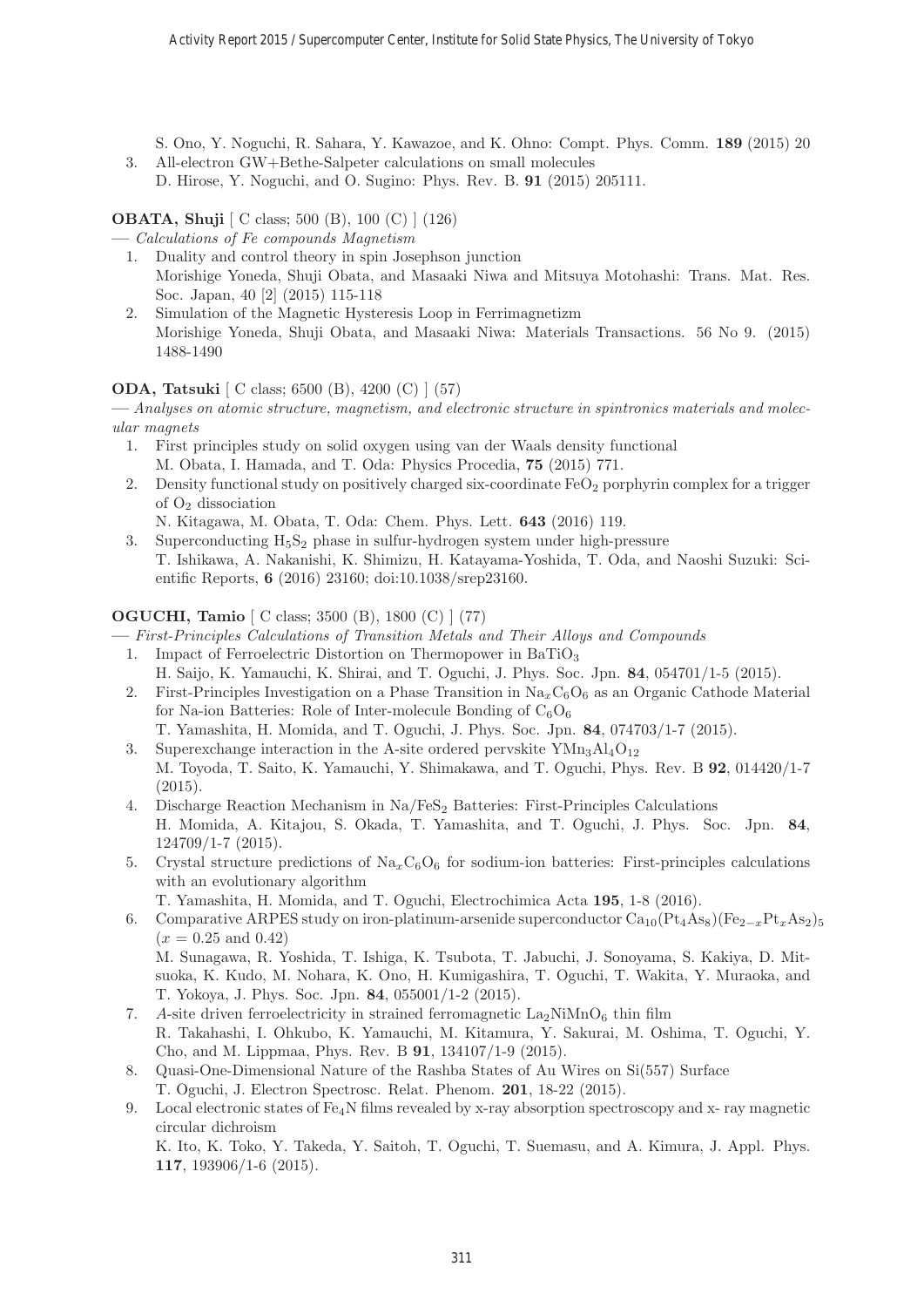S. Ono, Y. Noguchi, R. Sahara, Y. Kawazoe, and K. Ohno: Compt. Phys. Comm. **189** (2015) 20

3. All-electron GW+Bethe-Salpeter calculations on small molecules D. Hirose, Y. Noguchi, and O. Sugino: Phys. Rev. B. **91** (2015) 205111.

**OBATA, Shuji** [ C class; 500 (B), 100 (C) ] (126)

**—** Calculations of Fe compounds Magnetism

- 1. Duality and control theory in spin Josephson junction Morishige Yoneda, Shuji Obata, and Masaaki Niwa and Mitsuya Motohashi: Trans. Mat. Res. Soc. Japan, 40 [2] (2015) 115-118
- 2. Simulation of the Magnetic Hysteresis Loop in Ferrimagnetizm Morishige Yoneda, Shuji Obata, and Masaaki Niwa: Materials Transactions. 56 No 9. (2015) 1488-1490

# **ODA, Tatsuki** [ C class; 6500 (B), 4200 (C) ] (57)

**—** Analyses on atomic structure, magnetism, and electronic structure in spintronics materials and molecular magnets

- 1. First principles study on solid oxygen using van der Waals density functional M. Obata, I. Hamada, and T. Oda: Physics Procedia, **75** (2015) 771.
- 2. Density functional study on positively charged six-coordinate  $FeO<sub>2</sub>$  porphyrin complex for a trigger of O<sup>2</sup> dissociation

N. Kitagawa, M. Obata, T. Oda: Chem. Phys. Lett. **643** (2016) 119.

3. Superconducting  $H_5S_2$  phase in sulfur-hydrogen system under high-pressure T. Ishikawa, A. Nakanishi, K. Shimizu, H. Katayama-Yoshida, T. Oda, and Naoshi Suzuki: Scientific Reports, **6** (2016) 23160; doi:10.1038/srep23160.

# **OGUCHI, Tamio** [ C class; 3500 (B), 1800 (C) ] (77)

- **—** First-Principles Calculations of Transition Metals and Their Alloys and Compounds
	- 1. Impact of Ferroelectric Distortion on Thermopower in  $BaTiO<sub>3</sub>$ H. Saijo, K. Yamauchi, K. Shirai, and T. Oguchi, J. Phys. Soc. Jpn. **84**, 054701/1-5 (2015).
	- 2. First-Principles Investigation on a Phase Transition in  $\text{Na}_x\text{C}_6\text{O}_6$  as an Organic Cathode Material for Na-ion Batteries: Role of Inter-molecule Bonding of  $C_6O_6$ T. Yamashita, H. Momida, and T. Oguchi, J. Phys. Soc. Jpn. **84**, 074703/1-7 (2015).
	- 3. Superexchange interaction in the A-site ordered pervskite  ${\rm YMn_3Al_4O_{12}}$ M. Toyoda, T. Saito, K. Yamauchi, Y. Shimakawa, and T. Oguchi, Phys. Rev. B **92**, 014420/1-7
	- (2015). 4. Discharge Reaction Mechanism in  $Na/FeS<sub>2</sub>$  Batteries: First-Principles Calculations H. Momida, A. Kitajou, S. Okada, T. Yamashita, and T. Oguchi, J. Phys. Soc. Jpn. **84**, 124709/1-7 (2015).
	- 5. Crystal structure predictions of  $\text{Na}_{x}\text{C}_{6}\text{O}_{6}$  for sodium-ion batteries: First-principles calculations with an evolutionary algorithm
		- T. Yamashita, H. Momida, and T. Oguchi, Electrochimica Acta **195**, 1-8 (2016).
	- 6. Comparative ARPES study on iron-platinum-arsenide superconductor  $Ca_{10}(Pt_4As_8)(Fe_{2-x}Pt_xAs_2)_{5}$  $(x = 0.25 \text{ and } 0.42)$ M. Sunagawa, R. Yoshida, T. Ishiga, K. Tsubota, T. Jabuchi, J. Sonoyama, S. Kakiya, D. Mitsuoka, K. Kudo, M. Nohara, K. Ono, H. Kumigashira, T. Oguchi, T. Wakita, Y. Muraoka, and

T. Yokoya, J. Phys. Soc. Jpn. **84**, 055001/1-2 (2015).

- 7. A-site driven ferroelectricity in strained ferromagnetic  $\text{La}_2\text{NiMnO}_6$  thin film R. Takahashi, I. Ohkubo, K. Yamauchi, M. Kitamura, Y. Sakurai, M. Oshima, T. Oguchi, Y. Cho, and M. Lippmaa, Phys. Rev. B **91**, 134107/1-9 (2015).
- 8. Quasi-One-Dimensional Nature of the Rashba States of Au Wires on Si(557) Surface T. Oguchi, J. Electron Spectrosc. Relat. Phenom. **201**, 18-22 (2015).
- 9. Local electronic states of  $Fe<sub>4</sub>N$  films revealed by x-ray absorption spectroscopy and x- ray magnetic circular dichroism K. Ito, K. Toko, Y. Takeda, Y. Saitoh, T. Oguchi, T. Suemasu, and A. Kimura, J. Appl. Phys. **117**, 193906/1-6 (2015).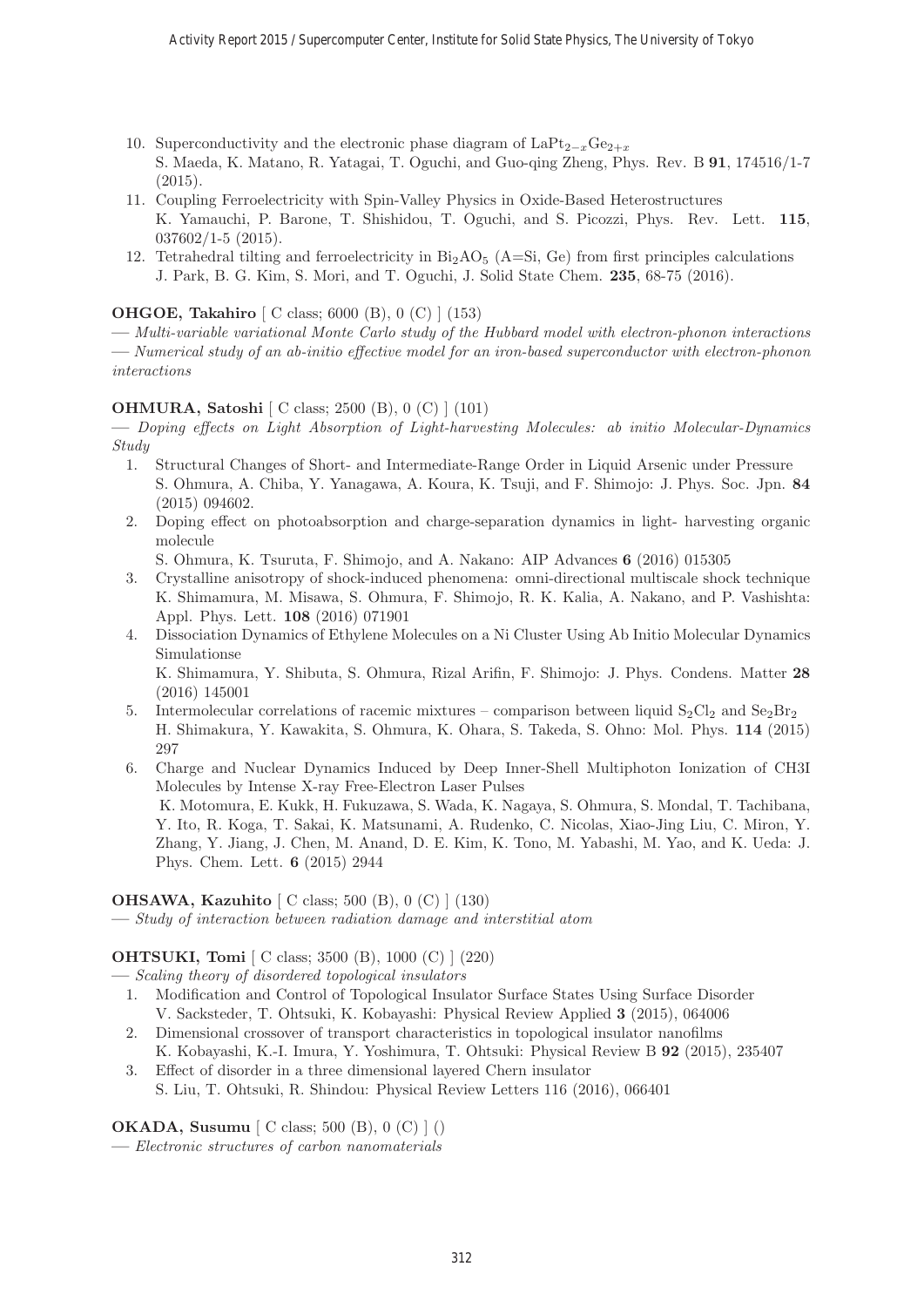- 10. Superconductivity and the electronic phase diagram of LaPt<sub>2−x</sub>Ge<sub>2+x</sub> S. Maeda, K. Matano, R. Yatagai, T. Oguchi, and Guo-qing Zheng, Phys. Rev. B **91**, 174516/1-7  $(2015).$
- 11. Coupling Ferroelectricity with Spin-Valley Physics in Oxide-Based Heterostructures K. Yamauchi, P. Barone, T. Shishidou, T. Oguchi, and S. Picozzi, Phys. Rev. Lett. **115**, 037602/1-5 (2015).
- 12. Tetrahedral tilting and ferroelectricity in  $Bi_2AO_5$  (A=Si, Ge) from first principles calculations J. Park, B. G. Kim, S. Mori, and T. Oguchi, J. Solid State Chem. **235**, 68-75 (2016).

# **OHGOE, Takahiro** [ C class; 6000 (B), 0 (C) ] (153)

**—** Multi-variable variational Monte Carlo study of the Hubbard model with electron-phonon interactions **—** Numerical study of an ab-initio effective model for an iron-based superconductor with electron-phonon interactions

# **OHMURA, Satoshi** [ C class; 2500 (B), 0 (C) ] (101)

**—** Doping effects on Light Absorption of Light-harvesting Molecules: ab initio Molecular-Dynamics Study

- 1. Structural Changes of Short- and Intermediate-Range Order in Liquid Arsenic under Pressure S. Ohmura, A. Chiba, Y. Yanagawa, A. Koura, K. Tsuji, and F. Shimojo: J. Phys. Soc. Jpn. **84** (2015) 094602.
- 2. Doping effect on photoabsorption and charge-separation dynamics in light- harvesting organic molecule

S. Ohmura, K. Tsuruta, F. Shimojo, and A. Nakano: AIP Advances **6** (2016) 015305

- 3. Crystalline anisotropy of shock-induced phenomena: omni-directional multiscale shock technique K. Shimamura, M. Misawa, S. Ohmura, F. Shimojo, R. K. Kalia, A. Nakano, and P. Vashishta: Appl. Phys. Lett. **108** (2016) 071901
- 4. Dissociation Dynamics of Ethylene Molecules on a Ni Cluster Using Ab Initio Molecular Dynamics Simulationse

K. Shimamura, Y. Shibuta, S. Ohmura, Rizal Arifin, F. Shimojo: J. Phys. Condens. Matter **28** (2016) 145001

- 5. Intermolecular correlations of racemic mixtures comparison between liquid  $S_2Cl_2$  and  $S_2Br_2$ H. Shimakura, Y. Kawakita, S. Ohmura, K. Ohara, S. Takeda, S. Ohno: Mol. Phys. **114** (2015) 297
- 6. Charge and Nuclear Dynamics Induced by Deep Inner-Shell Multiphoton Ionization of CH3I Molecules by Intense X-ray Free-Electron Laser Pulses K. Motomura, E. Kukk, H. Fukuzawa, S. Wada, K. Nagaya, S. Ohmura, S. Mondal, T. Tachibana, Y. Ito, R. Koga, T. Sakai, K. Matsunami, A. Rudenko, C. Nicolas, Xiao-Jing Liu, C. Miron, Y. Zhang, Y. Jiang, J. Chen, M. Anand, D. E. Kim, K. Tono, M. Yabashi, M. Yao, and K. Ueda: J. Phys. Chem. Lett. **6** (2015) 2944

#### **OHSAWA, Kazuhito** [ C class; 500 (B), 0 (C) ] (130)

**—** Study of interaction between radiation damage and interstitial atom

# **OHTSUKI, Tomi** [ C class; 3500 (B), 1000 (C) ] (220)

**—** Scaling theory of disordered topological insulators

- 1. Modification and Control of Topological Insulator Surface States Using Surface Disorder V. Sacksteder, T. Ohtsuki, K. Kobayashi: Physical Review Applied **3** (2015), 064006
- 2. Dimensional crossover of transport characteristics in topological insulator nanofilms K. Kobayashi, K.-I. Imura, Y. Yoshimura, T. Ohtsuki: Physical Review B **92** (2015), 235407
- 3. Effect of disorder in a three dimensional layered Chern insulator S. Liu, T. Ohtsuki, R. Shindou: Physical Review Letters 116 (2016), 066401

# **OKADA, Susumu** [ C class; 500 (B), 0 (C) ] ()

**—** Electronic structures of carbon nanomaterials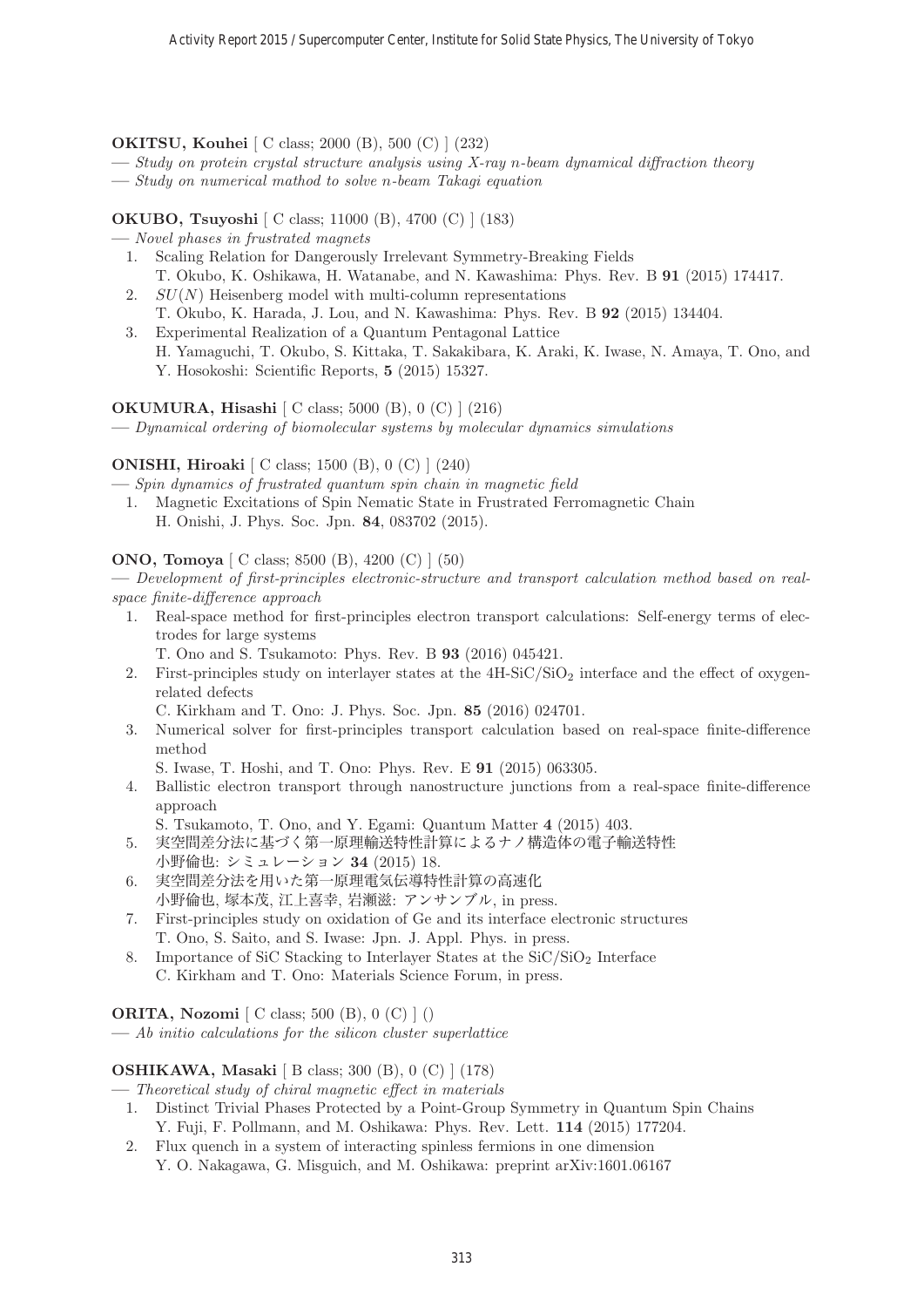# **OKITSU, Kouhei** [ C class; 2000 (B), 500 (C) ] (232)

- **—** Study on protein crystal structure analysis using X-ray n-beam dynamical diffraction theory
- **—** Study on numerical mathod to solve n-beam Takagi equation

**OKUBO, Tsuyoshi** [ C class; 11000 (B), 4700 (C) ] (183)

- **—** Novel phases in frustrated magnets
	- 1. Scaling Relation for Dangerously Irrelevant Symmetry-Breaking Fields T. Okubo, K. Oshikawa, H. Watanabe, and N. Kawashima: Phys. Rev. B **91** (2015) 174417.
	- 2.  $SU(N)$  Heisenberg model with multi-column representations T. Okubo, K. Harada, J. Lou, and N. Kawashima: Phys. Rev. B **92** (2015) 134404.
	- 3. Experimental Realization of a Quantum Pentagonal Lattice H. Yamaguchi, T. Okubo, S. Kittaka, T. Sakakibara, K. Araki, K. Iwase, N. Amaya, T. Ono, and Y. Hosokoshi: Scientific Reports, **5** (2015) 15327.

#### **OKUMURA, Hisashi** [ C class; 5000 (B), 0 (C) ] (216)

**—** Dynamical ordering of biomolecular systems by molecular dynamics simulations

# **ONISHI, Hiroaki** [ C class; 1500 (B), 0 (C) ] (240)

**—** Spin dynamics of frustrated quantum spin chain in magnetic field

1. Magnetic Excitations of Spin Nematic State in Frustrated Ferromagnetic Chain H. Onishi, J. Phys. Soc. Jpn. **84**, 083702 (2015).

# **ONO, Tomoya** [ C class; 8500 (B), 4200 (C) ] (50)

**—** Development of first-principles electronic-structure and transport calculation method based on realspace finite-difference approach

- 1. Real-space method for first-principles electron transport calculations: Self-energy terms of electrodes for large systems
	- T. Ono and S. Tsukamoto: Phys. Rev. B **93** (2016) 045421.
- 2. First-principles study on interlayer states at the  $4H-SiC/SiO<sub>2</sub>$  interface and the effect of oxygenrelated defects

C. Kirkham and T. Ono: J. Phys. Soc. Jpn. **85** (2016) 024701.

- 3. Numerical solver for first-principles transport calculation based on real-space finite-difference method
	- S. Iwase, T. Hoshi, and T. Ono: Phys. Rev. E **91** (2015) 063305.
- 4. Ballistic electron transport through nanostructure junctions from a real-space finite-difference approach
	- S. Tsukamoto, T. Ono, and Y. Egami: Quantum Matter **4** (2015) 403.
- 5. 実空間差分法に基づく第一原理輸送特性計算によるナノ構造体の電子輸送特性 小野倫也: シミュレーション **34** (2015) 18.
- 6. 実空間差分法を用いた第一原理電気伝導特性計算の高速化 小野倫也, 塚本茂, 江上喜幸, 岩瀬滋: アンサンブル, in press.
- 7. First-principles study on oxidation of Ge and its interface electronic structures T. Ono, S. Saito, and S. Iwase: Jpn. J. Appl. Phys. in press.
- 8. Importance of SiC Stacking to Interlayer States at the  $SiC/SiO<sub>2</sub>$  Interface C. Kirkham and T. Ono: Materials Science Forum, in press.

**ORITA, Nozomi** [ C class; 500 (B), 0 (C) ] ()

**—** Ab initio calculations for the silicon cluster superlattice

#### **OSHIKAWA, Masaki** [ B class; 300 (B), 0 (C) ] (178)

**—** Theoretical study of chiral magnetic effect in materials

- 1. Distinct Trivial Phases Protected by a Point-Group Symmetry in Quantum Spin Chains Y. Fuji, F. Pollmann, and M. Oshikawa: Phys. Rev. Lett. **114** (2015) 177204.
- 2. Flux quench in a system of interacting spinless fermions in one dimension Y. O. Nakagawa, G. Misguich, and M. Oshikawa: preprint arXiv:1601.06167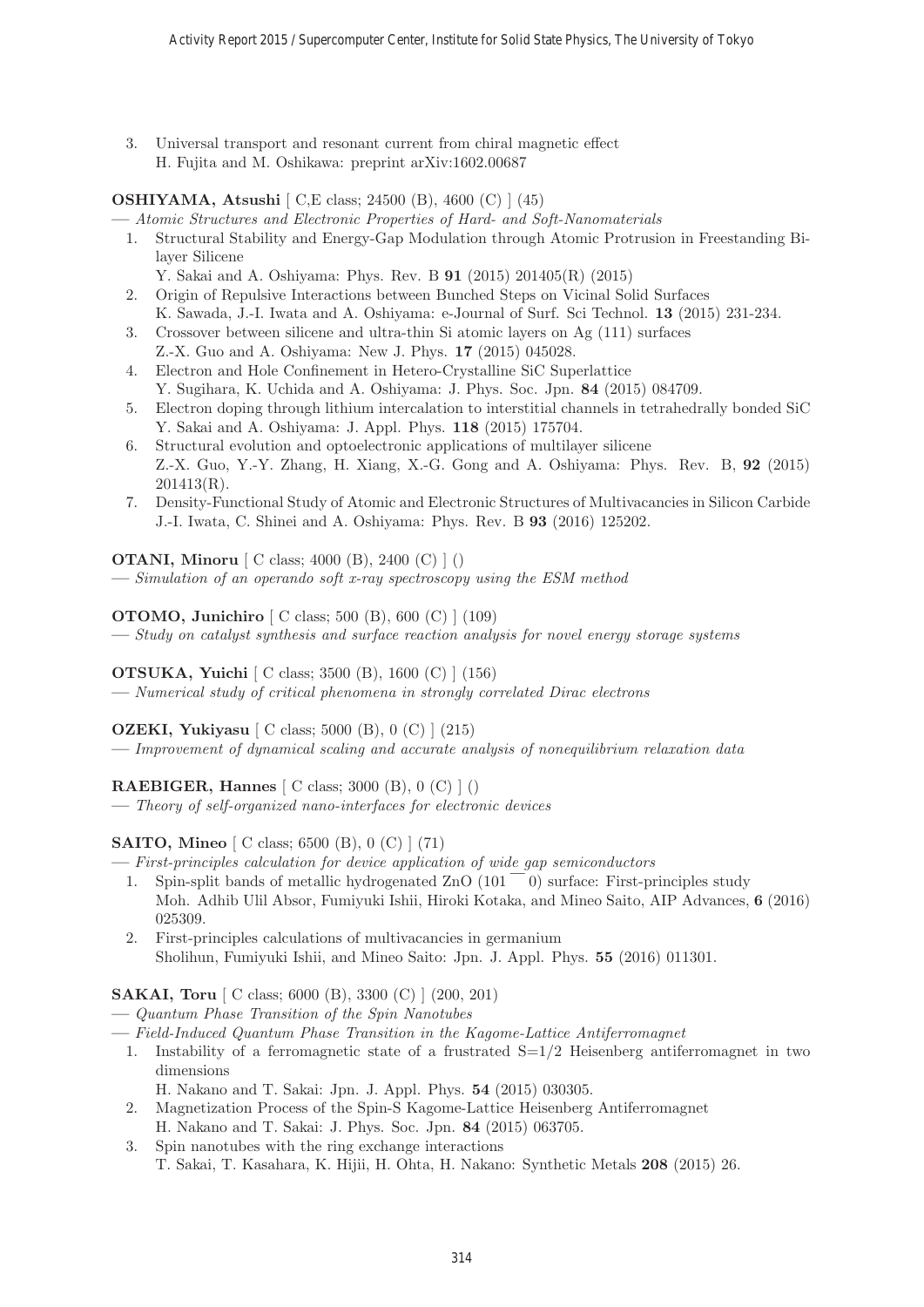3. Universal transport and resonant current from chiral magnetic effect H. Fujita and M. Oshikawa: preprint arXiv:1602.00687

# **OSHIYAMA, Atsushi** [ C,E class; 24500 (B), 4600 (C) ] (45)

**—** Atomic Structures and Electronic Properties of Hard- and Soft-Nanomaterials

- 1. Structural Stability and Energy-Gap Modulation through Atomic Protrusion in Freestanding Bilayer Silicene
	- Y. Sakai and A. Oshiyama: Phys. Rev. B **91** (2015) 201405(R) (2015)
- 2. Origin of Repulsive Interactions between Bunched Steps on Vicinal Solid Surfaces K. Sawada, J.-I. Iwata and A. Oshiyama: e-Journal of Surf. Sci Technol. **13** (2015) 231-234.
- 3. Crossover between silicene and ultra-thin Si atomic layers on Ag (111) surfaces Z.-X. Guo and A. Oshiyama: New J. Phys. **17** (2015) 045028.
- 4. Electron and Hole Confinement in Hetero-Crystalline SiC Superlattice Y. Sugihara, K. Uchida and A. Oshiyama: J. Phys. Soc. Jpn. **84** (2015) 084709.
- 5. Electron doping through lithium intercalation to interstitial channels in tetrahedrally bonded SiC Y. Sakai and A. Oshiyama: J. Appl. Phys. **118** (2015) 175704.
- 6. Structural evolution and optoelectronic applications of multilayer silicene Z.-X. Guo, Y.-Y. Zhang, H. Xiang, X.-G. Gong and A. Oshiyama: Phys. Rev. B, **92** (2015) 201413(R).
- 7. Density-Functional Study of Atomic and Electronic Structures of Multivacancies in Silicon Carbide J.-I. Iwata, C. Shinei and A. Oshiyama: Phys. Rev. B **93** (2016) 125202.

**OTANI, Minoru** [ C class; 4000 (B), 2400 (C) ] ()

**—** Simulation of an operando soft x-ray spectroscopy using the ESM method

**OTOMO, Junichiro** [ C class; 500 (B), 600 (C) ] (109)

**—** Study on catalyst synthesis and surface reaction analysis for novel energy storage systems

**OTSUKA, Yuichi** [ C class; 3500 (B), 1600 (C) ] (156)

**—** Numerical study of critical phenomena in strongly correlated Dirac electrons

**OZEKI, Yukiyasu** [ C class; 5000 (B), 0 (C) ] (215)

**—** Improvement of dynamical scaling and accurate analysis of nonequilibrium relaxation data

**RAEBIGER, Hannes** [ C class; 3000 (B), 0 (C) ] ()

**—** Theory of self-organized nano-interfaces for electronic devices

# **SAITO, Mineo** [ C class; 6500 (B), 0 (C) ] (71)

- **—** First-principles calculation for device application of wide gap semiconductors
	- 1. Spin-split bands of metallic hydrogenated  $ZnO(101<sup>-</sup>0)$  surface: First-principles study Moh. Adhib Ulil Absor, Fumiyuki Ishii, Hiroki Kotaka, and Mineo Saito, AIP Advances, **6** (2016) 025309.
	- 2. First-principles calculations of multivacancies in germanium Sholihun, Fumiyuki Ishii, and Mineo Saito: Jpn. J. Appl. Phys. **55** (2016) 011301.

**SAKAI, Toru** [ C class; 6000 (B), 3300 (C) ] (200, 201)

- **—** Quantum Phase Transition of the Spin Nanotubes
- **—** Field-Induced Quantum Phase Transition in the Kagome-Lattice Antiferromagnet
	- 1. Instability of a ferromagnetic state of a frustrated  $S=1/2$  Heisenberg antiferromagnet in two dimensions
		- H. Nakano and T. Sakai: Jpn. J. Appl. Phys. **54** (2015) 030305.
	- 2. Magnetization Process of the Spin-S Kagome-Lattice Heisenberg Antiferromagnet H. Nakano and T. Sakai: J. Phys. Soc. Jpn. **84** (2015) 063705.
	- 3. Spin nanotubes with the ring exchange interactions T. Sakai, T. Kasahara, K. Hijii, H. Ohta, H. Nakano: Synthetic Metals **208** (2015) 26.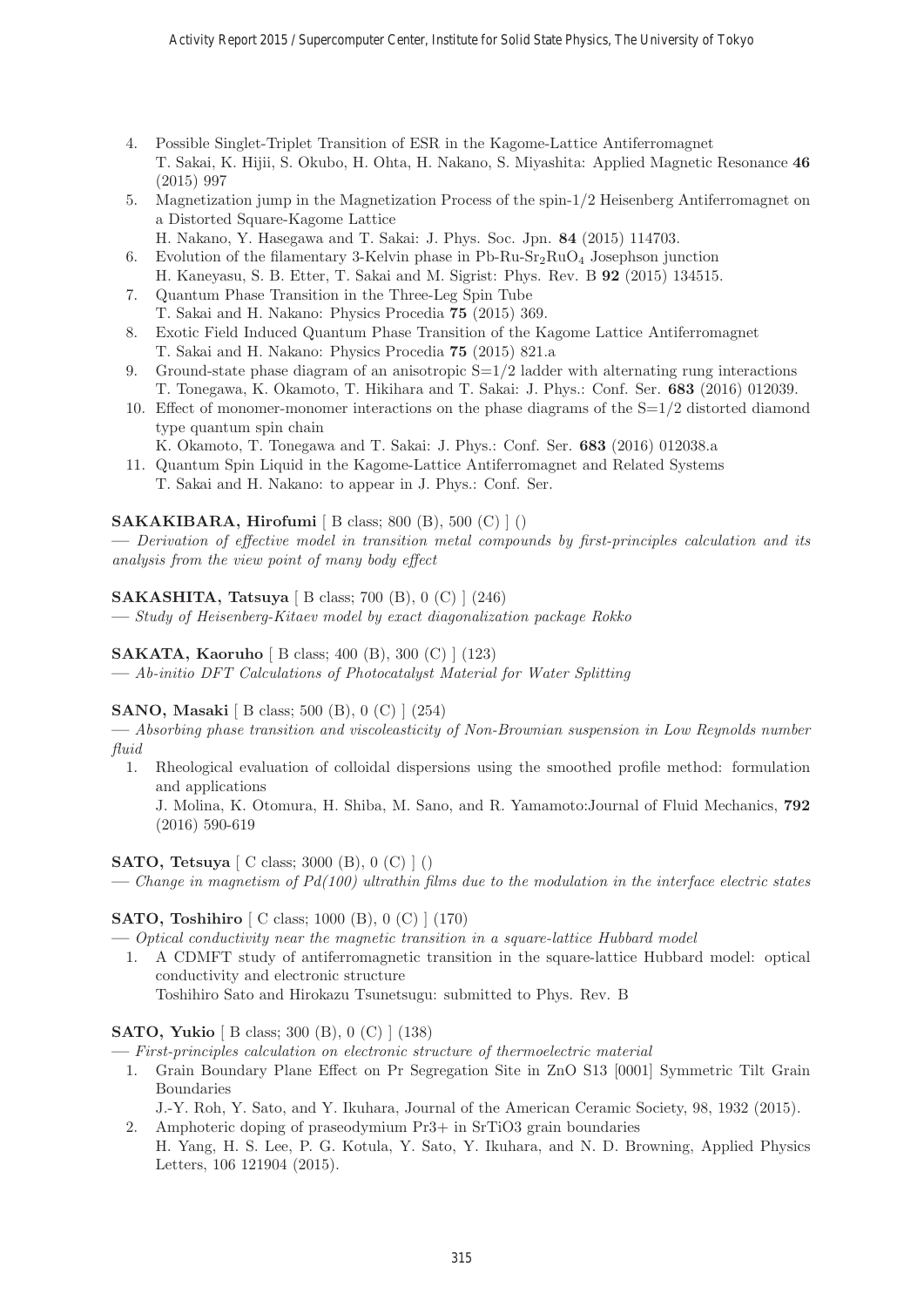- 4. Possible Singlet-Triplet Transition of ESR in the Kagome-Lattice Antiferromagnet T. Sakai, K. Hijii, S. Okubo, H. Ohta, H. Nakano, S. Miyashita: Applied Magnetic Resonance **46** (2015) 997
- 5. Magnetization jump in the Magnetization Process of the spin-1/2 Heisenberg Antiferromagnet on a Distorted Square-Kagome Lattice
- H. Nakano, Y. Hasegawa and T. Sakai: J. Phys. Soc. Jpn. **84** (2015) 114703.
- 6. Evolution of the filamentary 3-Kelvin phase in Pb-Ru-Sr<sub>2</sub>RuO<sub>4</sub> Josephson junction H. Kaneyasu, S. B. Etter, T. Sakai and M. Sigrist: Phys. Rev. B **92** (2015) 134515.
- 7. Quantum Phase Transition in the Three-Leg Spin Tube T. Sakai and H. Nakano: Physics Procedia **75** (2015) 369.
- 8. Exotic Field Induced Quantum Phase Transition of the Kagome Lattice Antiferromagnet T. Sakai and H. Nakano: Physics Procedia **75** (2015) 821.a
- 9. Ground-state phase diagram of an anisotropic  $S=1/2$  ladder with alternating rung interactions T. Tonegawa, K. Okamoto, T. Hikihara and T. Sakai: J. Phys.: Conf. Ser. **683** (2016) 012039.
- 10. Effect of monomer-monomer interactions on the phase diagrams of the  $S=1/2$  distorted diamond type quantum spin chain

K. Okamoto, T. Tonegawa and T. Sakai: J. Phys.: Conf. Ser. **683** (2016) 012038.a

11. Quantum Spin Liquid in the Kagome-Lattice Antiferromagnet and Related Systems T. Sakai and H. Nakano: to appear in J. Phys.: Conf. Ser.

# **SAKAKIBARA, Hirofumi** [ B class; 800 (B), 500 (C) ] ()

**—** Derivation of effective model in transition metal compounds by first-principles calculation and its analysis from the view point of many body effect

# **SAKASHITA, Tatsuya** [ B class; 700 (B), 0 (C) ] (246)

**—** Study of Heisenberg-Kitaev model by exact diagonalization package Rokko

# **SAKATA, Kaoruho** [ B class; 400 (B), 300 (C) ] (123)

**—** Ab-initio DFT Calculations of Photocatalyst Material for Water Splitting

# **SANO, Masaki** [ B class; 500 (B), 0 (C) ] (254)

**—** Absorbing phase transition and viscoleasticity of Non-Brownian suspension in Low Reynolds number fluid

1. Rheological evaluation of colloidal dispersions using the smoothed profile method: formulation and applications

J. Molina, K. Otomura, H. Shiba, M. Sano, and R. Yamamoto:Journal of Fluid Mechanics, **792** (2016) 590-619

# **SATO, Tetsuya** [ C class; 3000 (B), 0 (C) ] ()

**—** Change in magnetism of Pd(100) ultrathin films due to the modulation in the interface electric states

# **SATO, Toshihiro** [ C class; 1000 (B), 0 (C) ] (170)

**—** Optical conductivity near the magnetic transition in a square-lattice Hubbard model

1. A CDMFT study of antiferromagnetic transition in the square-lattice Hubbard model: optical conductivity and electronic structure

Toshihiro Sato and Hirokazu Tsunetsugu: submitted to Phys. Rev. B

# **SATO, Yukio** [ B class; 300 (B), 0 (C) ] (138)

**—** First-principles calculation on electronic structure of thermoelectric material

1. Grain Boundary Plane Effect on Pr Segregation Site in ZnO S13 [0001] Symmetric Tilt Grain Boundaries

J.-Y. Roh, Y. Sato, and Y. Ikuhara, Journal of the American Ceramic Society, 98, 1932 (2015).

2. Amphoteric doping of praseodymium Pr3+ in SrTiO3 grain boundaries H. Yang, H. S. Lee, P. G. Kotula, Y. Sato, Y. Ikuhara, and N. D. Browning, Applied Physics Letters, 106 121904 (2015).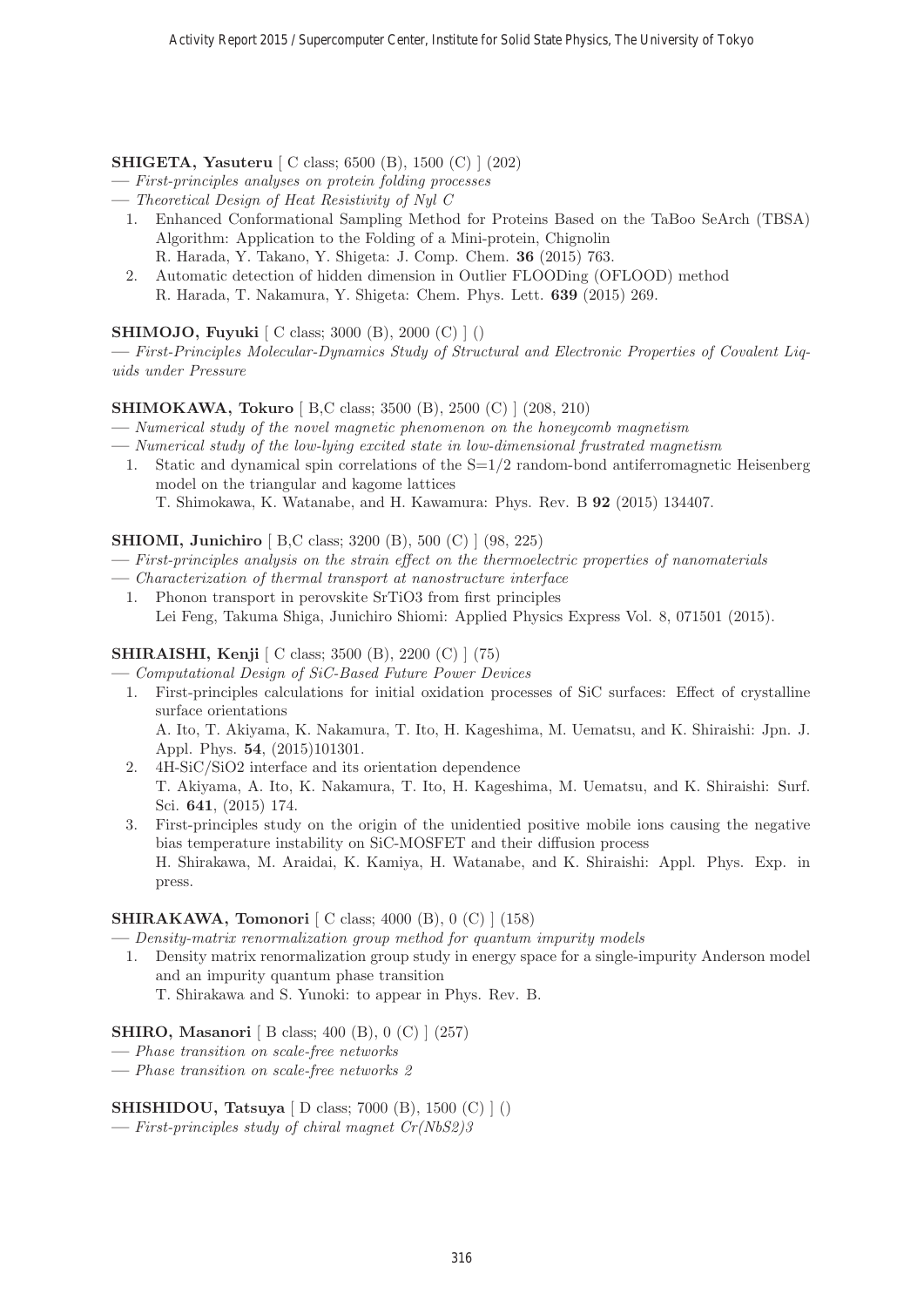**SHIGETA, Yasuteru** [ C class; 6500 (B), 1500 (C) ] (202)

- **—** First-principles analyses on protein folding processes
- **—** Theoretical Design of Heat Resistivity of Nyl C
	- 1. Enhanced Conformational Sampling Method for Proteins Based on the TaBoo SeArch (TBSA) Algorithm: Application to the Folding of a Mini-protein, Chignolin R. Harada, Y. Takano, Y. Shigeta: J. Comp. Chem. **36** (2015) 763.
	- 2. Automatic detection of hidden dimension in Outlier FLOODing (OFLOOD) method R. Harada, T. Nakamura, Y. Shigeta: Chem. Phys. Lett. **639** (2015) 269.

# **SHIMOJO, Fuyuki** [ C class; 3000 (B), 2000 (C) ] ()

**—** First-Principles Molecular-Dynamics Study of Structural and Electronic Properties of Covalent Liquids under Pressure

# **SHIMOKAWA, Tokuro** [ B,C class; 3500 (B), 2500 (C) ] (208, 210)

- **—** Numerical study of the novel magnetic phenomenon on the honeycomb magnetism
- **—** Numerical study of the low-lying excited state in low-dimensional frustrated magnetism
- 1. Static and dynamical spin correlations of the S=1/2 random-bond antiferromagnetic Heisenberg model on the triangular and kagome lattices
	- T. Shimokawa, K. Watanabe, and H. Kawamura: Phys. Rev. B **92** (2015) 134407.

#### **SHIOMI, Junichiro** [ B,C class; 3200 (B), 500 (C) ] (98, 225)

- **—** First-principles analysis on the strain effect on the thermoelectric properties of nanomaterials
- **—** Characterization of thermal transport at nanostructure interface
	- 1. Phonon transport in perovskite SrTiO3 from first principles Lei Feng, Takuma Shiga, Junichiro Shiomi: Applied Physics Express Vol. 8, 071501 (2015).

# **SHIRAISHI, Kenji** [ C class; 3500 (B), 2200 (C) ] (75)

**—** Computational Design of SiC-Based Future Power Devices

1. First-principles calculations for initial oxidation processes of SiC surfaces: Effect of crystalline surface orientations

A. Ito, T. Akiyama, K. Nakamura, T. Ito, H. Kageshima, M. Uematsu, and K. Shiraishi: Jpn. J. Appl. Phys. **54**, (2015)101301.

- 2. 4H-SiC/SiO2 interface and its orientation dependence T. Akiyama, A. Ito, K. Nakamura, T. Ito, H. Kageshima, M. Uematsu, and K. Shiraishi: Surf. Sci. **641**, (2015) 174.
- 3. First-principles study on the origin of the unidentied positive mobile ions causing the negative bias temperature instability on SiC-MOSFET and their diffusion process H. Shirakawa, M. Araidai, K. Kamiya, H. Watanabe, and K. Shiraishi: Appl. Phys. Exp. in press.

#### **SHIRAKAWA, Tomonori** [ C class; 4000 (B), 0 (C) ] (158)

- **—** Density-matrix renormalization group method for quantum impurity models
- 1. Density matrix renormalization group study in energy space for a single-impurity Anderson model and an impurity quantum phase transition

T. Shirakawa and S. Yunoki: to appear in Phys. Rev. B.

# **SHIRO, Masanori** [ B class; 400 (B), 0 (C) ] (257)

- **—** Phase transition on scale-free networks
- **—** Phase transition on scale-free networks 2

#### **SHISHIDOU, Tatsuya** [ D class; 7000 (B), 1500 (C) ] ()

**—** First-principles study of chiral magnet Cr(NbS2)3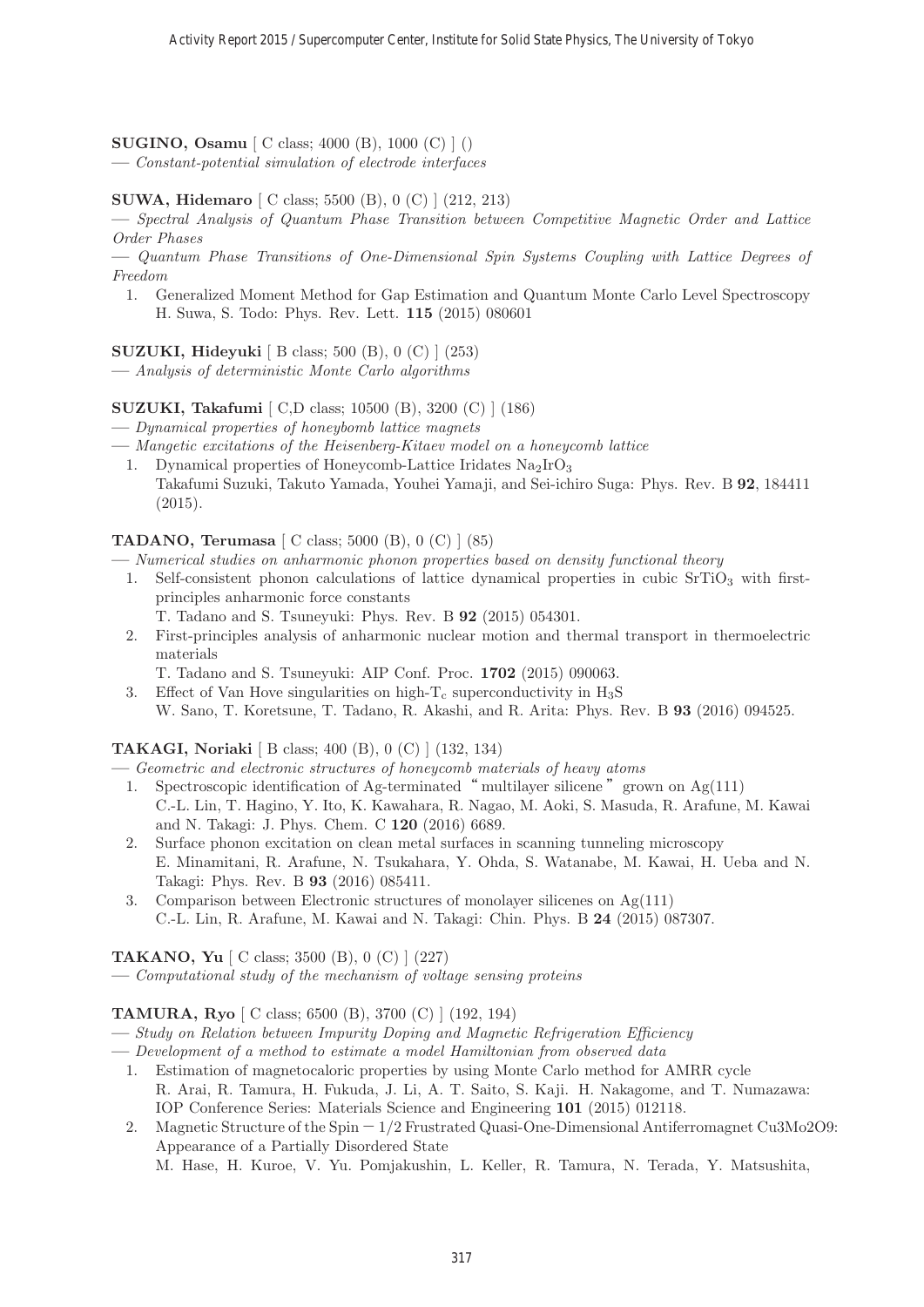#### **SUGINO, Osamu** [ C class; 4000 (B), 1000 (C) ] ()

**—** Constant-potential simulation of electrode interfaces

#### **SUWA, Hidemaro** [ C class; 5500 (B), 0 (C) ] (212, 213)

**—** Spectral Analysis of Quantum Phase Transition between Competitive Magnetic Order and Lattice Order Phases

**—** Quantum Phase Transitions of One-Dimensional Spin Systems Coupling with Lattice Degrees of Freedom

1. Generalized Moment Method for Gap Estimation and Quantum Monte Carlo Level Spectroscopy H. Suwa, S. Todo: Phys. Rev. Lett. **115** (2015) 080601

**SUZUKI, Hideyuki** [ B class; 500 (B), 0 (C) ] (253)

**—** Analysis of deterministic Monte Carlo algorithms

#### **SUZUKI, Takafumi** [ C,D class; 10500 (B), 3200 (C) ] (186)

**—** Dynamical properties of honeybomb lattice magnets

- **—** Mangetic excitations of the Heisenberg-Kitaev model on a honeycomb lattice
	- 1. Dynamical properties of Honeycomb-Lattice Iridates  $\text{Na}_2\text{IrO}_3$ Takafumi Suzuki, Takuto Yamada, Youhei Yamaji, and Sei-ichiro Suga: Phys. Rev. B **92**, 184411 (2015).

#### **TADANO, Terumasa** [ C class; 5000 (B), 0 (C) ] (85)

**—** Numerical studies on anharmonic phonon properties based on density functional theory

- 1. Self-consistent phonon calculations of lattice dynamical properties in cubic  $SrriO<sub>3</sub>$  with firstprinciples anharmonic force constants
	- T. Tadano and S. Tsuneyuki: Phys. Rev. B **92** (2015) 054301.
- 2. First-principles analysis of anharmonic nuclear motion and thermal transport in thermoelectric materials

T. Tadano and S. Tsuneyuki: AIP Conf. Proc. **1702** (2015) 090063.

3. Effect of Van Hove singularities on high- $T_c$  superconductivity in  $H_3S$ W. Sano, T. Koretsune, T. Tadano, R. Akashi, and R. Arita: Phys. Rev. B **93** (2016) 094525.

#### **TAKAGI, Noriaki** [ B class; 400 (B), 0 (C) ] (132, 134)

**—** Geometric and electronic structures of honeycomb materials of heavy atoms

- 1. Spectroscopic identification of Ag-terminated " multilayer silicene" grown on  $Ag(111)$ C.-L. Lin, T. Hagino, Y. Ito, K. Kawahara, R. Nagao, M. Aoki, S. Masuda, R. Arafune, M. Kawai and N. Takagi: J. Phys. Chem. C **120** (2016) 6689.
- 2. Surface phonon excitation on clean metal surfaces in scanning tunneling microscopy E. Minamitani, R. Arafune, N. Tsukahara, Y. Ohda, S. Watanabe, M. Kawai, H. Ueba and N. Takagi: Phys. Rev. B **93** (2016) 085411.
- 3. Comparison between Electronic structures of monolayer silicenes on Ag(111) C.-L. Lin, R. Arafune, M. Kawai and N. Takagi: Chin. Phys. B **24** (2015) 087307.

#### **TAKANO, Yu** [ C class; 3500 (B), 0 (C) ] (227)

**—** Computational study of the mechanism of voltage sensing proteins

#### **TAMURA, Ryo** [ C class; 6500 (B), 3700 (C) ] (192, 194)

**—** Study on Relation between Impurity Doping and Magnetic Refrigeration Efficiency

- **—** Development of a method to estimate a model Hamiltonian from observed data
	- 1. Estimation of magnetocaloric properties by using Monte Carlo method for AMRR cycle R. Arai, R. Tamura, H. Fukuda, J. Li, A. T. Saito, S. Kaji. H. Nakagome, and T. Numazawa: IOP Conference Series: Materials Science and Engineering **101** (2015) 012118.
	- 2. Magnetic Structure of the Spin-1/2 Frustrated Quasi-One-Dimensional Antiferromagnet Cu3Mo2O9: Appearance of a Partially Disordered State

M. Hase, H. Kuroe, V. Yu. Pomjakushin, L. Keller, R. Tamura, N. Terada, Y. Matsushita,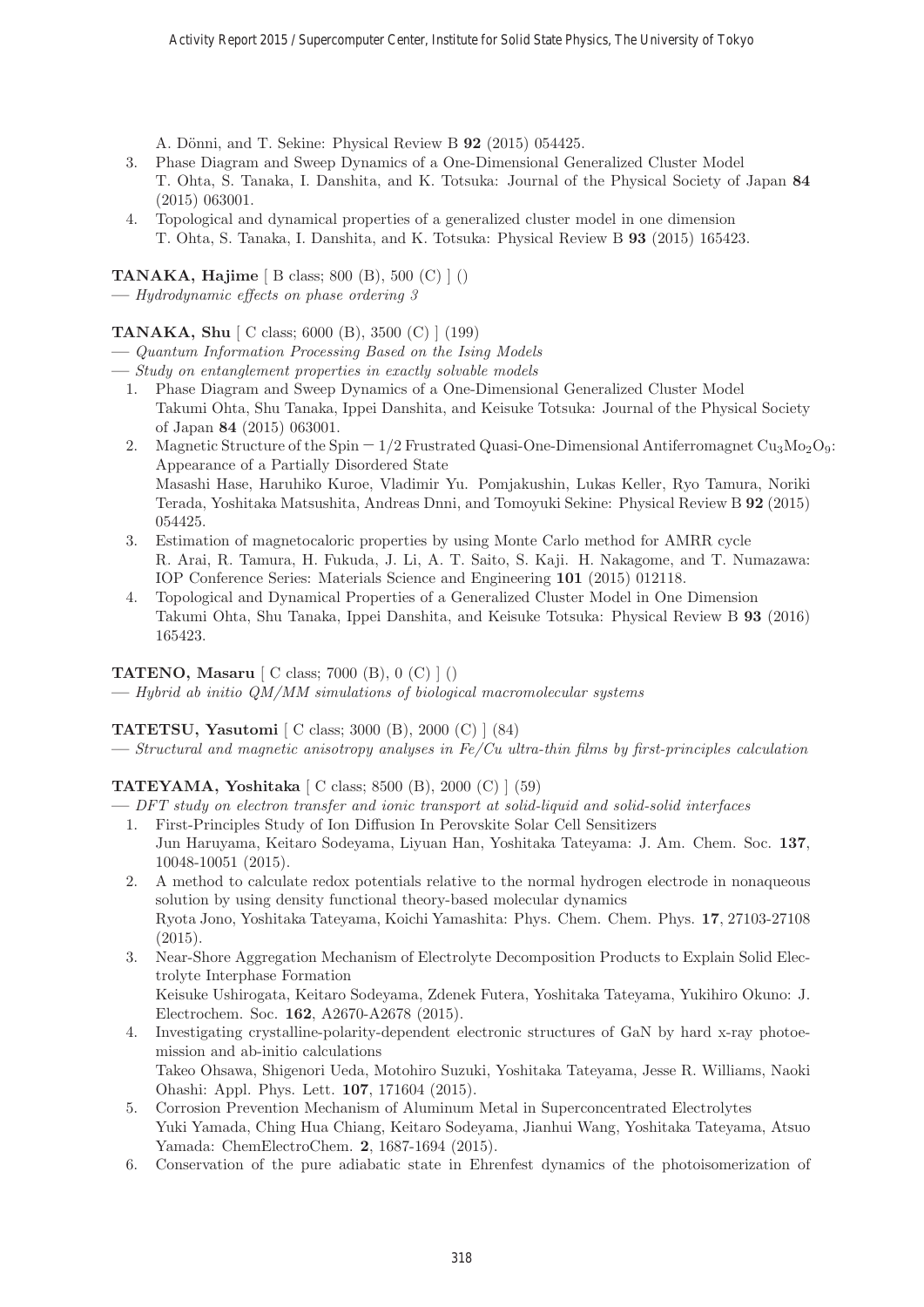A. Dönni, and T. Sekine: Physical Review B **92** (2015) 054425.

- 3. Phase Diagram and Sweep Dynamics of a One-Dimensional Generalized Cluster Model T. Ohta, S. Tanaka, I. Danshita, and K. Totsuka: Journal of the Physical Society of Japan **84** (2015) 063001.
- 4. Topological and dynamical properties of a generalized cluster model in one dimension T. Ohta, S. Tanaka, I. Danshita, and K. Totsuka: Physical Review B **93** (2015) 165423.

**TANAKA, Hajime** [ B class; 800 (B), 500 (C) ] ()

**—** Hydrodynamic effects on phase ordering 3

# **TANAKA, Shu** [ C class; 6000 (B), 3500 (C) ] (199)

- **—** Quantum Information Processing Based on the Ising Models
- **—** Study on entanglement properties in exactly solvable models
	- 1. Phase Diagram and Sweep Dynamics of a One-Dimensional Generalized Cluster Model Takumi Ohta, Shu Tanaka, Ippei Danshita, and Keisuke Totsuka: Journal of the Physical Society of Japan **84** (2015) 063001.
	- 2. Magnetic Structure of the Spin  $-1/2$  Frustrated Quasi-One-Dimensional Antiferromagnet Cu<sub>3</sub>Mo<sub>2</sub>O<sub>9</sub>: Appearance of a Partially Disordered State Masashi Hase, Haruhiko Kuroe, Vladimir Yu. Pomjakushin, Lukas Keller, Ryo Tamura, Noriki Terada, Yoshitaka Matsushita, Andreas Dnni, and Tomoyuki Sekine: Physical Review B **92** (2015) 054425.
	- 3. Estimation of magnetocaloric properties by using Monte Carlo method for AMRR cycle R. Arai, R. Tamura, H. Fukuda, J. Li, A. T. Saito, S. Kaji. H. Nakagome, and T. Numazawa: IOP Conference Series: Materials Science and Engineering **101** (2015) 012118.
	- 4. Topological and Dynamical Properties of a Generalized Cluster Model in One Dimension Takumi Ohta, Shu Tanaka, Ippei Danshita, and Keisuke Totsuka: Physical Review B **93** (2016) 165423.

# **TATENO, Masaru** [ C class; 7000 (B), 0 (C) ] ()

**—** Hybrid ab initio QM/MM simulations of biological macromolecular systems

# **TATETSU, Yasutomi** [ C class; 3000 (B), 2000 (C) ] (84)

**—** Structural and magnetic anisotropy analyses in Fe/Cu ultra-thin films by first-principles calculation

# **TATEYAMA, Yoshitaka** [ C class; 8500 (B), 2000 (C) ] (59)

- **—** DFT study on electron transfer and ionic transport at solid-liquid and solid-solid interfaces
	- 1. First-Principles Study of Ion Diffusion In Perovskite Solar Cell Sensitizers Jun Haruyama, Keitaro Sodeyama, Liyuan Han, Yoshitaka Tateyama: J. Am. Chem. Soc. **137**, 10048-10051 (2015).
	- 2. A method to calculate redox potentials relative to the normal hydrogen electrode in nonaqueous solution by using density functional theory-based molecular dynamics Ryota Jono, Yoshitaka Tateyama, Koichi Yamashita: Phys. Chem. Chem. Phys. **17**, 27103-27108 (2015).
	- 3. Near-Shore Aggregation Mechanism of Electrolyte Decomposition Products to Explain Solid Electrolyte Interphase Formation Keisuke Ushirogata, Keitaro Sodeyama, Zdenek Futera, Yoshitaka Tateyama, Yukihiro Okuno: J. Electrochem. Soc. **162**, A2670-A2678 (2015).
	- 4. Investigating crystalline-polarity-dependent electronic structures of GaN by hard x-ray photoemission and ab-initio calculations Takeo Ohsawa, Shigenori Ueda, Motohiro Suzuki, Yoshitaka Tateyama, Jesse R. Williams, Naoki Ohashi: Appl. Phys. Lett. **107**, 171604 (2015).
	- 5. Corrosion Prevention Mechanism of Aluminum Metal in Superconcentrated Electrolytes Yuki Yamada, Ching Hua Chiang, Keitaro Sodeyama, Jianhui Wang, Yoshitaka Tateyama, Atsuo Yamada: ChemElectroChem. **2**, 1687-1694 (2015).
	- 6. Conservation of the pure adiabatic state in Ehrenfest dynamics of the photoisomerization of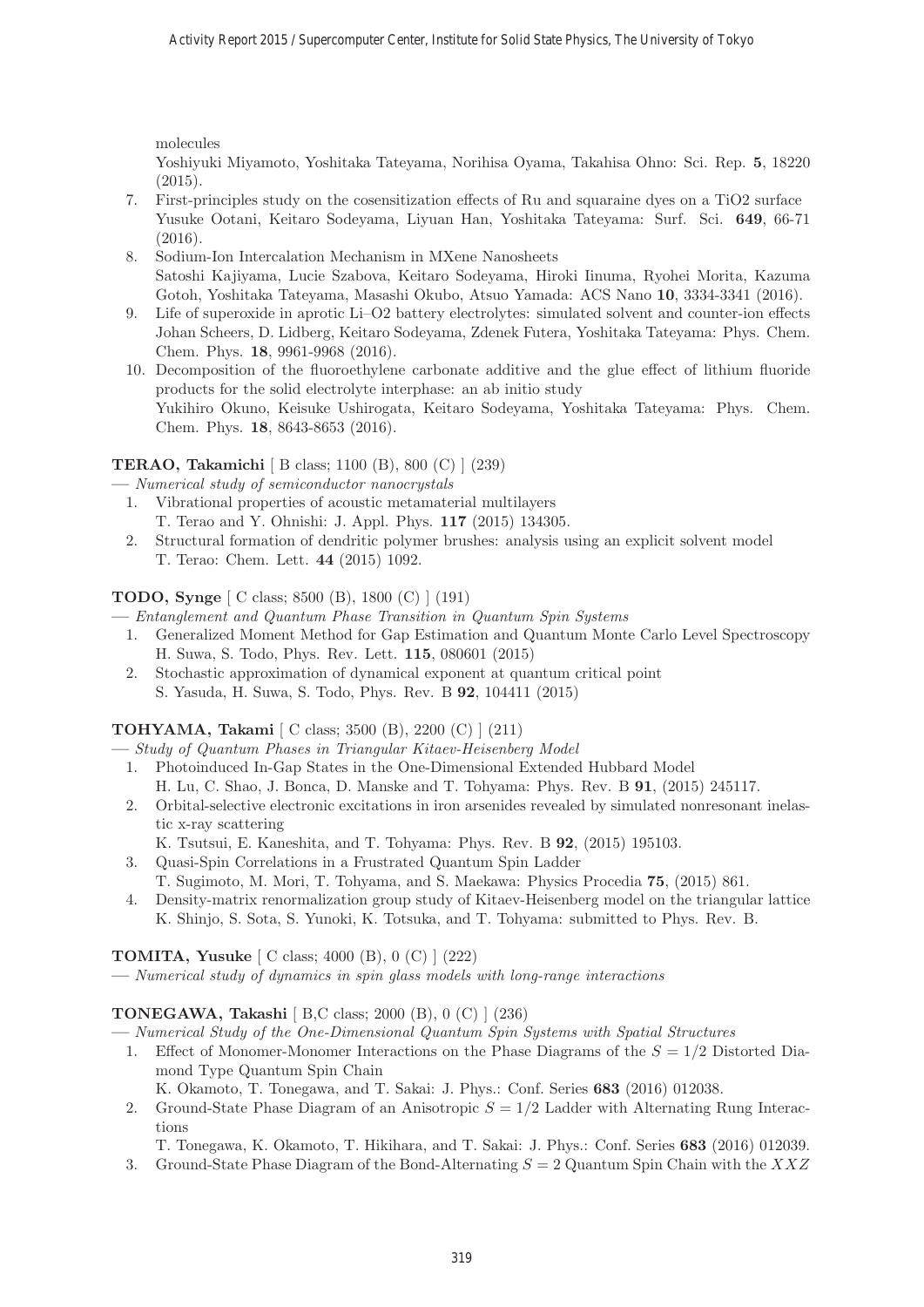molecules

Yoshiyuki Miyamoto, Yoshitaka Tateyama, Norihisa Oyama, Takahisa Ohno: Sci. Rep. **5**, 18220 (2015).

- 7. First-principles study on the cosensitization effects of Ru and squaraine dyes on a TiO2 surface Yusuke Ootani, Keitaro Sodeyama, Liyuan Han, Yoshitaka Tateyama: Surf. Sci. **649**, 66-71 (2016).
- 8. Sodium-Ion Intercalation Mechanism in MXene Nanosheets Satoshi Kajiyama, Lucie Szabova, Keitaro Sodeyama, Hiroki Iinuma, Ryohei Morita, Kazuma Gotoh, Yoshitaka Tateyama, Masashi Okubo, Atsuo Yamada: ACS Nano **10**, 3334-3341 (2016).
- 9. Life of superoxide in aprotic Li–O2 battery electrolytes: simulated solvent and counter-ion effects Johan Scheers, D. Lidberg, Keitaro Sodeyama, Zdenek Futera, Yoshitaka Tateyama: Phys. Chem. Chem. Phys. **18**, 9961-9968 (2016).
- 10. Decomposition of the fluoroethylene carbonate additive and the glue effect of lithium fluoride products for the solid electrolyte interphase: an ab initio study Yukihiro Okuno, Keisuke Ushirogata, Keitaro Sodeyama, Yoshitaka Tateyama: Phys. Chem. Chem. Phys. **18**, 8643-8653 (2016).

# **TERAO, Takamichi** [ B class; 1100 (B), 800 (C) ] (239)

**—** Numerical study of semiconductor nanocrystals

- 1. Vibrational properties of acoustic metamaterial multilayers T. Terao and Y. Ohnishi: J. Appl. Phys. **117** (2015) 134305.
- 2. Structural formation of dendritic polymer brushes: analysis using an explicit solvent model T. Terao: Chem. Lett. **44** (2015) 1092.

# **TODO, Synge** [ C class; 8500 (B), 1800 (C) ] (191)

**—** Entanglement and Quantum Phase Transition in Quantum Spin Systems

- 1. Generalized Moment Method for Gap Estimation and Quantum Monte Carlo Level Spectroscopy H. Suwa, S. Todo, Phys. Rev. Lett. **115**, 080601 (2015)
- 2. Stochastic approximation of dynamical exponent at quantum critical point S. Yasuda, H. Suwa, S. Todo, Phys. Rev. B **92**, 104411 (2015)

# **TOHYAMA, Takami** [ C class; 3500 (B), 2200 (C) ] (211)

- **—** Study of Quantum Phases in Triangular Kitaev-Heisenberg Model
- 1. Photoinduced In-Gap States in the One-Dimensional Extended Hubbard Model H. Lu, C. Shao, J. Bonca, D. Manske and T. Tohyama: Phys. Rev. B **91**, (2015) 245117.
- 2. Orbital-selective electronic excitations in iron arsenides revealed by simulated nonresonant inelastic x-ray scattering
- K. Tsutsui, E. Kaneshita, and T. Tohyama: Phys. Rev. B **92**, (2015) 195103.
- 3. Quasi-Spin Correlations in a Frustrated Quantum Spin Ladder T. Sugimoto, M. Mori, T. Tohyama, and S. Maekawa: Physics Procedia **75**, (2015) 861.
- 4. Density-matrix renormalization group study of Kitaev-Heisenberg model on the triangular lattice K. Shinjo, S. Sota, S. Yunoki, K. Totsuka, and T. Tohyama: submitted to Phys. Rev. B.

# **TOMITA, Yusuke** [ C class; 4000 (B), 0 (C) ] (222)

**—** Numerical study of dynamics in spin glass models with long-range interactions

# **TONEGAWA, Takashi** [ B,C class; 2000 (B), 0 (C) ] (236)

**—** Numerical Study of the One-Dimensional Quantum Spin Systems with Spatial Structures

- 1. Effect of Monomer-Monomer Interactions on the Phase Diagrams of the  $S = 1/2$  Distorted Diamond Type Quantum Spin Chain
	- K. Okamoto, T. Tonegawa, and T. Sakai: J. Phys.: Conf. Series **683** (2016) 012038.
- 2. Ground-State Phase Diagram of an Anisotropic  $S = 1/2$  Ladder with Alternating Rung Interactions
	- T. Tonegawa, K. Okamoto, T. Hikihara, and T. Sakai: J. Phys.: Conf. Series **683** (2016) 012039.
- 3. Ground-State Phase Diagram of the Bond-Alternating  $S = 2$  Quantum Spin Chain with the XXZ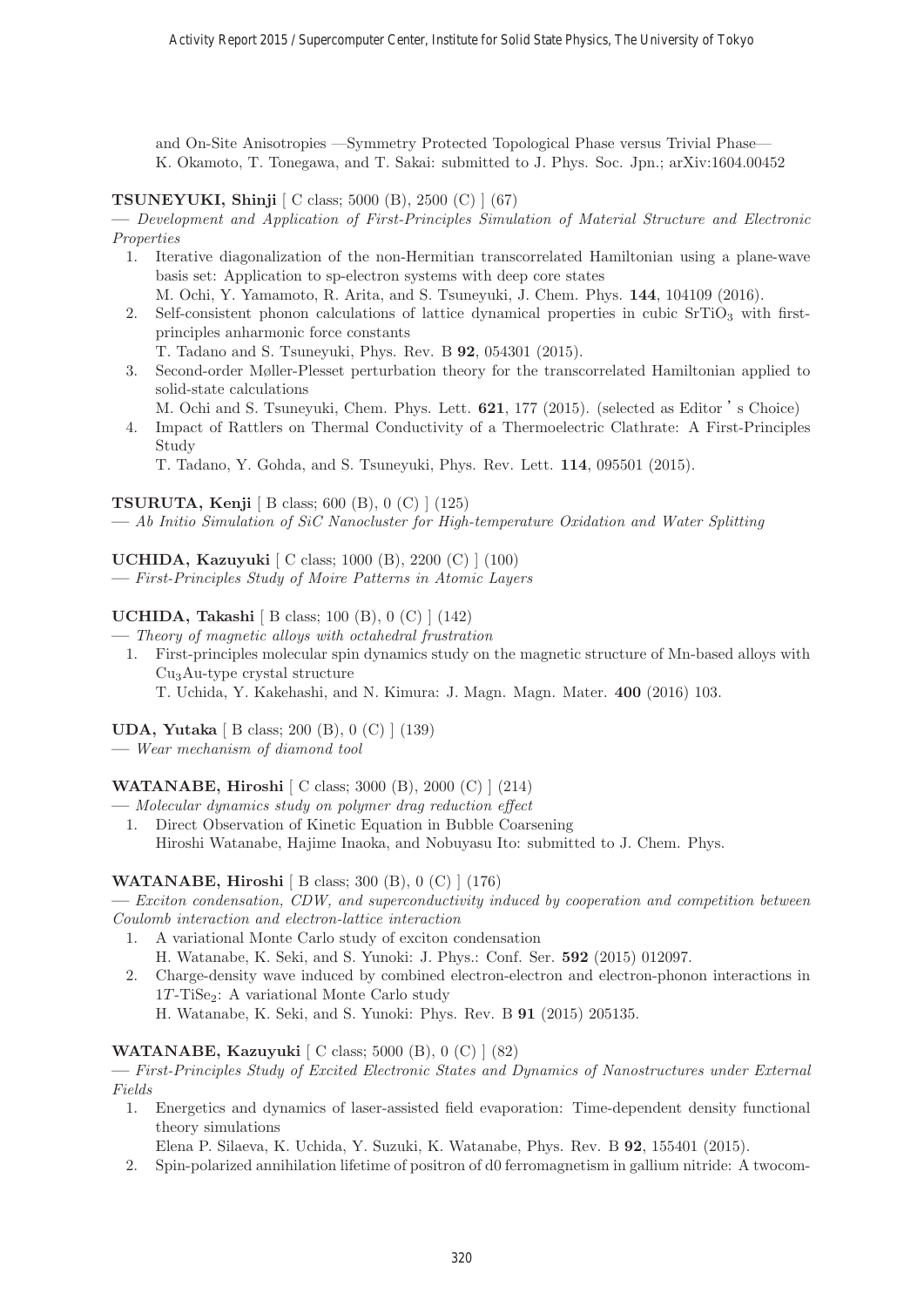and On-Site Anisotropies —Symmetry Protected Topological Phase versus Trivial Phase— K. Okamoto, T. Tonegawa, and T. Sakai: submitted to J. Phys. Soc. Jpn.; arXiv:1604.00452

**TSUNEYUKI, Shinji** [ C class; 5000 (B), 2500 (C) ] (67)

**—** Development and Application of First-Principles Simulation of Material Structure and Electronic Properties

- 1. Iterative diagonalization of the non-Hermitian transcorrelated Hamiltonian using a plane-wave basis set: Application to sp-electron systems with deep core states
	- M. Ochi, Y. Yamamoto, R. Arita, and S. Tsuneyuki, J. Chem. Phys. **144**, 104109 (2016).
- 2. Self-consistent phonon calculations of lattice dynamical properties in cubic SrTiO<sup>3</sup> with firstprinciples anharmonic force constants
	- T. Tadano and S. Tsuneyuki, Phys. Rev. B **92**, 054301 (2015).
- 3. Second-order Møller-Plesset perturbation theory for the transcorrelated Hamiltonian applied to solid-state calculations
	- M. Ochi and S. Tsuneyuki, Chem. Phys. Lett. **621**, 177 (2015). (selected as Editor 's Choice)
- 4. Impact of Rattlers on Thermal Conductivity of a Thermoelectric Clathrate: A First-Principles Study

T. Tadano, Y. Gohda, and S. Tsuneyuki, Phys. Rev. Lett. **114**, 095501 (2015).

**TSURUTA, Kenji** [ B class; 600 (B), 0 (C) ] (125)

**—** Ab Initio Simulation of SiC Nanocluster for High-temperature Oxidation and Water Splitting

**UCHIDA, Kazuyuki** [ C class; 1000 (B), 2200 (C) ] (100)

**—** First-Principles Study of Moire Patterns in Atomic Layers

# **UCHIDA, Takashi** [ B class; 100 (B), 0 (C) ] (142)

- **—** Theory of magnetic alloys with octahedral frustration
	- 1. First-principles molecular spin dynamics study on the magnetic structure of Mn-based alloys with Cu3Au-type crystal structure

T. Uchida, Y. Kakehashi, and N. Kimura: J. Magn. Magn. Mater. **400** (2016) 103.

**UDA, Yutaka** [ B class; 200 (B), 0 (C) ] (139)

**—** Wear mechanism of diamond tool

**WATANABE, Hiroshi** [ C class; 3000 (B), 2000 (C) ] (214)

- **—** Molecular dynamics study on polymer drag reduction effect
	- 1. Direct Observation of Kinetic Equation in Bubble Coarsening Hiroshi Watanabe, Hajime Inaoka, and Nobuyasu Ito: submitted to J. Chem. Phys.

# **WATANABE, Hiroshi** [ B class; 300 (B), 0 (C) ] (176)

**—** Exciton condensation, CDW, and superconductivity induced by cooperation and competition between Coulomb interaction and electron-lattice interaction

1. A variational Monte Carlo study of exciton condensation

H. Watanabe, K. Seki, and S. Yunoki: J. Phys.: Conf. Ser. **592** (2015) 012097.

2. Charge-density wave induced by combined electron-electron and electron-phonon interactions in  $1T$ -Ti $Se_2$ : A variational Monte Carlo study H. Watanabe, K. Seki, and S. Yunoki: Phys. Rev. B **91** (2015) 205135.

**WATANABE, Kazuyuki** [ C class; 5000 (B), 0 (C) ] (82)

**—** First-Principles Study of Excited Electronic States and Dynamics of Nanostructures under External Fields

1. Energetics and dynamics of laser-assisted field evaporation: Time-dependent density functional theory simulations

Elena P. Silaeva, K. Uchida, Y. Suzuki, K. Watanabe, Phys. Rev. B **92**, 155401 (2015).

2. Spin-polarized annihilation lifetime of positron of d0 ferromagnetism in gallium nitride: A twocom-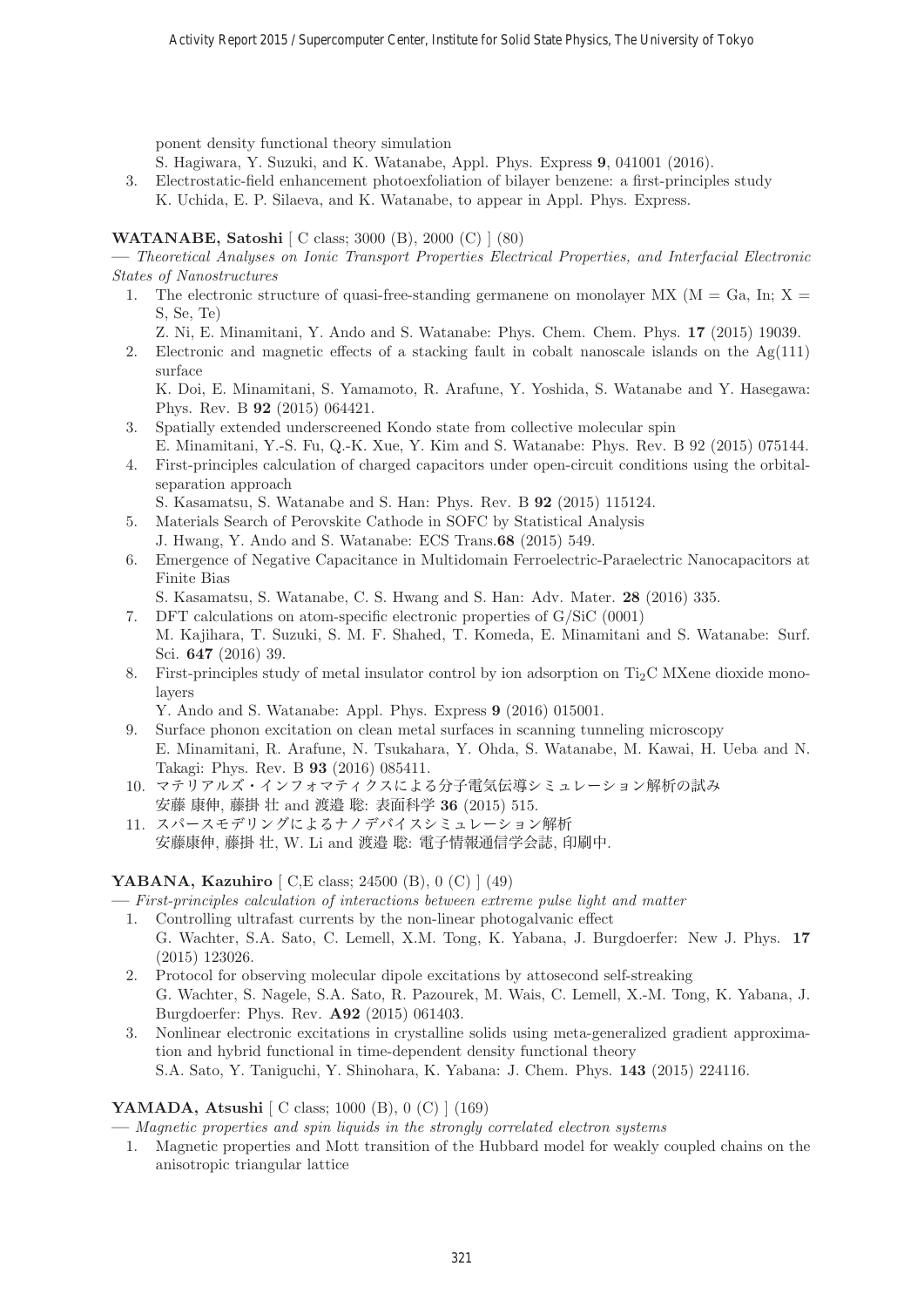ponent density functional theory simulation

S. Hagiwara, Y. Suzuki, and K. Watanabe, Appl. Phys. Express **9**, 041001 (2016).

3. Electrostatic-field enhancement photoexfoliation of bilayer benzene: a first-principles study K. Uchida, E. P. Silaeva, and K. Watanabe, to appear in Appl. Phys. Express.

# **WATANABE, Satoshi** [ C class; 3000 (B), 2000 (C) ] (80)

**—** Theoretical Analyses on Ionic Transport Properties Electrical Properties, and Interfacial Electronic States of Nanostructures

- 1. The electronic structure of quasi-free-standing germanene on monolayer MX ( $M = Ga$ , In;  $X =$ S, Se, Te)
	- Z. Ni, E. Minamitani, Y. Ando and S. Watanabe: Phys. Chem. Chem. Phys. **17** (2015) 19039.
- 2. Electronic and magnetic effects of a stacking fault in cobalt nanoscale islands on the  $Ag(111)$ surface

K. Doi, E. Minamitani, S. Yamamoto, R. Arafune, Y. Yoshida, S. Watanabe and Y. Hasegawa: Phys. Rev. B **92** (2015) 064421.

- 3. Spatially extended underscreened Kondo state from collective molecular spin
- E. Minamitani, Y.-S. Fu, Q.-K. Xue, Y. Kim and S. Watanabe: Phys. Rev. B 92 (2015) 075144. 4. First-principles calculation of charged capacitors under open-circuit conditions using the orbitalseparation approach

S. Kasamatsu, S. Watanabe and S. Han: Phys. Rev. B **92** (2015) 115124.

- 5. Materials Search of Perovskite Cathode in SOFC by Statistical Analysis
- J. Hwang, Y. Ando and S. Watanabe: ECS Trans.**68** (2015) 549.
- 6. Emergence of Negative Capacitance in Multidomain Ferroelectric-Paraelectric Nanocapacitors at Finite Bias

S. Kasamatsu, S. Watanabe, C. S. Hwang and S. Han: Adv. Mater. **28** (2016) 335.

- 7. DFT calculations on atom-specific electronic properties of G/SiC (0001) M. Kajihara, T. Suzuki, S. M. F. Shahed, T. Komeda, E. Minamitani and S. Watanabe: Surf. Sci. **647** (2016) 39.
- 8. First-principles study of metal insulator control by ion adsorption on  $Ti<sub>2</sub>C$  MXene dioxide monolayers

Y. Ando and S. Watanabe: Appl. Phys. Express **9** (2016) 015001.

- 9. Surface phonon excitation on clean metal surfaces in scanning tunneling microscopy E. Minamitani, R. Arafune, N. Tsukahara, Y. Ohda, S. Watanabe, M. Kawai, H. Ueba and N. Takagi: Phys. Rev. B **93** (2016) 085411.
- 10. マテリアルズ・インフォマティクスによる分子電気伝導シミュレーション解析の試み 安藤 康伸, 藤掛 壮 and 渡邉 聡: 表面科学 **36** (2015) 515.
- 11. スパースモデリングによるナノデバイスシミュレーション解析 安藤康伸, 藤掛 壮, W. Li and 渡邉 聡: 電子情報通信学会誌, 印刷中.

# **YABANA, Kazuhiro** [ C,E class; 24500 (B), 0 (C) ] (49)

**—** First-principles calculation of interactions between extreme pulse light and matter

- 1. Controlling ultrafast currents by the non-linear photogalvanic effect G. Wachter, S.A. Sato, C. Lemell, X.M. Tong, K. Yabana, J. Burgdoerfer: New J. Phys. **17** (2015) 123026.
- 2. Protocol for observing molecular dipole excitations by attosecond self-streaking G. Wachter, S. Nagele, S.A. Sato, R. Pazourek, M. Wais, C. Lemell, X.-M. Tong, K. Yabana, J. Burgdoerfer: Phys. Rev. **A92** (2015) 061403.
- 3. Nonlinear electronic excitations in crystalline solids using meta-generalized gradient approximation and hybrid functional in time-dependent density functional theory S.A. Sato, Y. Taniguchi, Y. Shinohara, K. Yabana: J. Chem. Phys. **143** (2015) 224116.

# **YAMADA, Atsushi** [ C class; 1000 (B), 0 (C) ] (169)

**—** Magnetic properties and spin liquids in the strongly correlated electron systems

1. Magnetic properties and Mott transition of the Hubbard model for weakly coupled chains on the anisotropic triangular lattice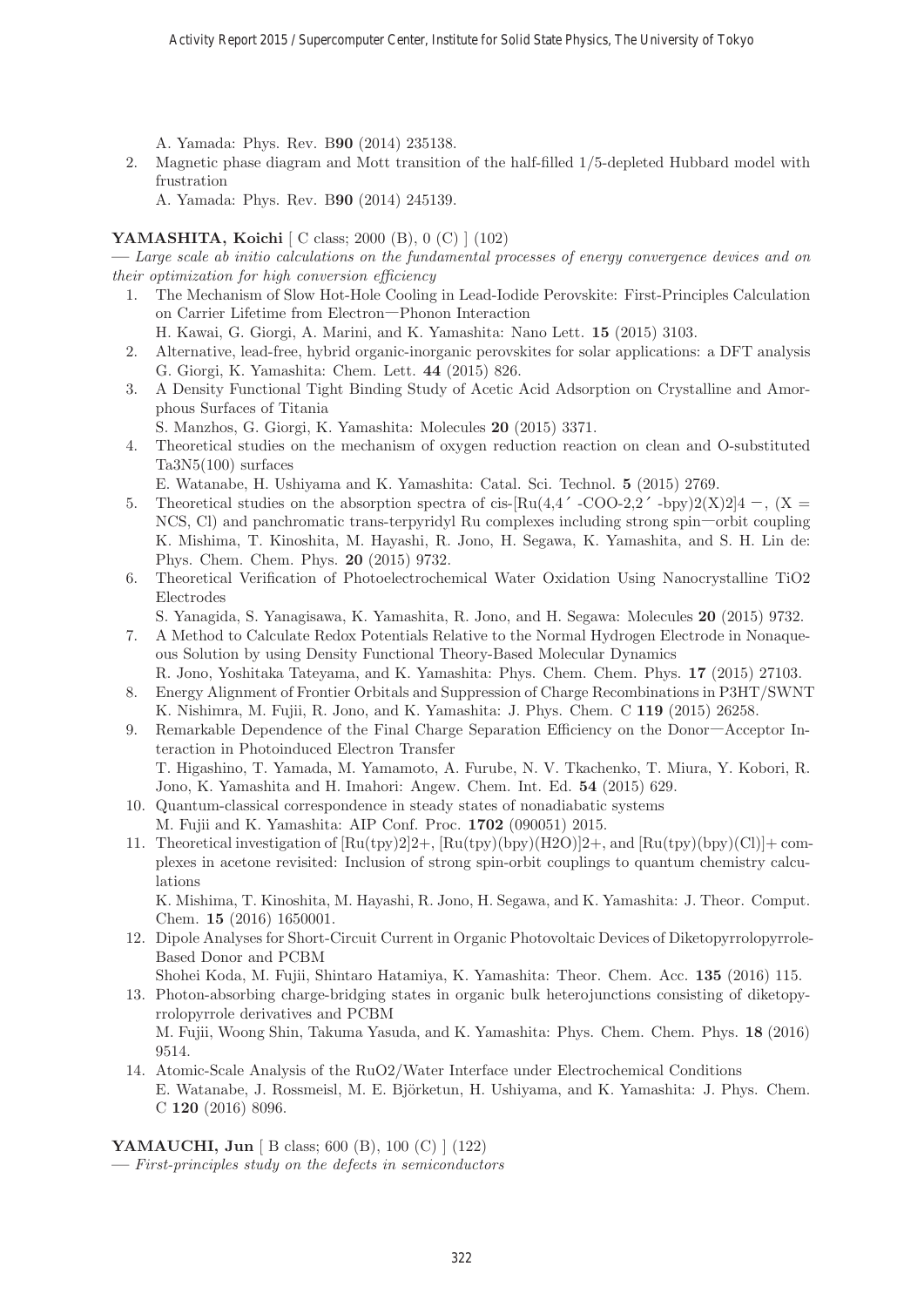A. Yamada: Phys. Rev. B**90** (2014) 235138.

2. Magnetic phase diagram and Mott transition of the half-filled 1/5-depleted Hubbard model with frustration

A. Yamada: Phys. Rev. B**90** (2014) 245139.

# **YAMASHITA, Koichi** [ C class; 2000 (B), 0 (C) ] (102)

**—** Large scale ab initio calculations on the fundamental processes of energy convergence devices and on their optimization for high conversion efficiency

1. The Mechanism of Slow Hot-Hole Cooling in Lead-Iodide Perovskite: First-Principles Calculation on Carrier Lifetime from Electron―Phonon Interaction

H. Kawai, G. Giorgi, A. Marini, and K. Yamashita: Nano Lett. **15** (2015) 3103.

- 2. Alternative, lead-free, hybrid organic-inorganic perovskites for solar applications: a DFT analysis G. Giorgi, K. Yamashita: Chem. Lett. **44** (2015) 826.
- 3. A Density Functional Tight Binding Study of Acetic Acid Adsorption on Crystalline and Amorphous Surfaces of Titania

S. Manzhos, G. Giorgi, K. Yamashita: Molecules **20** (2015) 3371.

4. Theoretical studies on the mechanism of oxygen reduction reaction on clean and O-substituted Ta3N5(100) surfaces

E. Watanabe, H. Ushiyama and K. Yamashita: Catal. Sci. Technol. **5** (2015) 2769.

- 5. Theoretical studies on the absorption spectra of cis-[Ru(4,4' -COO-2,2' -bpy)2(X)2] $4 -$ , (X = NCS, Cl) and panchromatic trans-terpyridyl Ru complexes including strong spin―orbit coupling K. Mishima, T. Kinoshita, M. Hayashi, R. Jono, H. Segawa, K. Yamashita, and S. H. Lin de: Phys. Chem. Chem. Phys. **20** (2015) 9732.
- 6. Theoretical Verification of Photoelectrochemical Water Oxidation Using Nanocrystalline TiO2 Electrodes
	- S. Yanagida, S. Yanagisawa, K. Yamashita, R. Jono, and H. Segawa: Molecules **20** (2015) 9732.
- 7. A Method to Calculate Redox Potentials Relative to the Normal Hydrogen Electrode in Nonaqueous Solution by using Density Functional Theory-Based Molecular Dynamics
- R. Jono, Yoshitaka Tateyama, and K. Yamashita: Phys. Chem. Chem. Phys. **17** (2015) 27103. 8. Energy Alignment of Frontier Orbitals and Suppression of Charge Recombinations in P3HT/SWNT
- K. Nishimra, M. Fujii, R. Jono, and K. Yamashita: J. Phys. Chem. C **119** (2015) 26258.
- 9. Remarkable Dependence of the Final Charge Separation Efficiency on the Donor―Acceptor Interaction in Photoinduced Electron Transfer T. Higashino, T. Yamada, M. Yamamoto, A. Furube, N. V. Tkachenko, T. Miura, Y. Kobori, R.
- Jono, K. Yamashita and H. Imahori: Angew. Chem. Int. Ed. **54** (2015) 629.
- 10. Quantum-classical correspondence in steady states of nonadiabatic systems M. Fujii and K. Yamashita: AIP Conf. Proc. **1702** (090051) 2015.
- 11. Theoretical investigation of  $\left[\text{Ru(tpy)}\right]2\right]2+\text{, Ru(tpy)}$   $\text{(H2O)}\left[2+\text{, and }\left[\text{Ru(tpy)}\right]6\text{py}\right]$  $\text{(Cl)}\left[+\text{com-}\right]$ plexes in acetone revisited: Inclusion of strong spin-orbit couplings to quantum chemistry calculations

K. Mishima, T. Kinoshita, M. Hayashi, R. Jono, H. Segawa, and K. Yamashita: J. Theor. Comput. Chem. **15** (2016) 1650001.

- 12. Dipole Analyses for Short-Circuit Current in Organic Photovoltaic Devices of Diketopyrrolopyrrole-Based Donor and PCBM
- Shohei Koda, M. Fujii, Shintaro Hatamiya, K. Yamashita: Theor. Chem. Acc. **135** (2016) 115.
- 13. Photon-absorbing charge-bridging states in organic bulk heterojunctions consisting of diketopyrrolopyrrole derivatives and PCBM

M. Fujii, Woong Shin, Takuma Yasuda, and K. Yamashita: Phys. Chem. Chem. Phys. **18** (2016) 9514.

14. Atomic-Scale Analysis of the RuO2/Water Interface under Electrochemical Conditions E. Watanabe, J. Rossmeisl, M. E. Björketun, H. Ushiyama, and K. Yamashita: J. Phys. Chem. C **120** (2016) 8096.

**YAMAUCHI, Jun** [ B class; 600 (B), 100 (C) ] (122)

**—** First-principles study on the defects in semiconductors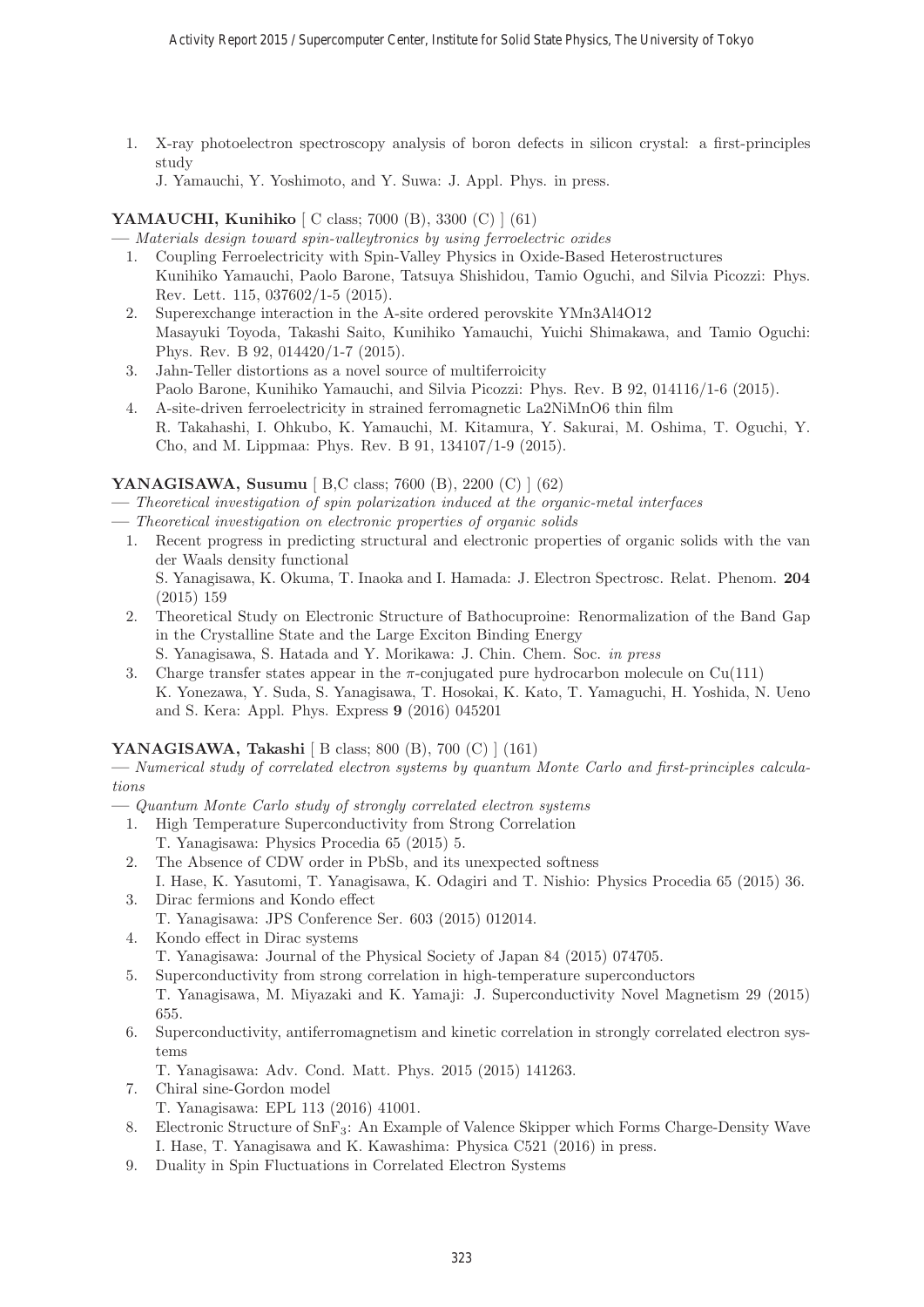- 1. X-ray photoelectron spectroscopy analysis of boron defects in silicon crystal: a first-principles study
	- J. Yamauchi, Y. Yoshimoto, and Y. Suwa: J. Appl. Phys. in press.

# **YAMAUCHI, Kunihiko** [ C class; 7000 (B), 3300 (C) ] (61)

**—** Materials design toward spin-valleytronics by using ferroelectric oxides

- 1. Coupling Ferroelectricity with Spin-Valley Physics in Oxide-Based Heterostructures Kunihiko Yamauchi, Paolo Barone, Tatsuya Shishidou, Tamio Oguchi, and Silvia Picozzi: Phys. Rev. Lett. 115, 037602/1-5 (2015).
- 2. Superexchange interaction in the A-site ordered perovskite YMn3Al4O12 Masayuki Toyoda, Takashi Saito, Kunihiko Yamauchi, Yuichi Shimakawa, and Tamio Oguchi: Phys. Rev. B 92, 014420/1-7 (2015).
- 3. Jahn-Teller distortions as a novel source of multiferroicity Paolo Barone, Kunihiko Yamauchi, and Silvia Picozzi: Phys. Rev. B 92, 014116/1-6 (2015).
- 4. A-site-driven ferroelectricity in strained ferromagnetic La2NiMnO6 thin film R. Takahashi, I. Ohkubo, K. Yamauchi, M. Kitamura, Y. Sakurai, M. Oshima, T. Oguchi, Y. Cho, and M. Lippmaa: Phys. Rev. B 91, 134107/1-9 (2015).

# **YANAGISAWA, Susumu** [ B,C class; 7600 (B), 2200 (C) ] (62)

**—** Theoretical investigation of spin polarization induced at the organic-metal interfaces

- **—** Theoretical investigation on electronic properties of organic solids
- 1. Recent progress in predicting structural and electronic properties of organic solids with the van der Waals density functional S. Yanagisawa, K. Okuma, T. Inaoka and I. Hamada: J. Electron Spectrosc. Relat. Phenom. **204** (2015) 159
- 2. Theoretical Study on Electronic Structure of Bathocuproine: Renormalization of the Band Gap in the Crystalline State and the Large Exciton Binding Energy S. Yanagisawa, S. Hatada and Y. Morikawa: J. Chin. Chem. Soc. in press
- 3. Charge transfer states appear in the  $\pi$ -conjugated pure hydrocarbon molecule on Cu(111) K. Yonezawa, Y. Suda, S. Yanagisawa, T. Hosokai, K. Kato, T. Yamaguchi, H. Yoshida, N. Ueno and S. Kera: Appl. Phys. Express **9** (2016) 045201

# **YANAGISAWA, Takashi** [ B class; 800 (B), 700 (C) ] (161)

**—** Numerical study of correlated electron systems by quantum Monte Carlo and first-principles calculations

- **—** Quantum Monte Carlo study of strongly correlated electron systems
	- 1. High Temperature Superconductivity from Strong Correlation T. Yanagisawa: Physics Procedia 65 (2015) 5.
	- 2. The Absence of CDW order in PbSb, and its unexpected softness I. Hase, K. Yasutomi, T. Yanagisawa, K. Odagiri and T. Nishio: Physics Procedia 65 (2015) 36.
	- 3. Dirac fermions and Kondo effect T. Yanagisawa: JPS Conference Ser. 603 (2015) 012014.
	- 4. Kondo effect in Dirac systems T. Yanagisawa: Journal of the Physical Society of Japan 84 (2015) 074705.
	- 5. Superconductivity from strong correlation in high-temperature superconductors T. Yanagisawa, M. Miyazaki and K. Yamaji: J. Superconductivity Novel Magnetism 29 (2015) 655.
	- 6. Superconductivity, antiferromagnetism and kinetic correlation in strongly correlated electron systems
		- T. Yanagisawa: Adv. Cond. Matt. Phys. 2015 (2015) 141263.
	- 7. Chiral sine-Gordon model
		- T. Yanagisawa: EPL 113 (2016) 41001.
	- 8. Electronic Structure of SnF3: An Example of Valence Skipper which Forms Charge-Density Wave I. Hase, T. Yanagisawa and K. Kawashima: Physica C521 (2016) in press.
	- 9. Duality in Spin Fluctuations in Correlated Electron Systems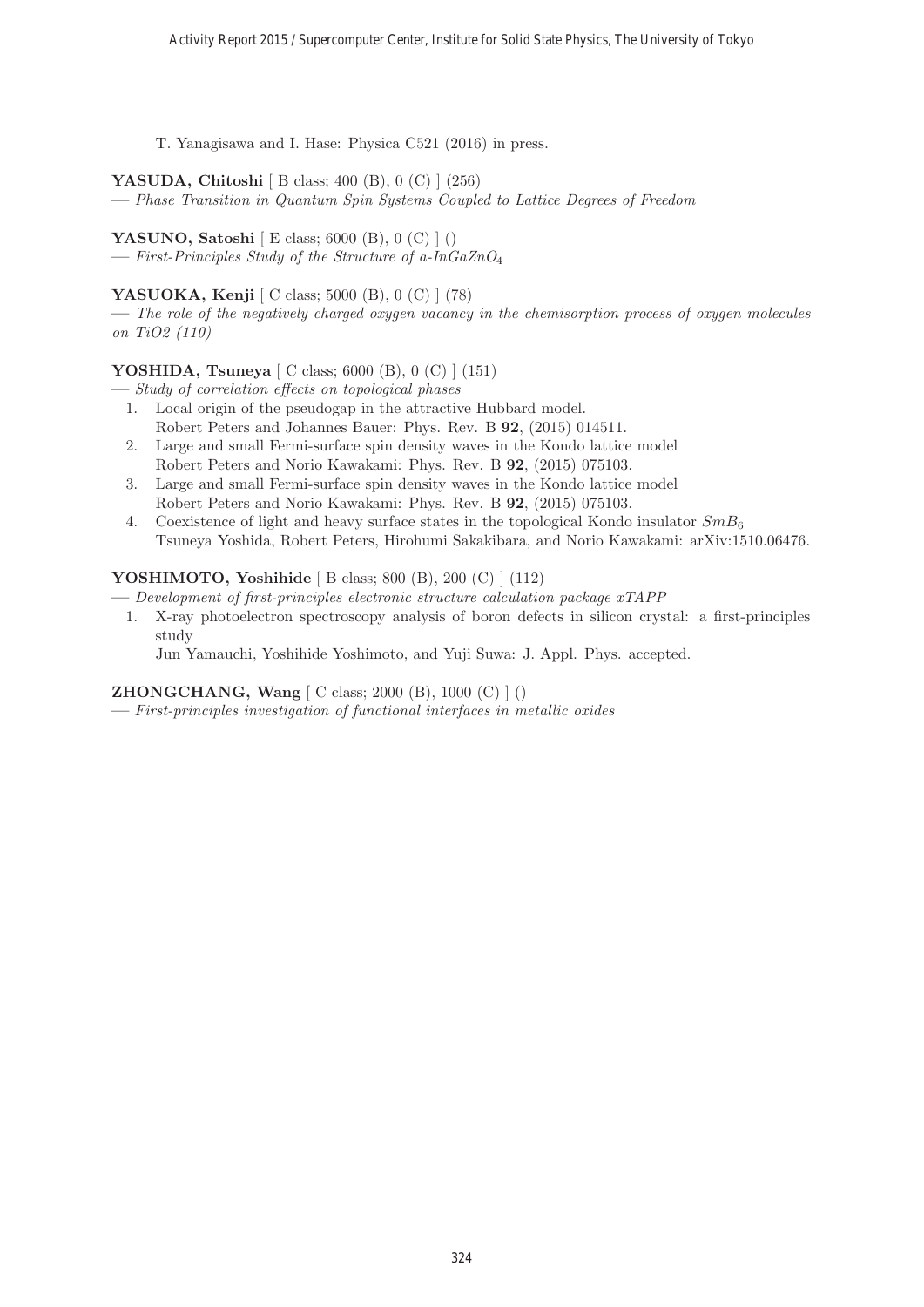T. Yanagisawa and I. Hase: Physica C521 (2016) in press.

**YASUDA, Chitoshi** [ B class; 400 (B), 0 (C) ] (256)

**—** Phase Transition in Quantum Spin Systems Coupled to Lattice Degrees of Freedom

**YASUNO, Satoshi** [ E class; 6000 (B), 0 (C) ] ()

**—** First-Principles Study of the Structure of a-InGaZnO<sup>4</sup>

# **YASUOKA, Kenji** [ C class; 5000 (B), 0 (C) ] (78)

**—** The role of the negatively charged oxygen vacancy in the chemisorption process of oxygen molecules on TiO2 (110)

# **YOSHIDA, Tsuneya** [ C class; 6000 (B), 0 (C) ] (151)

**—** Study of correlation effects on topological phases

- 1. Local origin of the pseudogap in the attractive Hubbard model. Robert Peters and Johannes Bauer: Phys. Rev. B **92**, (2015) 014511.
- 2. Large and small Fermi-surface spin density waves in the Kondo lattice model Robert Peters and Norio Kawakami: Phys. Rev. B **92**, (2015) 075103.
- 3. Large and small Fermi-surface spin density waves in the Kondo lattice model Robert Peters and Norio Kawakami: Phys. Rev. B **92**, (2015) 075103.
- 4. Coexistence of light and heavy surface states in the topological Kondo insulator  $SmB_6$ Tsuneya Yoshida, Robert Peters, Hirohumi Sakakibara, and Norio Kawakami: arXiv:1510.06476.

# **YOSHIMOTO, Yoshihide** [ B class; 800 (B), 200 (C) ] (112)

**—** Development of first-principles electronic structure calculation package xTAPP

1. X-ray photoelectron spectroscopy analysis of boron defects in silicon crystal: a first-principles study

Jun Yamauchi, Yoshihide Yoshimoto, and Yuji Suwa: J. Appl. Phys. accepted.

# **ZHONGCHANG, Wang** [ C class; 2000 (B), 1000 (C) ] ()

**—** First-principles investigation of functional interfaces in metallic oxides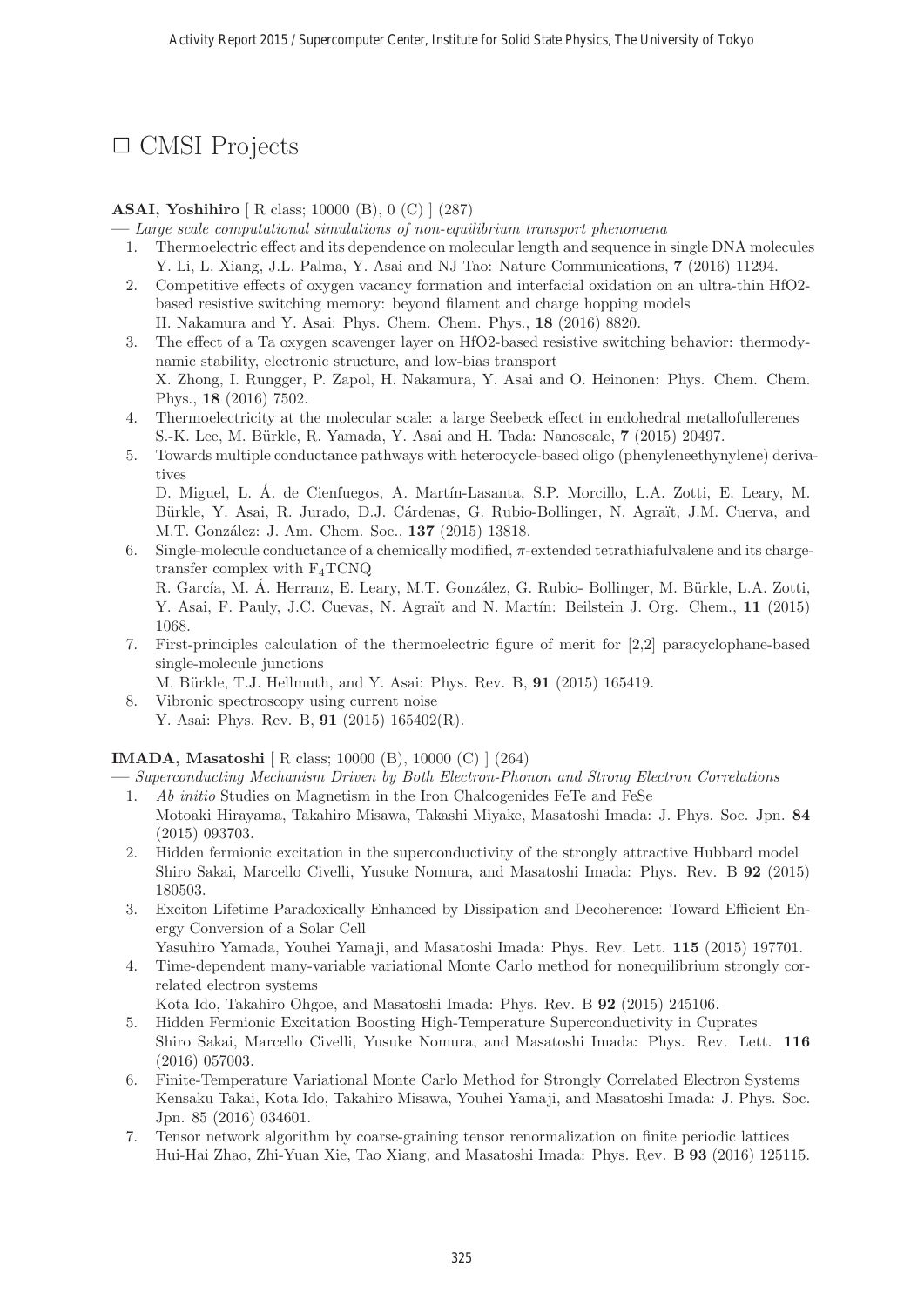# □ CMSI Projects

# **ASAI, Yoshihiro** [ R class; 10000 (B), 0 (C) ] (287)

**—** Large scale computational simulations of non-equilibrium transport phenomena

- 1. Thermoelectric effect and its dependence on molecular length and sequence in single DNA molecules Y. Li, L. Xiang, J.L. Palma, Y. Asai and NJ Tao: Nature Communications, **7** (2016) 11294.
- 2. Competitive effects of oxygen vacancy formation and interfacial oxidation on an ultra-thin HfO2 based resistive switching memory: beyond filament and charge hopping models H. Nakamura and Y. Asai: Phys. Chem. Chem. Phys., **18** (2016) 8820.
- 3. The effect of a Ta oxygen scavenger layer on HfO2-based resistive switching behavior: thermodynamic stability, electronic structure, and low-bias transport X. Zhong, I. Rungger, P. Zapol, H. Nakamura, Y. Asai and O. Heinonen: Phys. Chem. Chem. Phys., **18** (2016) 7502.
- 4. Thermoelectricity at the molecular scale: a large Seebeck effect in endohedral metallofullerenes S.-K. Lee, M. B¨urkle, R. Yamada, Y. Asai and H. Tada: Nanoscale, **7** (2015) 20497.
- 5. Towards multiple conductance pathways with heterocycle-based oligo (phenyleneethynylene) derivatives D. Miguel, L. Á. de Cienfuegos, A. Martín-Lasanta, S.P. Morcillo, L.A. Zotti, E. Leary, M.

Bürkle, Y. Asai, R. Jurado, D.J. Cárdenas, G. Rubio-Bollinger, N. Agraït, J.M. Cuerva, and M.T. Gonz´alez: J. Am. Chem. Soc., **137** (2015) 13818.

6. Single-molecule conductance of a chemically modified, π-extended tetrathiafulvalene and its chargetransfer complex with  $F_4TCNQ$ R. García, M. Á. Herranz, E. Leary, M.T. González, G. Rubio- Bollinger, M. Bürkle, L.A. Zotti,

Y. Asai, F. Pauly, J.C. Cuevas, N. Agraït and N. Martín: Beilstein J. Org. Chem., 11 (2015) 1068.

7. First-principles calculation of the thermoelectric figure of merit for [2,2] paracyclophane-based single-molecule junctions

M. B¨urkle, T.J. Hellmuth, and Y. Asai: Phys. Rev. B, **91** (2015) 165419.

8. Vibronic spectroscopy using current noise Y. Asai: Phys. Rev. B, **91** (2015) 165402(R).

#### **IMADA, Masatoshi** [ R class; 10000 (B), 10000 (C) ] (264)

**—** Superconducting Mechanism Driven by Both Electron-Phonon and Strong Electron Correlations

- 1. Ab initio Studies on Magnetism in the Iron Chalcogenides FeTe and FeSe Motoaki Hirayama, Takahiro Misawa, Takashi Miyake, Masatoshi Imada: J. Phys. Soc. Jpn. **84** (2015) 093703.
- 2. Hidden fermionic excitation in the superconductivity of the strongly attractive Hubbard model Shiro Sakai, Marcello Civelli, Yusuke Nomura, and Masatoshi Imada: Phys. Rev. B **92** (2015) 180503.
- 3. Exciton Lifetime Paradoxically Enhanced by Dissipation and Decoherence: Toward Efficient Energy Conversion of a Solar Cell
	- Yasuhiro Yamada, Youhei Yamaji, and Masatoshi Imada: Phys. Rev. Lett. **115** (2015) 197701.
- 4. Time-dependent many-variable variational Monte Carlo method for nonequilibrium strongly correlated electron systems

Kota Ido, Takahiro Ohgoe, and Masatoshi Imada: Phys. Rev. B **92** (2015) 245106.

- 5. Hidden Fermionic Excitation Boosting High-Temperature Superconductivity in Cuprates Shiro Sakai, Marcello Civelli, Yusuke Nomura, and Masatoshi Imada: Phys. Rev. Lett. **116** (2016) 057003.
- 6. Finite-Temperature Variational Monte Carlo Method for Strongly Correlated Electron Systems Kensaku Takai, Kota Ido, Takahiro Misawa, Youhei Yamaji, and Masatoshi Imada: J. Phys. Soc. Jpn. 85 (2016) 034601.
- 7. Tensor network algorithm by coarse-graining tensor renormalization on finite periodic lattices Hui-Hai Zhao, Zhi-Yuan Xie, Tao Xiang, and Masatoshi Imada: Phys. Rev. B **93** (2016) 125115.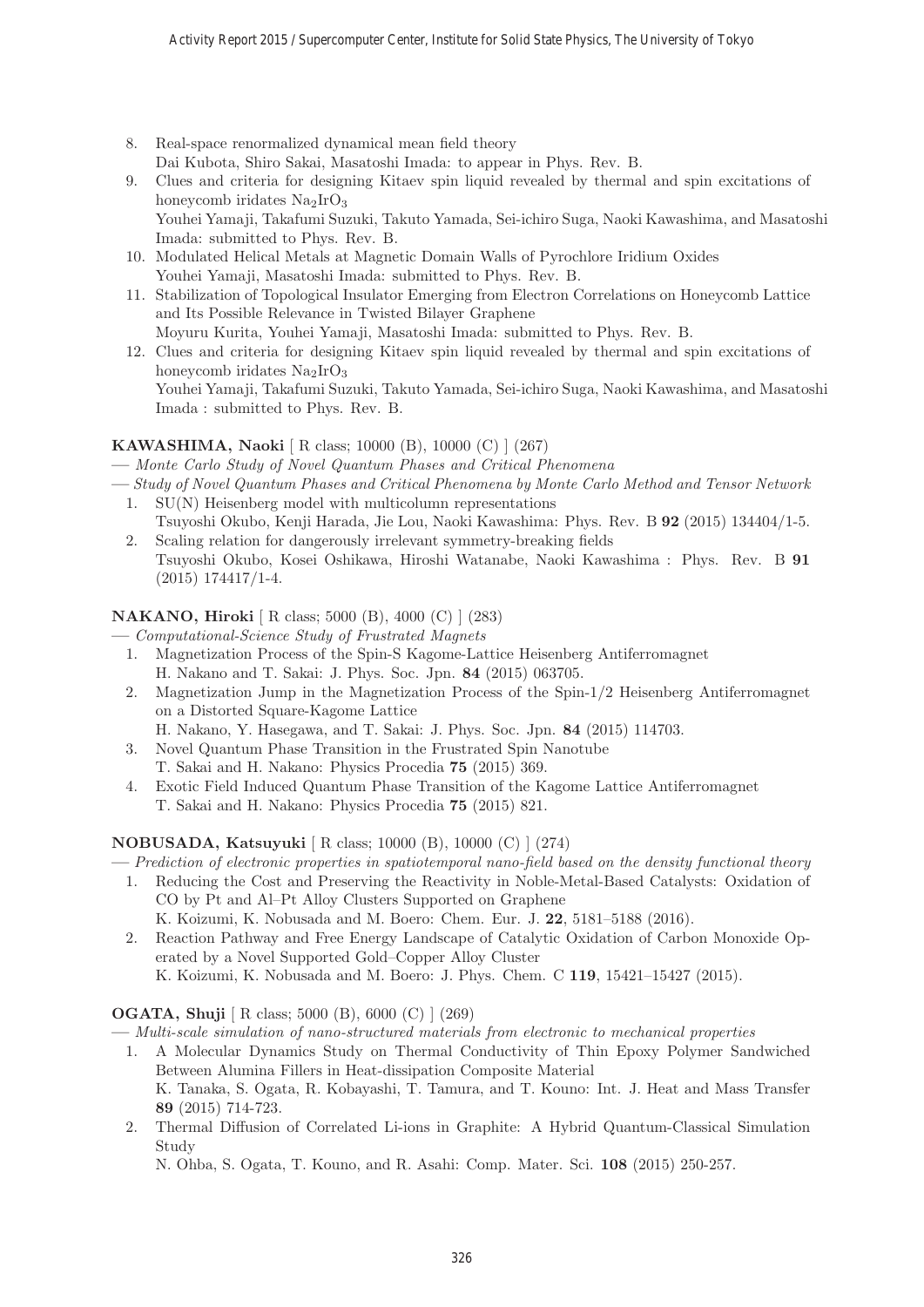- 8. Real-space renormalized dynamical mean field theory Dai Kubota, Shiro Sakai, Masatoshi Imada: to appear in Phys. Rev. B.
- 9. Clues and criteria for designing Kitaev spin liquid revealed by thermal and spin excitations of honeycomb iridates  $Na<sub>2</sub>IrO<sub>3</sub>$ Youhei Yamaji, Takafumi Suzuki, Takuto Yamada, Sei-ichiro Suga, Naoki Kawashima, and Masatoshi Imada: submitted to Phys. Rev. B.
- 10. Modulated Helical Metals at Magnetic Domain Walls of Pyrochlore Iridium Oxides Youhei Yamaji, Masatoshi Imada: submitted to Phys. Rev. B.
- 11. Stabilization of Topological Insulator Emerging from Electron Correlations on Honeycomb Lattice and Its Possible Relevance in Twisted Bilayer Graphene
- Moyuru Kurita, Youhei Yamaji, Masatoshi Imada: submitted to Phys. Rev. B. 12. Clues and criteria for designing Kitaev spin liquid revealed by thermal and spin excitations of honeycomb iridates  $Na<sub>2</sub>IrO<sub>3</sub>$ Youhei Yamaji, Takafumi Suzuki, Takuto Yamada, Sei-ichiro Suga, Naoki Kawashima, and Masatoshi Imada : submitted to Phys. Rev. B.

# **KAWASHIMA, Naoki** [ R class; 10000 (B), 10000 (C) ] (267)

**—** Monte Carlo Study of Novel Quantum Phases and Critical Phenomena

- **—** Study of Novel Quantum Phases and Critical Phenomena by Monte Carlo Method and Tensor Network 1. SU(N) Heisenberg model with multicolumn representations
	- Tsuyoshi Okubo, Kenji Harada, Jie Lou, Naoki Kawashima: Phys. Rev. B **92** (2015) 134404/1-5. 2. Scaling relation for dangerously irrelevant symmetry-breaking fields
	- Tsuyoshi Okubo, Kosei Oshikawa, Hiroshi Watanabe, Naoki Kawashima : Phys. Rev. B **91** (2015) 174417/1-4.

# **NAKANO, Hiroki** [ R class; 5000 (B), 4000 (C) ] (283)

- **—** Computational-Science Study of Frustrated Magnets
	- 1. Magnetization Process of the Spin-S Kagome-Lattice Heisenberg Antiferromagnet H. Nakano and T. Sakai: J. Phys. Soc. Jpn. **84** (2015) 063705.
	- 2. Magnetization Jump in the Magnetization Process of the Spin-1/2 Heisenberg Antiferromagnet on a Distorted Square-Kagome Lattice
	- H. Nakano, Y. Hasegawa, and T. Sakai: J. Phys. Soc. Jpn. **84** (2015) 114703.
	- 3. Novel Quantum Phase Transition in the Frustrated Spin Nanotube
	- T. Sakai and H. Nakano: Physics Procedia **75** (2015) 369.
	- 4. Exotic Field Induced Quantum Phase Transition of the Kagome Lattice Antiferromagnet T. Sakai and H. Nakano: Physics Procedia **75** (2015) 821.

# **NOBUSADA, Katsuyuki** [ R class; 10000 (B), 10000 (C) ] (274)

- **—** Prediction of electronic properties in spatiotemporal nano-field based on the density functional theory
	- 1. Reducing the Cost and Preserving the Reactivity in Noble-Metal-Based Catalysts: Oxidation of CO by Pt and Al–Pt Alloy Clusters Supported on Graphene K. Koizumi, K. Nobusada and M. Boero: Chem. Eur. J. **22**, 5181–5188 (2016).
	- 2. Reaction Pathway and Free Energy Landscape of Catalytic Oxidation of Carbon Monoxide Operated by a Novel Supported Gold–Copper Alloy Cluster K. Koizumi, K. Nobusada and M. Boero: J. Phys. Chem. C **119**, 15421–15427 (2015).

# **OGATA, Shuji** [ R class; 5000 (B), 6000 (C) ] (269)

**—** Multi-scale simulation of nano-structured materials from electronic to mechanical properties

- 1. A Molecular Dynamics Study on Thermal Conductivity of Thin Epoxy Polymer Sandwiched Between Alumina Fillers in Heat-dissipation Composite Material K. Tanaka, S. Ogata, R. Kobayashi, T. Tamura, and T. Kouno: Int. J. Heat and Mass Transfer **89** (2015) 714-723.
- 2. Thermal Diffusion of Correlated Li-ions in Graphite: A Hybrid Quantum-Classical Simulation Study

N. Ohba, S. Ogata, T. Kouno, and R. Asahi: Comp. Mater. Sci. **108** (2015) 250-257.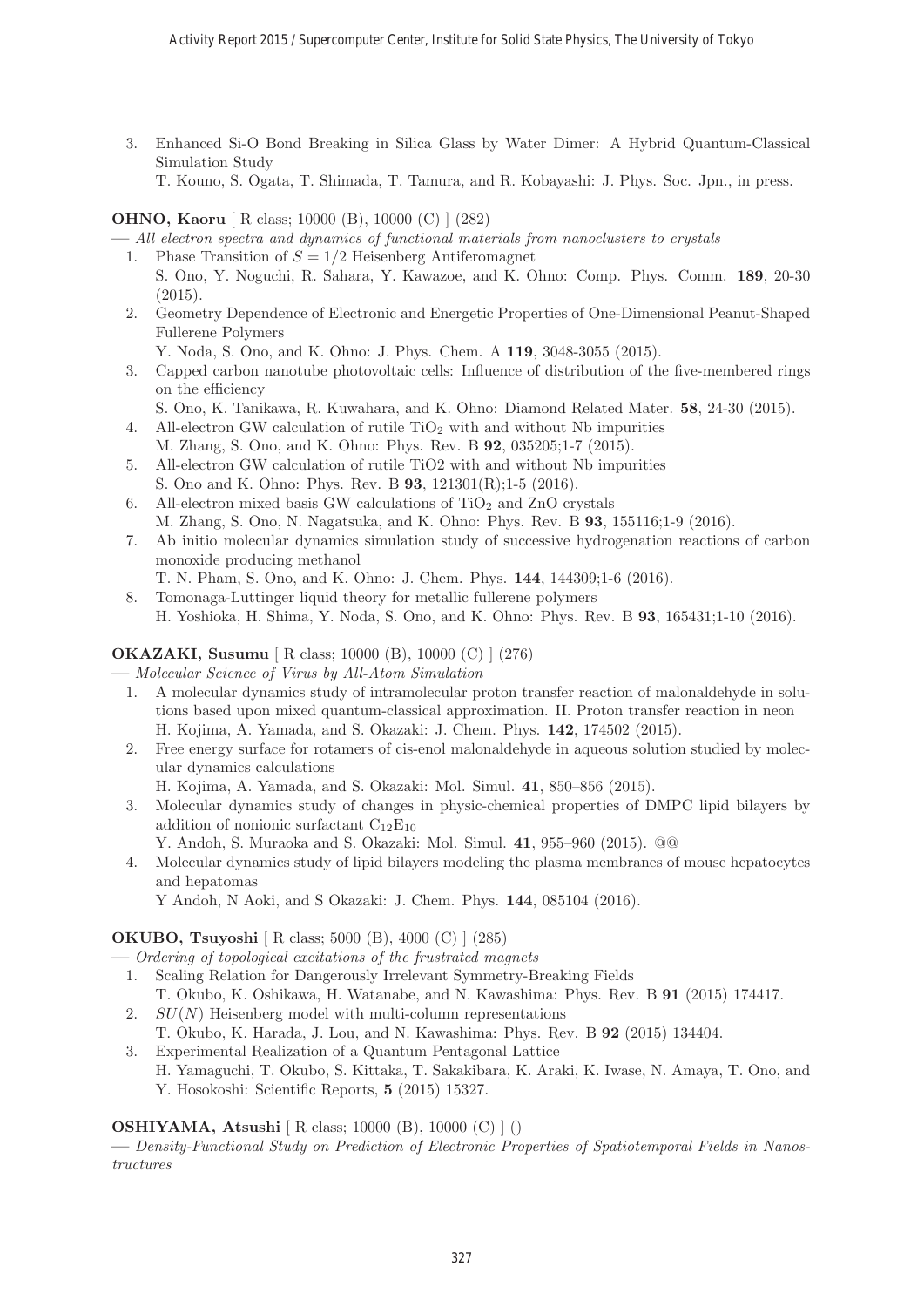3. Enhanced Si-O Bond Breaking in Silica Glass by Water Dimer: A Hybrid Quantum-Classical Simulation Study

T. Kouno, S. Ogata, T. Shimada, T. Tamura, and R. Kobayashi: J. Phys. Soc. Jpn., in press.

# **OHNO, Kaoru** [ R class; 10000 (B), 10000 (C) ] (282)

**—** All electron spectra and dynamics of functional materials from nanoclusters to crystals

- 1. Phase Transition of  $S = 1/2$  Heisenberg Antiferomagnet S. Ono, Y. Noguchi, R. Sahara, Y. Kawazoe, and K. Ohno: Comp. Phys. Comm. **189**, 20-30 (2015).
- 2. Geometry Dependence of Electronic and Energetic Properties of One-Dimensional Peanut-Shaped Fullerene Polymers
	- Y. Noda, S. Ono, and K. Ohno: J. Phys. Chem. A **119**, 3048-3055 (2015).
- 3. Capped carbon nanotube photovoltaic cells: Influence of distribution of the five-membered rings on the efficiency
- S. Ono, K. Tanikawa, R. Kuwahara, and K. Ohno: Diamond Related Mater. **58**, 24-30 (2015).
- 4. All-electron GW calculation of rutile  $TiO<sub>2</sub>$  with and without Nb impurities M. Zhang, S. Ono, and K. Ohno: Phys. Rev. B **92**, 035205;1-7 (2015).
- 5. All-electron GW calculation of rutile TiO2 with and without Nb impurities S. Ono and K. Ohno: Phys. Rev. B **93**, 121301(R);1-5 (2016).
- 6. All-electron mixed basis GW calculations of  $TiO<sub>2</sub>$  and ZnO crystals M. Zhang, S. Ono, N. Nagatsuka, and K. Ohno: Phys. Rev. B **93**, 155116;1-9 (2016).
- 7. Ab initio molecular dynamics simulation study of successive hydrogenation reactions of carbon monoxide producing methanol
	- T. N. Pham, S. Ono, and K. Ohno: J. Chem. Phys. **144**, 144309;1-6 (2016).
- 8. Tomonaga-Luttinger liquid theory for metallic fullerene polymers H. Yoshioka, H. Shima, Y. Noda, S. Ono, and K. Ohno: Phys. Rev. B **93**, 165431;1-10 (2016).

# **OKAZAKI, Susumu** [ R class; 10000 (B), 10000 (C) ] (276)

**—** Molecular Science of Virus by All-Atom Simulation

- 1. A molecular dynamics study of intramolecular proton transfer reaction of malonaldehyde in solutions based upon mixed quantum-classical approximation. II. Proton transfer reaction in neon H. Kojima, A. Yamada, and S. Okazaki: J. Chem. Phys. **142**, 174502 (2015).
- 2. Free energy surface for rotamers of cis-enol malonaldehyde in aqueous solution studied by molecular dynamics calculations
	- H. Kojima, A. Yamada, and S. Okazaki: Mol. Simul. **41**, 850–856 (2015).
- 3. Molecular dynamics study of changes in physic-chemical properties of DMPC lipid bilayers by addition of nonionic surfactant  $C_{12}E_{10}$ 
	- Y. Andoh, S. Muraoka and S. Okazaki: Mol. Simul. **41**, 955–960 (2015). @@
- 4. Molecular dynamics study of lipid bilayers modeling the plasma membranes of mouse hepatocytes and hepatomas

Y Andoh, N Aoki, and S Okazaki: J. Chem. Phys. **144**, 085104 (2016).

# **OKUBO, Tsuyoshi** [ R class; 5000 (B), 4000 (C) ] (285)

- **—** Ordering of topological excitations of the frustrated magnets
- 1. Scaling Relation for Dangerously Irrelevant Symmetry-Breaking Fields
- T. Okubo, K. Oshikawa, H. Watanabe, and N. Kawashima: Phys. Rev. B **91** (2015) 174417.
- 2.  $SU(N)$  Heisenberg model with multi-column representations
- T. Okubo, K. Harada, J. Lou, and N. Kawashima: Phys. Rev. B **92** (2015) 134404.
- 3. Experimental Realization of a Quantum Pentagonal Lattice H. Yamaguchi, T. Okubo, S. Kittaka, T. Sakakibara, K. Araki, K. Iwase, N. Amaya, T. Ono, and Y. Hosokoshi: Scientific Reports, **5** (2015) 15327.

# **OSHIYAMA, Atsushi** [ R class; 10000 (B), 10000 (C) ] ()

**—** Density-Functional Study on Prediction of Electronic Properties of Spatiotemporal Fields in Nanostructures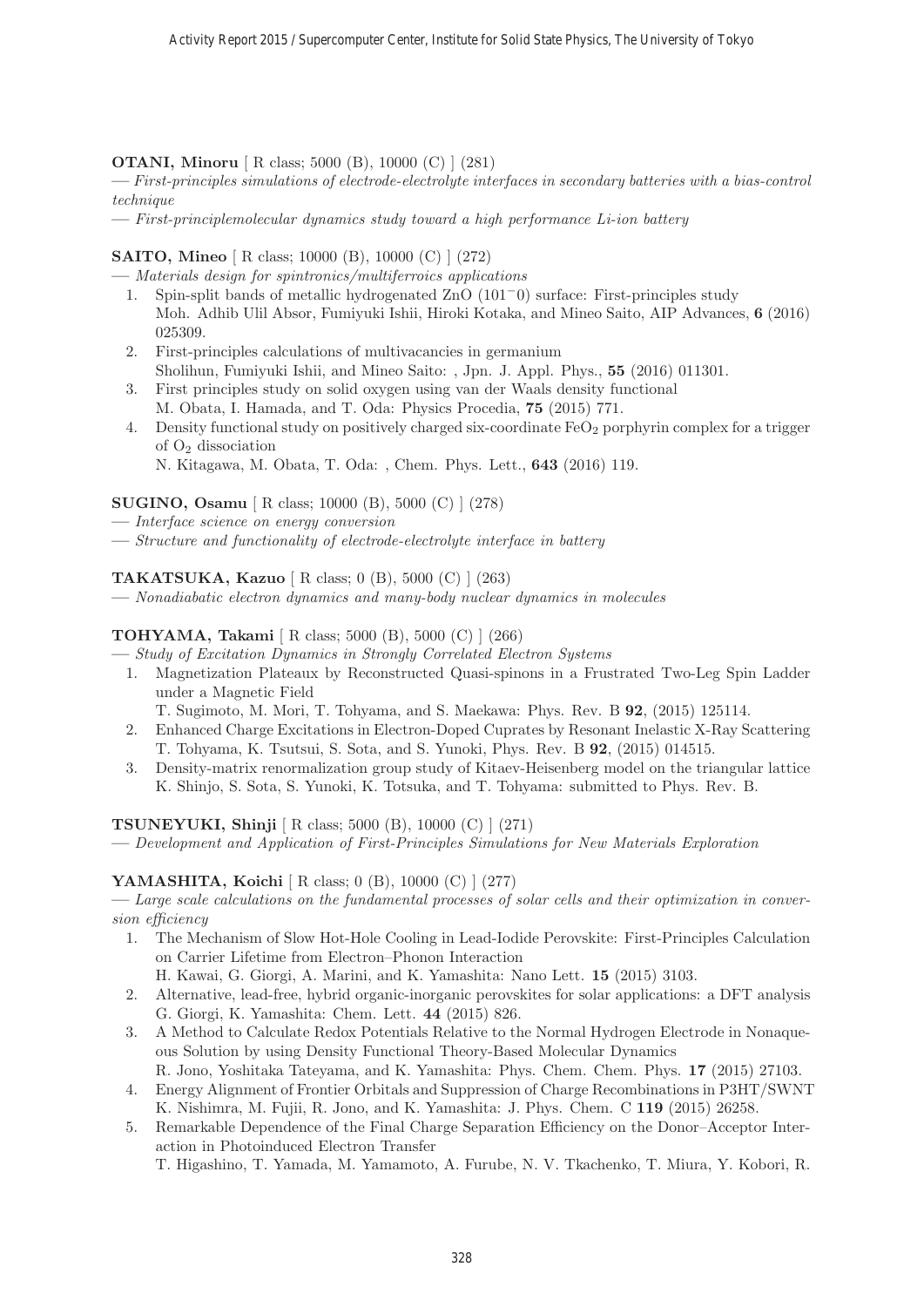**OTANI, Minoru** [ R class; 5000 (B), 10000 (C) ] (281)

**—** First-principles simulations of electrode-electrolyte interfaces in secondary batteries with a bias-control technique

**—** First-principlemolecular dynamics study toward a high performance Li-ion battery

# **SAITO, Mineo** [ R class; 10000 (B), 10000 (C) ] (272)

**—** Materials design for spintronics/multiferroics applications

- 1. Spin-split bands of metallic hydrogenated ZnO (101−0) surface: First-principles study Moh. Adhib Ulil Absor, Fumiyuki Ishii, Hiroki Kotaka, and Mineo Saito, AIP Advances, **6** (2016) 025309.
- 2. First-principles calculations of multivacancies in germanium Sholihun, Fumiyuki Ishii, and Mineo Saito: , Jpn. J. Appl. Phys., **55** (2016) 011301.
- 3. First principles study on solid oxygen using van der Waals density functional M. Obata, I. Hamada, and T. Oda: Physics Procedia, **75** (2015) 771.
- 4. Density functional study on positively charged six-coordinate  $FeO<sub>2</sub>$  porphyrin complex for a trigger of O<sup>2</sup> dissociation
	- N. Kitagawa, M. Obata, T. Oda: , Chem. Phys. Lett., **643** (2016) 119.

#### **SUGINO, Osamu** [ R class; 10000 (B), 5000 (C) ] (278)

- **—** Interface science on energy conversion
- **—** Structure and functionality of electrode-electrolyte interface in battery

# **TAKATSUKA, Kazuo** [ R class; 0 (B), 5000 (C) ] (263)

**—** Nonadiabatic electron dynamics and many-body nuclear dynamics in molecules

# **TOHYAMA, Takami** [ R class; 5000 (B), 5000 (C) ] (266)

**—** Study of Excitation Dynamics in Strongly Correlated Electron Systems

- 1. Magnetization Plateaux by Reconstructed Quasi-spinons in a Frustrated Two-Leg Spin Ladder under a Magnetic Field
	- T. Sugimoto, M. Mori, T. Tohyama, and S. Maekawa: Phys. Rev. B **92**, (2015) 125114.
- 2. Enhanced Charge Excitations in Electron-Doped Cuprates by Resonant Inelastic X-Ray Scattering T. Tohyama, K. Tsutsui, S. Sota, and S. Yunoki, Phys. Rev. B **92**, (2015) 014515.
- 3. Density-matrix renormalization group study of Kitaev-Heisenberg model on the triangular lattice K. Shinjo, S. Sota, S. Yunoki, K. Totsuka, and T. Tohyama: submitted to Phys. Rev. B.

**TSUNEYUKI, Shinji** [ R class; 5000 (B), 10000 (C) ] (271)

**—** Development and Application of First-Principles Simulations for New Materials Exploration

#### **YAMASHITA, Koichi** [ R class; 0 (B), 10000 (C) ] (277)

**—** Large scale calculations on the fundamental processes of solar cells and their optimization in conversion efficiency

1. The Mechanism of Slow Hot-Hole Cooling in Lead-Iodide Perovskite: First-Principles Calculation on Carrier Lifetime from Electron–Phonon Interaction

H. Kawai, G. Giorgi, A. Marini, and K. Yamashita: Nano Lett. **15** (2015) 3103.

- 2. Alternative, lead-free, hybrid organic-inorganic perovskites for solar applications: a DFT analysis G. Giorgi, K. Yamashita: Chem. Lett. **44** (2015) 826.
- 3. A Method to Calculate Redox Potentials Relative to the Normal Hydrogen Electrode in Nonaqueous Solution by using Density Functional Theory-Based Molecular Dynamics R. Jono, Yoshitaka Tateyama, and K. Yamashita: Phys. Chem. Chem. Phys. **17** (2015) 27103.
- 4. Energy Alignment of Frontier Orbitals and Suppression of Charge Recombinations in P3HT/SWNT K. Nishimra, M. Fujii, R. Jono, and K. Yamashita: J. Phys. Chem. C **119** (2015) 26258.
- 5. Remarkable Dependence of the Final Charge Separation Efficiency on the Donor–Acceptor Interaction in Photoinduced Electron Transfer

T. Higashino, T. Yamada, M. Yamamoto, A. Furube, N. V. Tkachenko, T. Miura, Y. Kobori, R.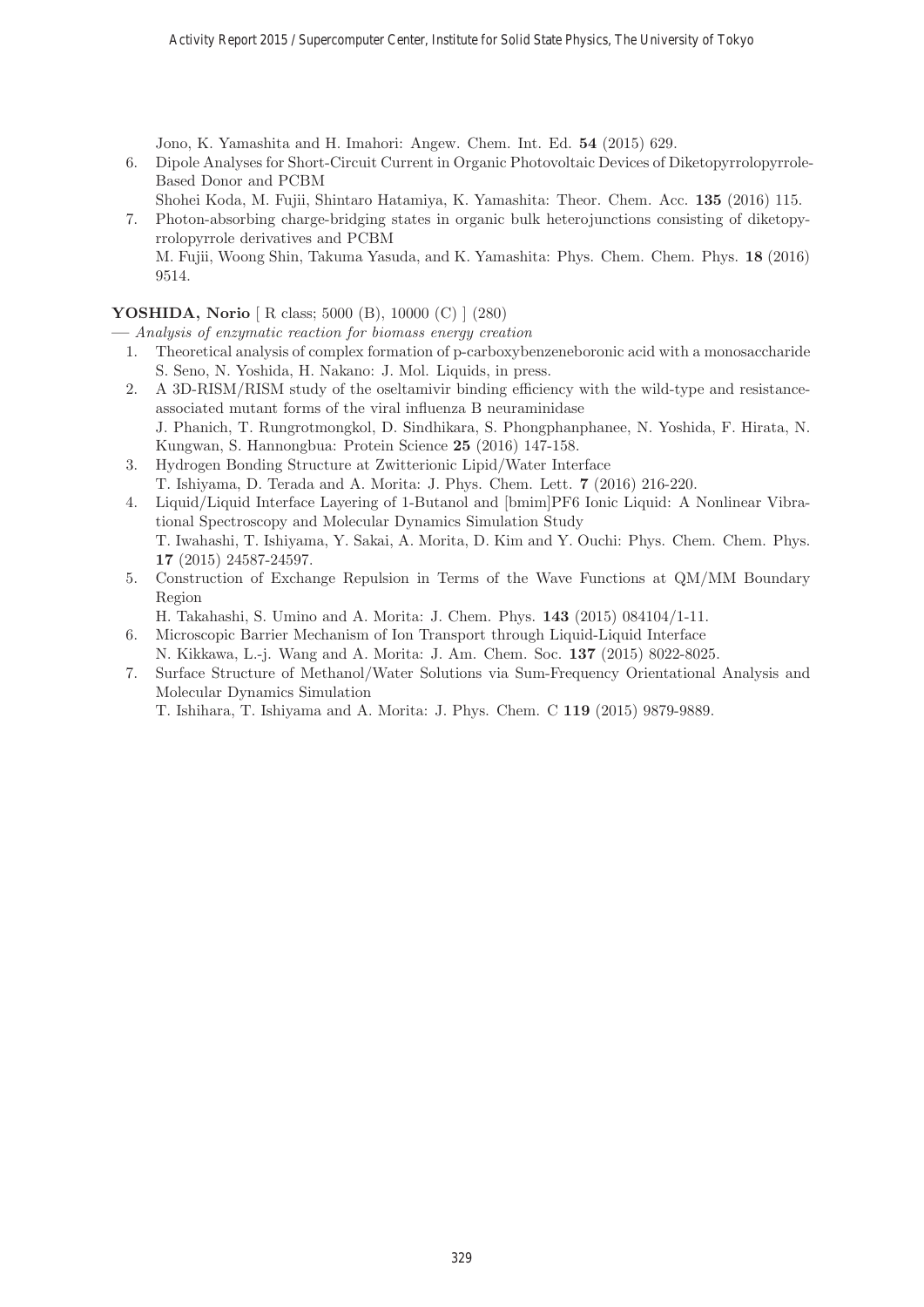Jono, K. Yamashita and H. Imahori: Angew. Chem. Int. Ed. **54** (2015) 629.

- 6. Dipole Analyses for Short-Circuit Current in Organic Photovoltaic Devices of Diketopyrrolopyrrole-Based Donor and PCBM
	- Shohei Koda, M. Fujii, Shintaro Hatamiya, K. Yamashita: Theor. Chem. Acc. **135** (2016) 115.
- 7. Photon-absorbing charge-bridging states in organic bulk heterojunctions consisting of diketopyrrolopyrrole derivatives and PCBM M. Fujii, Woong Shin, Takuma Yasuda, and K. Yamashita: Phys. Chem. Chem. Phys. **18** (2016)

**YOSHIDA, Norio** [ R class; 5000 (B), 10000 (C) ] (280)

9514.

**—** Analysis of enzymatic reaction for biomass energy creation

- 1. Theoretical analysis of complex formation of p-carboxybenzeneboronic acid with a monosaccharide S. Seno, N. Yoshida, H. Nakano: J. Mol. Liquids, in press.
- 2. A 3D-RISM/RISM study of the oseltamivir binding efficiency with the wild-type and resistanceassociated mutant forms of the viral influenza B neuraminidase J. Phanich, T. Rungrotmongkol, D. Sindhikara, S. Phongphanphanee, N. Yoshida, F. Hirata, N.
- Kungwan, S. Hannongbua: Protein Science **25** (2016) 147-158. 3. Hydrogen Bonding Structure at Zwitterionic Lipid/Water Interface
- T. Ishiyama, D. Terada and A. Morita: J. Phys. Chem. Lett. **7** (2016) 216-220.
- 4. Liquid/Liquid Interface Layering of 1-Butanol and [bmim]PF6 Ionic Liquid: A Nonlinear Vibrational Spectroscopy and Molecular Dynamics Simulation Study T. Iwahashi, T. Ishiyama, Y. Sakai, A. Morita, D. Kim and Y. Ouchi: Phys. Chem. Chem. Phys. **17** (2015) 24587-24597.
- 5. Construction of Exchange Repulsion in Terms of the Wave Functions at QM/MM Boundary Region

H. Takahashi, S. Umino and A. Morita: J. Chem. Phys. **143** (2015) 084104/1-11.

- 6. Microscopic Barrier Mechanism of Ion Transport through Liquid-Liquid Interface
- N. Kikkawa, L.-j. Wang and A. Morita: J. Am. Chem. Soc. **137** (2015) 8022-8025.
- 7. Surface Structure of Methanol/Water Solutions via Sum-Frequency Orientational Analysis and Molecular Dynamics Simulation

T. Ishihara, T. Ishiyama and A. Morita: J. Phys. Chem. C **119** (2015) 9879-9889.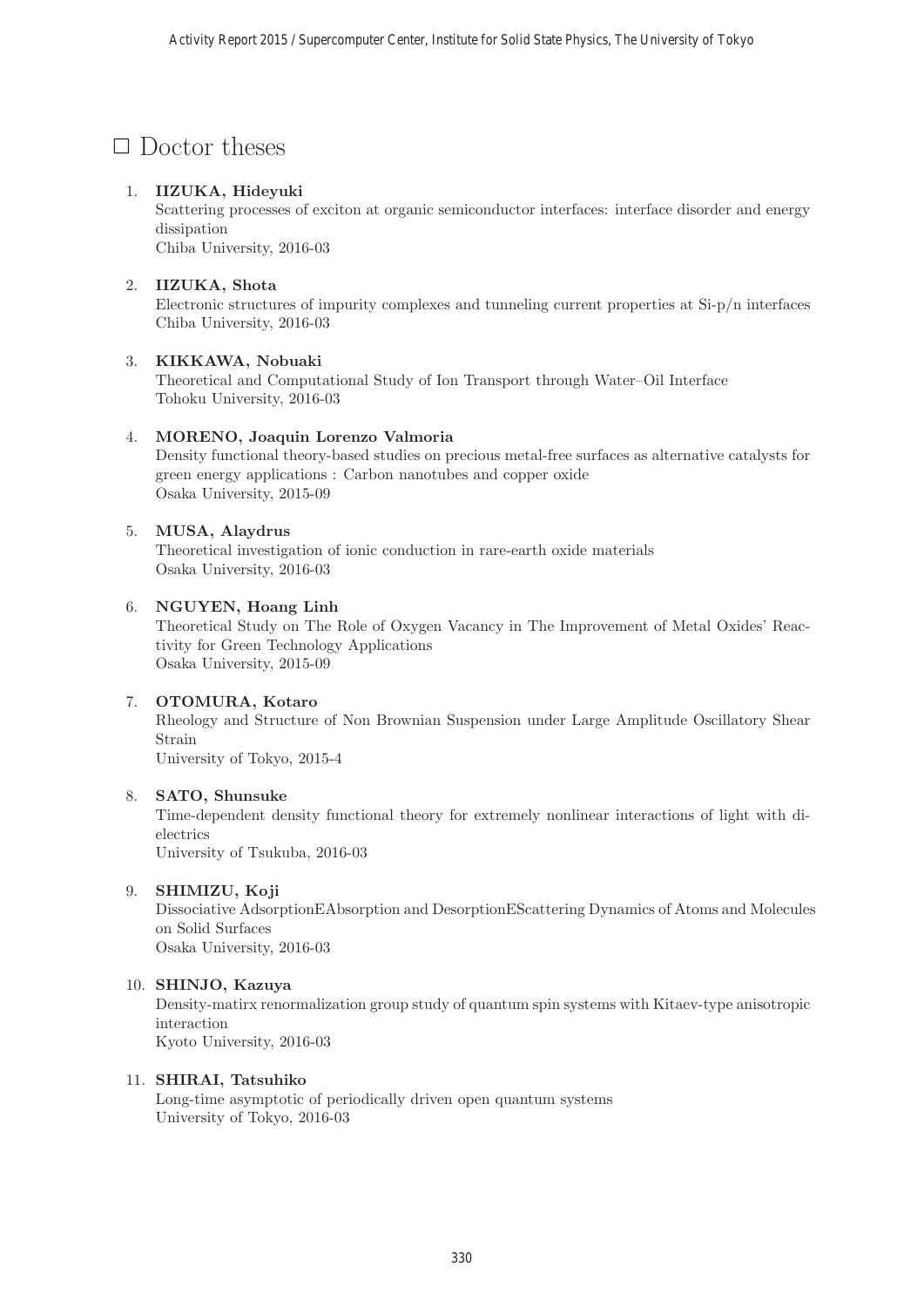# $\Box$  Doctor theses

# 1. **IIZUKA, Hideyuki**

Scattering processes of exciton at organic semiconductor interfaces: interface disorder and energy dissipation

Chiba University, 2016-03

# 2. **IIZUKA, Shota**

Electronic structures of impurity complexes and tunneling current properties at Si-p/n interfaces Chiba University, 2016-03

# 3. **KIKKAWA, Nobuaki**

Theoretical and Computational Study of Ion Transport through Water–Oil Interface Tohoku University, 2016-03

# 4. **MORENO, Joaquin Lorenzo Valmoria**

Density functional theory-based studies on precious metal-free surfaces as alternative catalysts for green energy applications : Carbon nanotubes and copper oxide Osaka University, 2015-09

# 5. **MUSA, Alaydrus**

Theoretical investigation of ionic conduction in rare-earth oxide materials Osaka University, 2016-03

# 6. **NGUYEN, Hoang Linh**

Theoretical Study on The Role of Oxygen Vacancy in The Improvement of Metal Oxides' Reactivity for Green Technology Applications Osaka University, 2015-09

# 7. **OTOMURA, Kotaro**

Rheology and Structure of Non Brownian Suspension under Large Amplitude Oscillatory Shear Strain University of Tokyo, 2015-4

# 8. **SATO, Shunsuke**

Time-dependent density functional theory for extremely nonlinear interactions of light with dielectrics

University of Tsukuba, 2016-03

# 9. **SHIMIZU, Koji**

Dissociative AdsorptionEAbsorption and DesorptionEScattering Dynamics of Atoms and Molecules on Solid Surfaces Osaka University, 2016-03

# 10. **SHINJO, Kazuya**

Density-matirx renormalization group study of quantum spin systems with Kitaev-type anisotropic interaction Kyoto University, 2016-03

#### 11. **SHIRAI, Tatsuhiko**

Long-time asymptotic of periodically driven open quantum systems University of Tokyo, 2016-03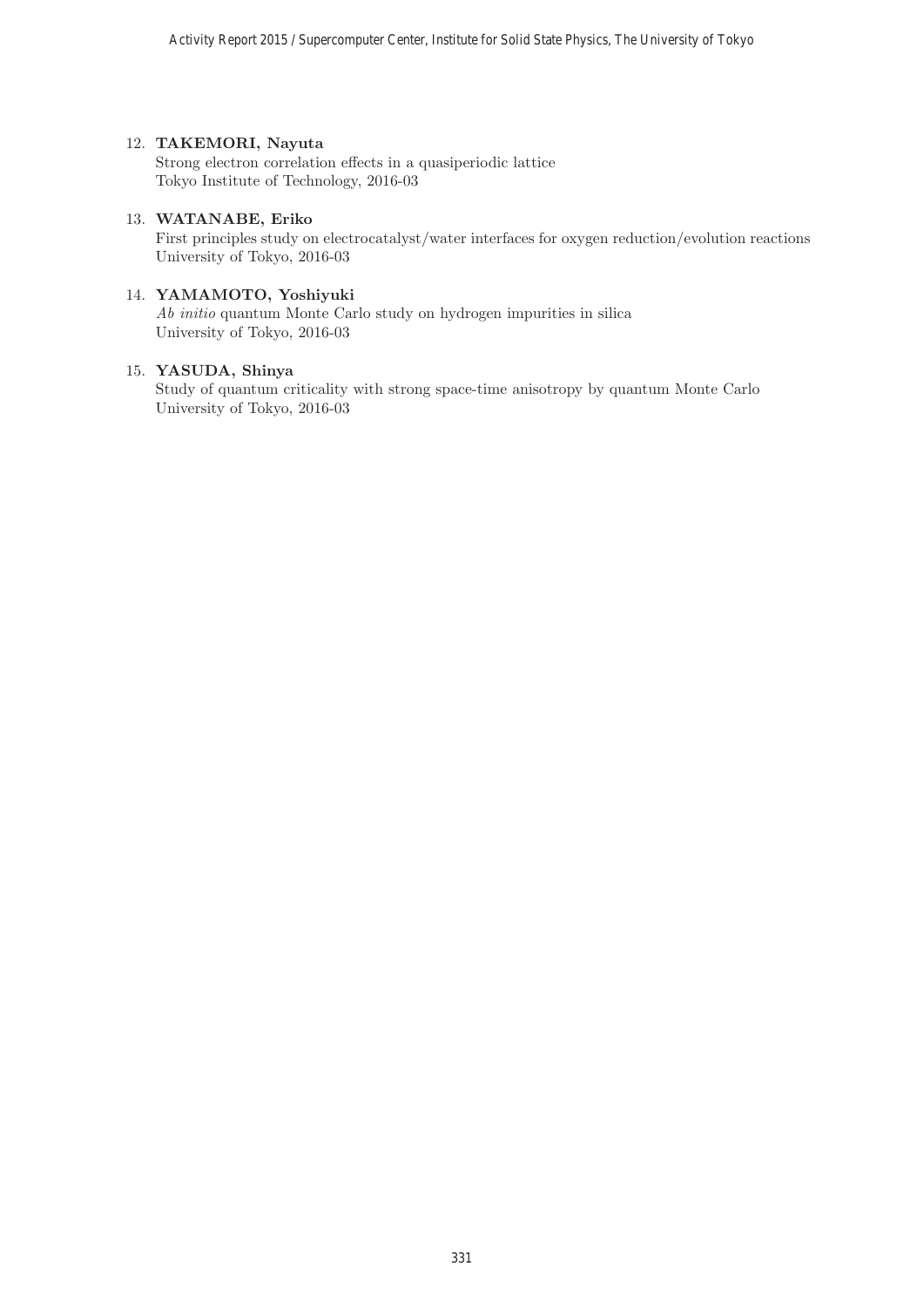#### 12. **TAKEMORI, Nayuta**

Strong electron correlation effects in a quasiperiodic lattice Tokyo Institute of Technology, 2016-03

# 13. **WATANABE, Eriko**

First principles study on electrocatalyst/water interfaces for oxygen reduction/evolution reactions University of Tokyo, 2016-03

#### 14. **YAMAMOTO, Yoshiyuki**

Ab initio quantum Monte Carlo study on hydrogen impurities in silica University of Tokyo, 2016-03

#### 15. **YASUDA, Shinya**

Study of quantum criticality with strong space-time anisotropy by quantum Monte Carlo University of Tokyo, 2016-03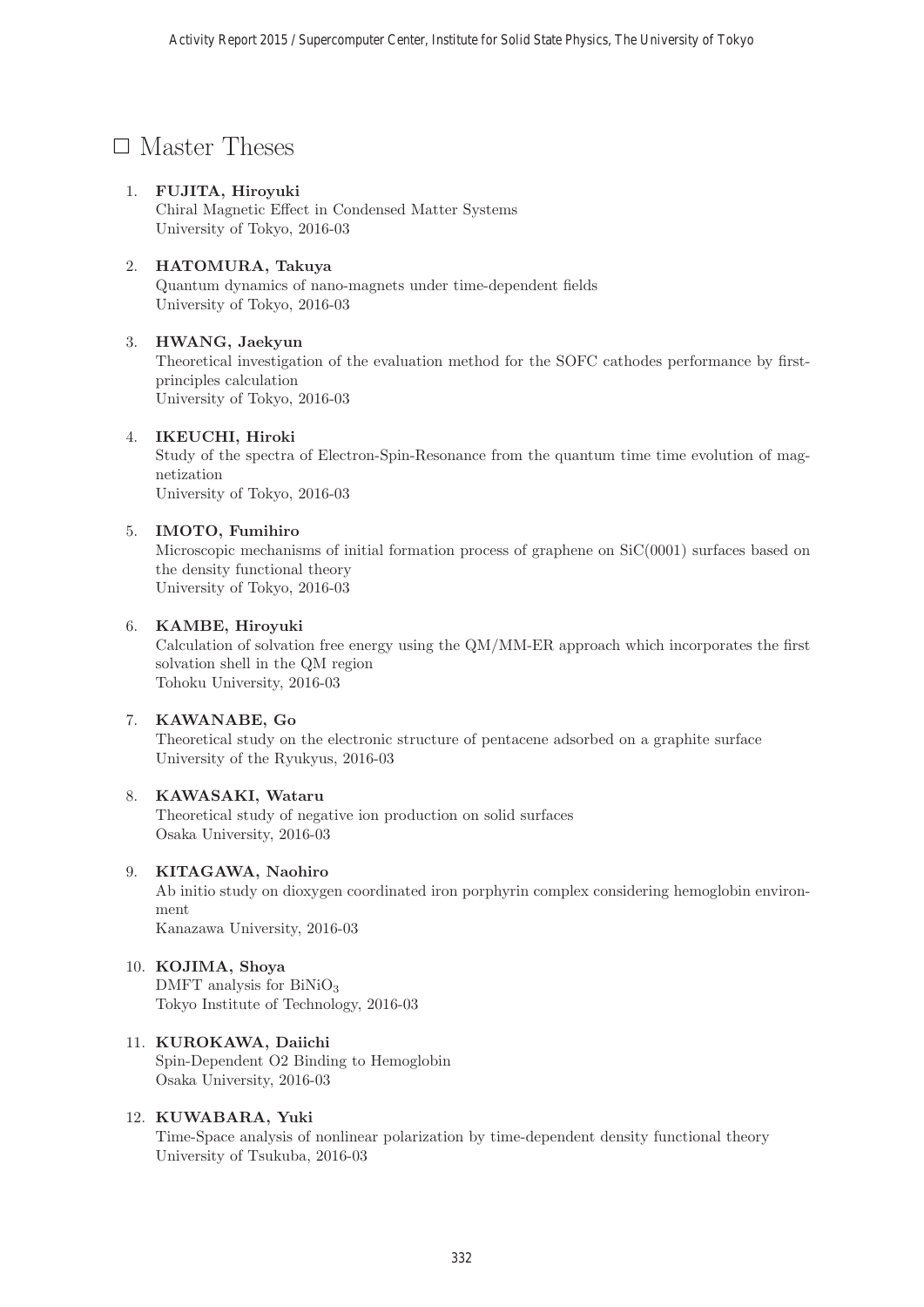# □ Master Theses

# 1. **FUJITA, Hiroyuki**

Chiral Magnetic Effect in Condensed Matter Systems University of Tokyo, 2016-03

# 2. **HATOMURA, Takuya**

Quantum dynamics of nano-magnets under time-dependent fields University of Tokyo, 2016-03

# 3. **HWANG, Jaekyun**

Theoretical investigation of the evaluation method for the SOFC cathodes performance by firstprinciples calculation University of Tokyo, 2016-03

# 4. **IKEUCHI, Hiroki**

Study of the spectra of Electron-Spin-Resonance from the quantum time time evolution of magnetization University of Tokyo, 2016-03

# 5. **IMOTO, Fumihiro**

Microscopic mechanisms of initial formation process of graphene on SiC(0001) surfaces based on the density functional theory University of Tokyo, 2016-03

# 6. **KAMBE, Hiroyuki**

Calculation of solvation free energy using the QM/MM-ER approach which incorporates the first solvation shell in the QM region Tohoku University, 2016-03

# 7. **KAWANABE, Go**

Theoretical study on the electronic structure of pentacene adsorbed on a graphite surface University of the Ryukyus, 2016-03

# 8. **KAWASAKI, Wataru**

Theoretical study of negative ion production on solid surfaces Osaka University, 2016-03

# 9. **KITAGAWA, Naohiro**

Ab initio study on dioxygen coordinated iron porphyrin complex considering hemoglobin environment Kanazawa University, 2016-03

# 10. **KOJIMA, Shoya**

DMFT analysis for  $\text{BiNiO}_3$ Tokyo Institute of Technology, 2016-03

# 11. **KUROKAWA, Daiichi**

Spin-Dependent O2 Binding to Hemoglobin Osaka University, 2016-03

# 12. **KUWABARA, Yuki**

Time-Space analysis of nonlinear polarization by time-dependent density functional theory University of Tsukuba, 2016-03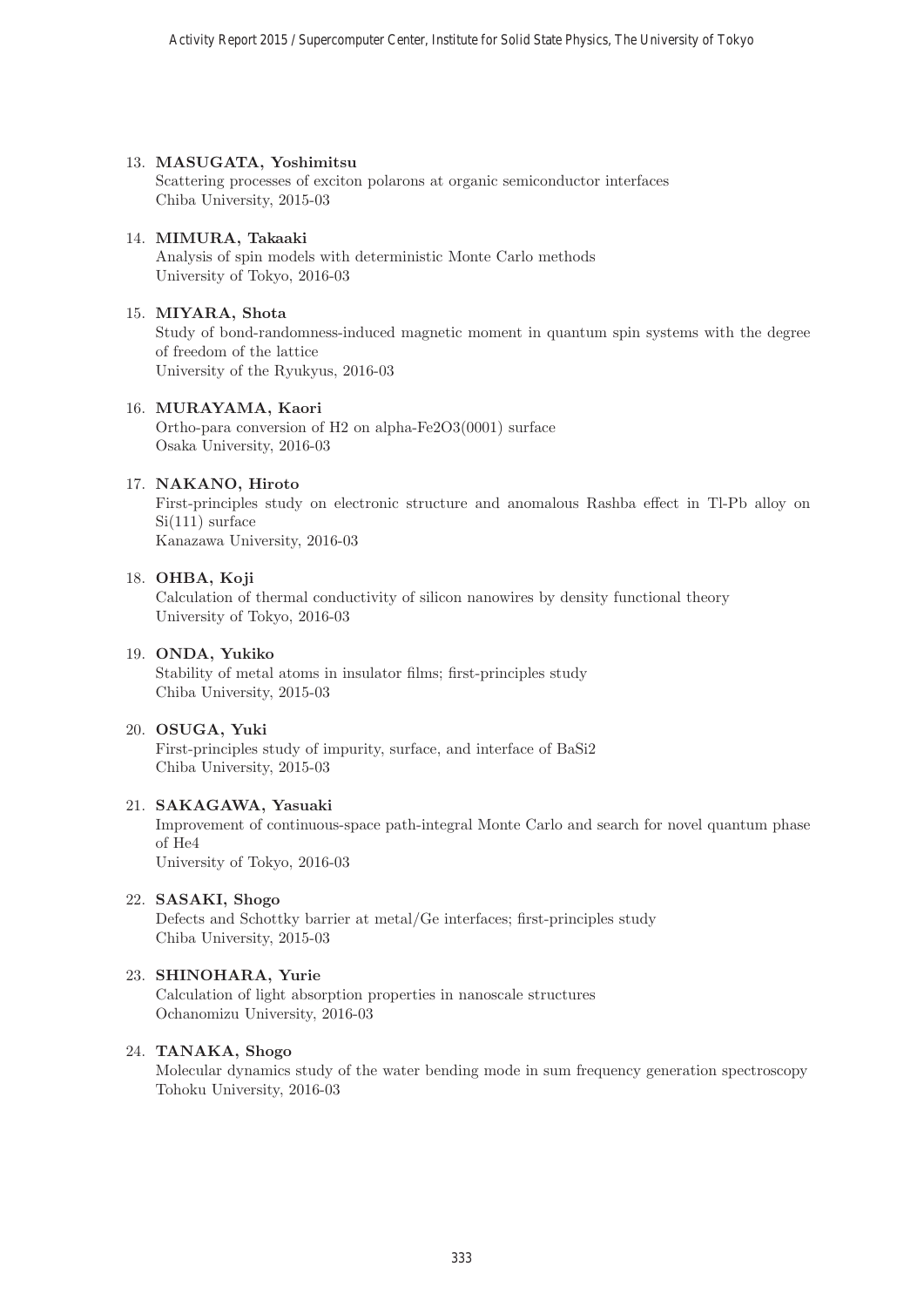# 13. **MASUGATA, Yoshimitsu**

Scattering processes of exciton polarons at organic semiconductor interfaces Chiba University, 2015-03

# 14. **MIMURA, Takaaki**

Analysis of spin models with deterministic Monte Carlo methods University of Tokyo, 2016-03

#### 15. **MIYARA, Shota**

Study of bond-randomness-induced magnetic moment in quantum spin systems with the degree of freedom of the lattice University of the Ryukyus, 2016-03

# 16. **MURAYAMA, Kaori**

Ortho-para conversion of H2 on alpha-Fe2O3(0001) surface Osaka University, 2016-03

# 17. **NAKANO, Hiroto**

First-principles study on electronic structure and anomalous Rashba effect in Tl-Pb alloy on Si(111) surface Kanazawa University, 2016-03

# 18. **OHBA, Koji**

Calculation of thermal conductivity of silicon nanowires by density functional theory University of Tokyo, 2016-03

# 19. **ONDA, Yukiko**

Stability of metal atoms in insulator films; first-principles study Chiba University, 2015-03

#### 20. **OSUGA, Yuki**

First-principles study of impurity, surface, and interface of BaSi2 Chiba University, 2015-03

# 21. **SAKAGAWA, Yasuaki**

Improvement of continuous-space path-integral Monte Carlo and search for novel quantum phase of He4 University of Tokyo, 2016-03

# 22. **SASAKI, Shogo**

Defects and Schottky barrier at metal/Ge interfaces; first-principles study Chiba University, 2015-03

# 23. **SHINOHARA, Yurie**

Calculation of light absorption properties in nanoscale structures Ochanomizu University, 2016-03

# 24. **TANAKA, Shogo**

Molecular dynamics study of the water bending mode in sum frequency generation spectroscopy Tohoku University, 2016-03